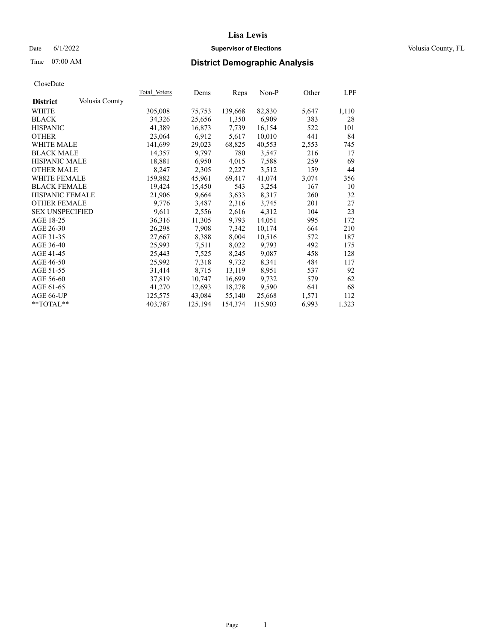## Date 6/1/2022 **Supervisor of Elections Supervisor of Elections** Volusia County, FL

# Time 07:00 AM **District Demographic Analysis**

|                        |                | Total Voters | Dems    | Reps    | Non-P   | Other | LPF   |
|------------------------|----------------|--------------|---------|---------|---------|-------|-------|
| <b>District</b>        | Volusia County |              |         |         |         |       |       |
| WHITE                  |                | 305,008      | 75,753  | 139,668 | 82,830  | 5,647 | 1,110 |
| <b>BLACK</b>           |                | 34,326       | 25,656  | 1,350   | 6,909   | 383   | 28    |
| <b>HISPANIC</b>        |                | 41,389       | 16,873  | 7,739   | 16,154  | 522   | 101   |
| <b>OTHER</b>           |                | 23,064       | 6,912   | 5,617   | 10,010  | 441   | 84    |
| <b>WHITE MALE</b>      |                | 141,699      | 29,023  | 68,825  | 40,553  | 2,553 | 745   |
| <b>BLACK MALE</b>      |                | 14,357       | 9,797   | 780     | 3,547   | 216   | 17    |
| <b>HISPANIC MALE</b>   |                | 18,881       | 6,950   | 4,015   | 7,588   | 259   | 69    |
| <b>OTHER MALE</b>      |                | 8,247        | 2,305   | 2,227   | 3,512   | 159   | 44    |
| <b>WHITE FEMALE</b>    |                | 159,882      | 45,961  | 69,417  | 41,074  | 3,074 | 356   |
| <b>BLACK FEMALE</b>    |                | 19,424       | 15,450  | 543     | 3,254   | 167   | 10    |
| HISPANIC FEMALE        |                | 21,906       | 9,664   | 3,633   | 8,317   | 260   | 32    |
| <b>OTHER FEMALE</b>    |                | 9,776        | 3,487   | 2,316   | 3,745   | 201   | 27    |
| <b>SEX UNSPECIFIED</b> |                | 9,611        | 2,556   | 2,616   | 4,312   | 104   | 23    |
| AGE 18-25              |                | 36,316       | 11,305  | 9,793   | 14,051  | 995   | 172   |
| AGE 26-30              |                | 26,298       | 7,908   | 7,342   | 10,174  | 664   | 210   |
| AGE 31-35              |                | 27,667       | 8,388   | 8,004   | 10,516  | 572   | 187   |
| AGE 36-40              |                | 25,993       | 7,511   | 8,022   | 9,793   | 492   | 175   |
| AGE 41-45              |                | 25,443       | 7,525   | 8,245   | 9,087   | 458   | 128   |
| AGE 46-50              |                | 25,992       | 7,318   | 9,732   | 8,341   | 484   | 117   |
| AGE 51-55              |                | 31,414       | 8,715   | 13,119  | 8,951   | 537   | 92    |
| AGE 56-60              |                | 37,819       | 10,747  | 16,699  | 9,732   | 579   | 62    |
| AGE 61-65              |                | 41,270       | 12,693  | 18,278  | 9,590   | 641   | 68    |
| AGE 66-UP              |                | 125,575      | 43,084  | 55,140  | 25,668  | 1,571 | 112   |
| $*$ TOTAL $*$          |                | 403,787      | 125,194 | 154,374 | 115,903 | 6,993 | 1,323 |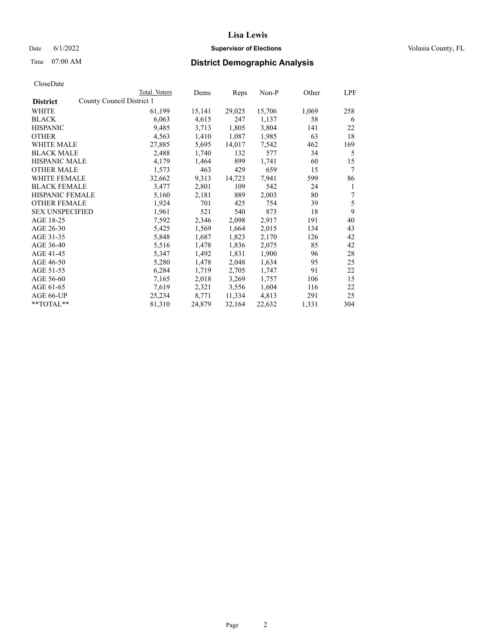## Date 6/1/2022 **Supervisor of Elections Supervisor of Elections** Volusia County, FL

|                                              | Total Voters | Dems   | Reps   | Non-P  | Other | LPF |
|----------------------------------------------|--------------|--------|--------|--------|-------|-----|
| County Council District 1<br><b>District</b> |              |        |        |        |       |     |
| WHITE                                        | 61,199       | 15,141 | 29,025 | 15,706 | 1,069 | 258 |
| <b>BLACK</b>                                 | 6,063        | 4,615  | 247    | 1,137  | 58    | 6   |
| <b>HISPANIC</b>                              | 9,485        | 3,713  | 1,805  | 3,804  | 141   | 22  |
| <b>OTHER</b>                                 | 4,563        | 1,410  | 1,087  | 1,985  | 63    | 18  |
| <b>WHITE MALE</b>                            | 27,885       | 5,695  | 14,017 | 7,542  | 462   | 169 |
| <b>BLACK MALE</b>                            | 2,488        | 1,740  | 132    | 577    | 34    | 5   |
| <b>HISPANIC MALE</b>                         | 4,179        | 1,464  | 899    | 1,741  | 60    | 15  |
| <b>OTHER MALE</b>                            | 1,573        | 463    | 429    | 659    | 15    | 7   |
| WHITE FEMALE                                 | 32,662       | 9,313  | 14,723 | 7,941  | 599   | 86  |
| <b>BLACK FEMALE</b>                          | 3,477        | 2,801  | 109    | 542    | 24    | 1   |
| <b>HISPANIC FEMALE</b>                       | 5,160        | 2,181  | 889    | 2,003  | 80    | 7   |
| <b>OTHER FEMALE</b>                          | 1,924        | 701    | 425    | 754    | 39    | 5   |
| <b>SEX UNSPECIFIED</b>                       | 1,961        | 521    | 540    | 873    | 18    | 9   |
| AGE 18-25                                    | 7,592        | 2,346  | 2,098  | 2,917  | 191   | 40  |
| AGE 26-30                                    | 5,425        | 1,569  | 1,664  | 2,015  | 134   | 43  |
| AGE 31-35                                    | 5,848        | 1,687  | 1,823  | 2,170  | 126   | 42  |
| AGE 36-40                                    | 5,516        | 1,478  | 1,836  | 2,075  | 85    | 42  |
| AGE 41-45                                    | 5,347        | 1,492  | 1,831  | 1,900  | 96    | 28  |
| AGE 46-50                                    | 5,280        | 1,478  | 2,048  | 1,634  | 95    | 25  |
| AGE 51-55                                    | 6,284        | 1,719  | 2,705  | 1,747  | 91    | 22  |
| AGE 56-60                                    | 7,165        | 2,018  | 3,269  | 1,757  | 106   | 15  |
| AGE 61-65                                    | 7,619        | 2,321  | 3,556  | 1,604  | 116   | 22  |
| AGE 66-UP                                    | 25,234       | 8,771  | 11,334 | 4,813  | 291   | 25  |
| **TOTAL**                                    | 81,310       | 24,879 | 32,164 | 22,632 | 1,331 | 304 |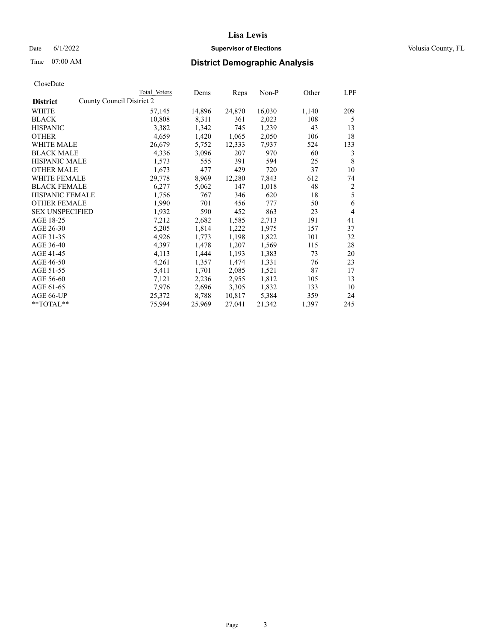## Date 6/1/2022 **Supervisor of Elections Supervisor of Elections** Volusia County, FL

| CloseDate |
|-----------|
|-----------|

|                                              | Total Voters | Dems   | Reps   | Non-P  | Other | LPF            |
|----------------------------------------------|--------------|--------|--------|--------|-------|----------------|
| County Council District 2<br><b>District</b> |              |        |        |        |       |                |
| WHITE                                        | 57,145       | 14,896 | 24,870 | 16,030 | 1,140 | 209            |
| <b>BLACK</b>                                 | 10,808       | 8,311  | 361    | 2,023  | 108   | 5              |
| <b>HISPANIC</b>                              | 3,382        | 1,342  | 745    | 1,239  | 43    | 13             |
| <b>OTHER</b>                                 | 4,659        | 1,420  | 1,065  | 2,050  | 106   | 18             |
| WHITE MALE                                   | 26,679       | 5,752  | 12,333 | 7,937  | 524   | 133            |
| <b>BLACK MALE</b>                            | 4,336        | 3,096  | 207    | 970    | 60    | 3              |
| <b>HISPANIC MALE</b>                         | 1,573        | 555    | 391    | 594    | 25    | 8              |
| <b>OTHER MALE</b>                            | 1,673        | 477    | 429    | 720    | 37    | 10             |
| <b>WHITE FEMALE</b>                          | 29,778       | 8,969  | 12,280 | 7,843  | 612   | 74             |
| <b>BLACK FEMALE</b>                          | 6,277        | 5,062  | 147    | 1,018  | 48    | $\overline{c}$ |
| <b>HISPANIC FEMALE</b>                       | 1,756        | 767    | 346    | 620    | 18    | 5              |
| <b>OTHER FEMALE</b>                          | 1,990        | 701    | 456    | 777    | 50    | 6              |
| <b>SEX UNSPECIFIED</b>                       | 1,932        | 590    | 452    | 863    | 23    | $\overline{4}$ |
| AGE 18-25                                    | 7,212        | 2,682  | 1,585  | 2,713  | 191   | 41             |
| AGE 26-30                                    | 5,205        | 1,814  | 1,222  | 1,975  | 157   | 37             |
| AGE 31-35                                    | 4,926        | 1,773  | 1,198  | 1,822  | 101   | 32             |
| AGE 36-40                                    | 4,397        | 1,478  | 1,207  | 1,569  | 115   | 28             |
| AGE 41-45                                    | 4,113        | 1,444  | 1,193  | 1,383  | 73    | 20             |
| AGE 46-50                                    | 4,261        | 1,357  | 1,474  | 1,331  | 76    | 23             |
| AGE 51-55                                    | 5,411        | 1,701  | 2,085  | 1,521  | 87    | 17             |
| AGE 56-60                                    | 7,121        | 2,236  | 2,955  | 1,812  | 105   | 13             |
| AGE 61-65                                    | 7,976        | 2,696  | 3,305  | 1,832  | 133   | 10             |
| AGE 66-UP                                    | 25,372       | 8,788  | 10,817 | 5,384  | 359   | 24             |
| **TOTAL**                                    | 75,994       | 25,969 | 27,041 | 21,342 | 1,397 | 245            |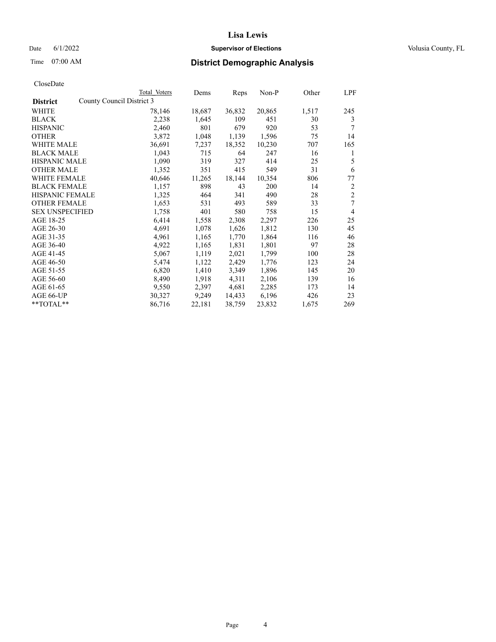## Date 6/1/2022 **Supervisor of Elections Supervisor of Elections** Volusia County, FL

|                        |                           | <b>Total Voters</b> | Dems   | Reps   | $Non-P$ | Other | LPF            |
|------------------------|---------------------------|---------------------|--------|--------|---------|-------|----------------|
| <b>District</b>        | County Council District 3 |                     |        |        |         |       |                |
| WHITE                  |                           | 78,146              | 18,687 | 36,832 | 20,865  | 1,517 | 245            |
| <b>BLACK</b>           |                           | 2,238               | 1,645  | 109    | 451     | 30    | 3              |
| <b>HISPANIC</b>        |                           | 2,460               | 801    | 679    | 920     | 53    | 7              |
| <b>OTHER</b>           |                           | 3,872               | 1,048  | 1,139  | 1,596   | 75    | 14             |
| WHITE MALE             |                           | 36,691              | 7,237  | 18,352 | 10,230  | 707   | 165            |
| <b>BLACK MALE</b>      |                           | 1,043               | 715    | 64     | 247     | 16    | 1              |
| <b>HISPANIC MALE</b>   |                           | 1,090               | 319    | 327    | 414     | 25    | 5              |
| <b>OTHER MALE</b>      |                           | 1,352               | 351    | 415    | 549     | 31    | 6              |
| <b>WHITE FEMALE</b>    |                           | 40,646              | 11,265 | 18,144 | 10,354  | 806   | 77             |
| <b>BLACK FEMALE</b>    |                           | 1,157               | 898    | 43     | 200     | 14    | $\overline{2}$ |
| HISPANIC FEMALE        |                           | 1,325               | 464    | 341    | 490     | 28    | $\mathfrak{2}$ |
| <b>OTHER FEMALE</b>    |                           | 1,653               | 531    | 493    | 589     | 33    | 7              |
| <b>SEX UNSPECIFIED</b> |                           | 1,758               | 401    | 580    | 758     | 15    | $\overline{4}$ |
| AGE 18-25              |                           | 6,414               | 1,558  | 2,308  | 2,297   | 226   | 25             |
| AGE 26-30              |                           | 4,691               | 1,078  | 1,626  | 1,812   | 130   | 45             |
| AGE 31-35              |                           | 4,961               | 1,165  | 1,770  | 1,864   | 116   | 46             |
| AGE 36-40              |                           | 4,922               | 1,165  | 1,831  | 1,801   | 97    | 28             |
| AGE 41-45              |                           | 5,067               | 1,119  | 2,021  | 1,799   | 100   | 28             |
| AGE 46-50              |                           | 5,474               | 1,122  | 2,429  | 1,776   | 123   | 24             |
| AGE 51-55              |                           | 6,820               | 1,410  | 3,349  | 1,896   | 145   | 20             |
| AGE 56-60              |                           | 8,490               | 1,918  | 4,311  | 2,106   | 139   | 16             |
| AGE 61-65              |                           | 9,550               | 2,397  | 4,681  | 2,285   | 173   | 14             |
| AGE 66-UP              |                           | 30,327              | 9,249  | 14,433 | 6,196   | 426   | 23             |
| **TOTAL**              |                           | 86,716              | 22,181 | 38,759 | 23,832  | 1,675 | 269            |
|                        |                           |                     |        |        |         |       |                |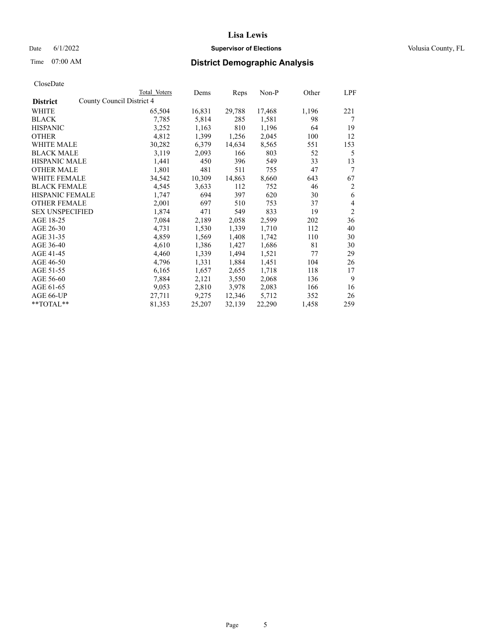## Date 6/1/2022 **Supervisor of Elections Supervisor of Elections** Volusia County, FL

| CloseDate |
|-----------|
|-----------|

|                                              | Total Voters | Dems   | Reps   | Non-P  | Other | LPF            |
|----------------------------------------------|--------------|--------|--------|--------|-------|----------------|
| County Council District 4<br><b>District</b> |              |        |        |        |       |                |
| WHITE                                        | 65,504       | 16,831 | 29,788 | 17,468 | 1,196 | 221            |
| <b>BLACK</b>                                 | 7,785        | 5,814  | 285    | 1,581  | 98    | 7              |
| <b>HISPANIC</b>                              | 3,252        | 1,163  | 810    | 1,196  | 64    | 19             |
| <b>OTHER</b>                                 | 4,812        | 1,399  | 1,256  | 2,045  | 100   | 12             |
| <b>WHITE MALE</b>                            | 30,282       | 6,379  | 14,634 | 8,565  | 551   | 153            |
| <b>BLACK MALE</b>                            | 3,119        | 2,093  | 166    | 803    | 52    | 5              |
| <b>HISPANIC MALE</b>                         | 1,441        | 450    | 396    | 549    | 33    | 13             |
| <b>OTHER MALE</b>                            | 1,801        | 481    | 511    | 755    | 47    | 7              |
| <b>WHITE FEMALE</b>                          | 34,542       | 10,309 | 14,863 | 8,660  | 643   | 67             |
| <b>BLACK FEMALE</b>                          | 4,545        | 3,633  | 112    | 752    | 46    | 2              |
| HISPANIC FEMALE                              | 1,747        | 694    | 397    | 620    | 30    | 6              |
| <b>OTHER FEMALE</b>                          | 2,001        | 697    | 510    | 753    | 37    | $\overline{4}$ |
| <b>SEX UNSPECIFIED</b>                       | 1,874        | 471    | 549    | 833    | 19    | $\overline{2}$ |
| AGE 18-25                                    | 7,084        | 2,189  | 2,058  | 2,599  | 202   | 36             |
| AGE 26-30                                    | 4,731        | 1,530  | 1,339  | 1,710  | 112   | 40             |
| AGE 31-35                                    | 4,859        | 1,569  | 1,408  | 1,742  | 110   | 30             |
| AGE 36-40                                    | 4,610        | 1,386  | 1,427  | 1,686  | 81    | 30             |
| AGE 41-45                                    | 4,460        | 1,339  | 1,494  | 1,521  | 77    | 29             |
| AGE 46-50                                    | 4,796        | 1,331  | 1,884  | 1,451  | 104   | 26             |
| AGE 51-55                                    | 6,165        | 1,657  | 2,655  | 1,718  | 118   | 17             |
| AGE 56-60                                    | 7,884        | 2,121  | 3,550  | 2,068  | 136   | 9              |
| AGE 61-65                                    | 9,053        | 2,810  | 3,978  | 2,083  | 166   | 16             |
| AGE 66-UP                                    | 27,711       | 9,275  | 12,346 | 5,712  | 352   | 26             |
| **TOTAL**                                    | 81,353       | 25,207 | 32,139 | 22,290 | 1,458 | 259            |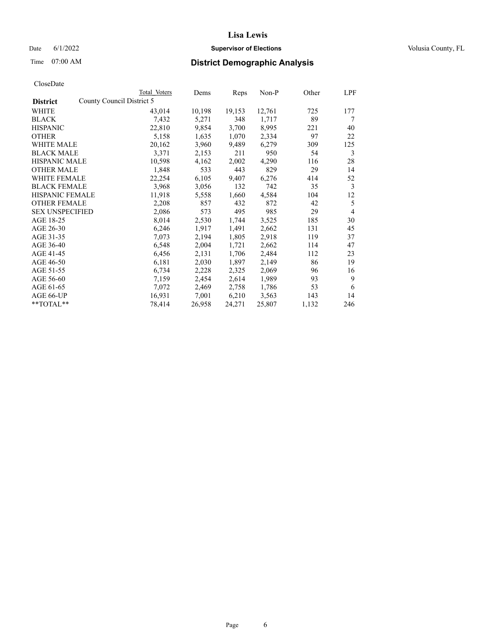## Date 6/1/2022 **Supervisor of Elections Supervisor of Elections** Volusia County, FL

| CloseDate |
|-----------|
|-----------|

|                                              | Total Voters | Dems   | Reps   | Non-P  | Other | LPF |
|----------------------------------------------|--------------|--------|--------|--------|-------|-----|
| County Council District 5<br><b>District</b> |              |        |        |        |       |     |
| WHITE                                        | 43,014       | 10,198 | 19,153 | 12,761 | 725   | 177 |
| <b>BLACK</b>                                 | 7,432        | 5,271  | 348    | 1,717  | 89    | 7   |
| <b>HISPANIC</b>                              | 22,810       | 9,854  | 3,700  | 8,995  | 221   | 40  |
| <b>OTHER</b>                                 | 5,158        | 1,635  | 1,070  | 2,334  | 97    | 22  |
| <b>WHITE MALE</b>                            | 20,162       | 3,960  | 9,489  | 6,279  | 309   | 125 |
| <b>BLACK MALE</b>                            | 3,371        | 2,153  | 211    | 950    | 54    | 3   |
| <b>HISPANIC MALE</b>                         | 10,598       | 4,162  | 2,002  | 4,290  | 116   | 28  |
| <b>OTHER MALE</b>                            | 1,848        | 533    | 443    | 829    | 29    | 14  |
| WHITE FEMALE                                 | 22,254       | 6,105  | 9,407  | 6,276  | 414   | 52  |
| <b>BLACK FEMALE</b>                          | 3,968        | 3,056  | 132    | 742    | 35    | 3   |
| <b>HISPANIC FEMALE</b>                       | 11,918       | 5,558  | 1,660  | 4,584  | 104   | 12  |
| <b>OTHER FEMALE</b>                          | 2,208        | 857    | 432    | 872    | 42    | 5   |
| <b>SEX UNSPECIFIED</b>                       | 2,086        | 573    | 495    | 985    | 29    | 4   |
| AGE 18-25                                    | 8,014        | 2,530  | 1,744  | 3,525  | 185   | 30  |
| AGE 26-30                                    | 6,246        | 1,917  | 1,491  | 2,662  | 131   | 45  |
| AGE 31-35                                    | 7,073        | 2,194  | 1,805  | 2,918  | 119   | 37  |
| AGE 36-40                                    | 6,548        | 2,004  | 1,721  | 2,662  | 114   | 47  |
| AGE 41-45                                    | 6,456        | 2,131  | 1,706  | 2,484  | 112   | 23  |
| AGE 46-50                                    | 6,181        | 2,030  | 1,897  | 2,149  | 86    | 19  |
| AGE 51-55                                    | 6,734        | 2,228  | 2,325  | 2,069  | 96    | 16  |
| AGE 56-60                                    | 7,159        | 2,454  | 2,614  | 1,989  | 93    | 9   |
| AGE 61-65                                    | 7,072        | 2,469  | 2,758  | 1,786  | 53    | 6   |
| AGE 66-UP                                    | 16,931       | 7,001  | 6,210  | 3,563  | 143   | 14  |
| **TOTAL**                                    | 78,414       | 26,958 | 24,271 | 25,807 | 1,132 | 246 |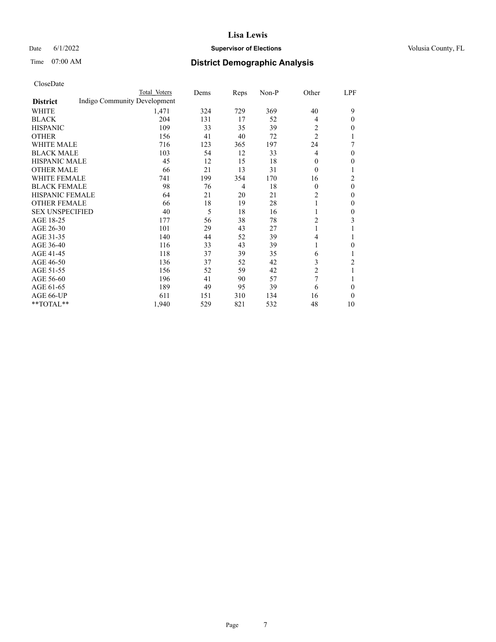### Date 6/1/2022 **Supervisor of Elections Supervisor of Elections** Volusia County, FL

# Time 07:00 AM **District Demographic Analysis**

|                        |                              | Total Voters | Dems | Reps           | Non-P | Other          | LPF          |
|------------------------|------------------------------|--------------|------|----------------|-------|----------------|--------------|
| <b>District</b>        | Indigo Community Development |              |      |                |       |                |              |
| WHITE                  |                              | 1,471        | 324  | 729            | 369   | 40             | 9            |
| <b>BLACK</b>           |                              | 204          | 131  | 17             | 52    | 4              | $\theta$     |
| <b>HISPANIC</b>        |                              | 109          | 33   | 35             | 39    | 2              | 0            |
| <b>OTHER</b>           |                              | 156          | 41   | 40             | 72    | $\overline{c}$ | 1            |
| <b>WHITE MALE</b>      |                              | 716          | 123  | 365            | 197   | 24             | 7            |
| <b>BLACK MALE</b>      |                              | 103          | 54   | 12             | 33    | 4              | $\theta$     |
| <b>HISPANIC MALE</b>   |                              | 45           | 12   | 15             | 18    | 0              | 0            |
| <b>OTHER MALE</b>      |                              | 66           | 21   | 13             | 31    | $\theta$       |              |
| <b>WHITE FEMALE</b>    |                              | 741          | 199  | 354            | 170   | 16             | 2            |
| <b>BLACK FEMALE</b>    |                              | 98           | 76   | $\overline{4}$ | 18    | $\theta$       | $\theta$     |
| <b>HISPANIC FEMALE</b> |                              | 64           | 21   | 20             | 21    | $\mathfrak{2}$ | 0            |
| <b>OTHER FEMALE</b>    |                              | 66           | 18   | 19             | 28    |                | $\theta$     |
| <b>SEX UNSPECIFIED</b> |                              | 40           | 5    | 18             | 16    | 1              | $\mathbf{0}$ |
| AGE 18-25              |                              | 177          | 56   | 38             | 78    | 2              | 3            |
| AGE 26-30              |                              | 101          | 29   | 43             | 27    | 1              |              |
| AGE 31-35              |                              | 140          | 44   | 52             | 39    | 4              | 1            |
| AGE 36-40              |                              | 116          | 33   | 43             | 39    | 1              | 0            |
| AGE 41-45              |                              | 118          | 37   | 39             | 35    | 6              | 1            |
| AGE 46-50              |                              | 136          | 37   | 52             | 42    | 3              | 2            |
| AGE 51-55              |                              | 156          | 52   | 59             | 42    | $\overline{c}$ | 1            |
| AGE 56-60              |                              | 196          | 41   | 90             | 57    | $\overline{7}$ |              |
| AGE 61-65              |                              | 189          | 49   | 95             | 39    | 6              | 0            |
| AGE 66-UP              |                              | 611          | 151  | 310            | 134   | 16             | $\theta$     |
| **TOTAL**              |                              | 1,940        | 529  | 821            | 532   | 48             | 10           |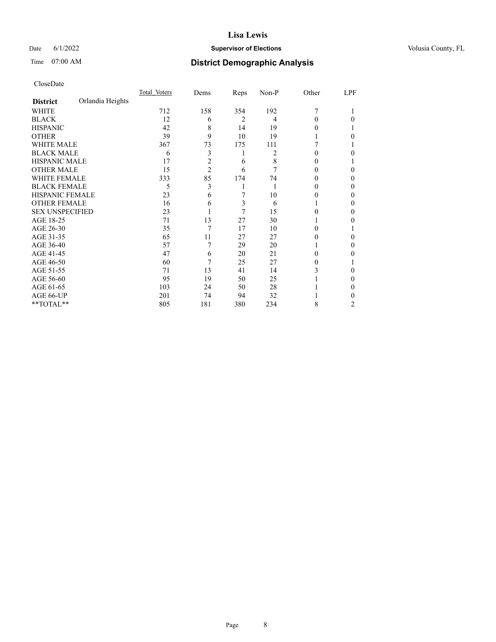## Date 6/1/2022 **Supervisor of Elections Supervisor of Elections** Volusia County, FL

# Time 07:00 AM **District Demographic Analysis**

|                        |                  | Total Voters | Dems           | Reps | Non-P | Other | LPF |
|------------------------|------------------|--------------|----------------|------|-------|-------|-----|
| <b>District</b>        | Orlandia Heights |              |                |      |       |       |     |
| WHITE                  |                  | 712          | 158            | 354  | 192   | 7     |     |
| <b>BLACK</b>           |                  | 12           | 6              | 2    | 4     | 0     | 0   |
| <b>HISPANIC</b>        |                  | 42           | 8              | 14   | 19    | 0     |     |
| <b>OTHER</b>           |                  | 39           | 9              | 10   | 19    |       | 0   |
| WHITE MALE             |                  | 367          | 73             | 175  | 111   |       |     |
| <b>BLACK MALE</b>      |                  | 6            | 3              | 1    | 2     | 0     | 0   |
| <b>HISPANIC MALE</b>   |                  | 17           | $\overline{c}$ | 6    | 8     | 0     |     |
| <b>OTHER MALE</b>      |                  | 15           | $\overline{2}$ | 6    | 7     | 0     | 0   |
| <b>WHITE FEMALE</b>    |                  | 333          | 85             | 174  | 74    | 0     | 0   |
| <b>BLACK FEMALE</b>    |                  | 5            | 3              | 1    |       | 0     | 0   |
| HISPANIC FEMALE        |                  | 23           | 6              | 7    | 10    | 0     | 0   |
| <b>OTHER FEMALE</b>    |                  | 16           | 6              | 3    | 6     |       | 0   |
| <b>SEX UNSPECIFIED</b> |                  | 23           |                | 7    | 15    | 0     | 0   |
| AGE 18-25              |                  | 71           | 13             | 27   | 30    |       | 0   |
| AGE 26-30              |                  | 35           | 7              | 17   | 10    | 0     |     |
| AGE 31-35              |                  | 65           | 11             | 27   | 27    |       | 0   |
| AGE 36-40              |                  | 57           | 7              | 29   | 20    |       | 0   |
| AGE 41-45              |                  | 47           | 6              | 20   | 21    | 0     | 0   |
| AGE 46-50              |                  | 60           | 7              | 25   | 27    | 0     |     |
| AGE 51-55              |                  | 71           | 13             | 41   | 14    | 3     | 0   |
| AGE 56-60              |                  | 95           | 19             | 50   | 25    |       | 0   |
| AGE 61-65              |                  | 103          | 24             | 50   | 28    |       | 0   |
| AGE 66-UP              |                  | 201          | 74             | 94   | 32    |       | 0   |
| **TOTAL**              |                  | 805          | 181            | 380  | 234   | 8     | 2   |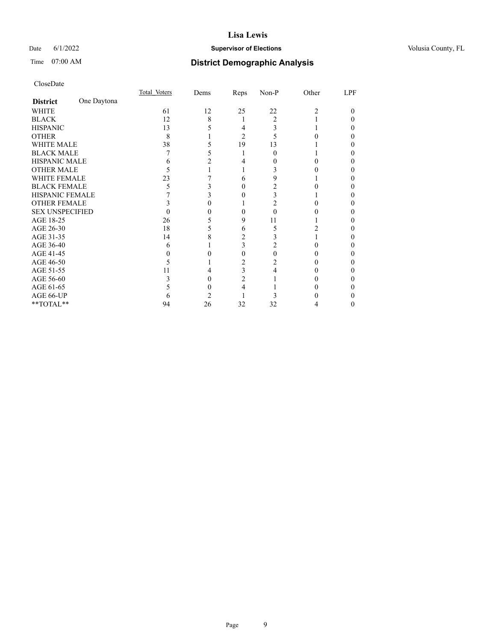## Date 6/1/2022 **Supervisor of Elections Supervisor of Elections** Volusia County, FL

# Time 07:00 AM **District Demographic Analysis**

|                        |             | Total Voters | Dems | Reps   | Non-P | Other          | LPF |
|------------------------|-------------|--------------|------|--------|-------|----------------|-----|
| <b>District</b>        | One Daytona |              |      |        |       |                |     |
| WHITE                  |             | 61           | 12   | 25     | 22    | $\overline{c}$ | 0   |
| <b>BLACK</b>           |             | 12           | 8    |        | 2     |                |     |
| <b>HISPANIC</b>        |             | 13           |      | 4      | 3     |                |     |
| <b>OTHER</b>           |             | 8            |      | 2      |       |                |     |
| WHITE MALE             |             | 38           |      | 19     | 13    |                |     |
| <b>BLACK MALE</b>      |             |              |      |        | 0     |                |     |
| <b>HISPANIC MALE</b>   |             | h            |      |        |       |                |     |
| <b>OTHER MALE</b>      |             | C            |      |        |       |                | 0   |
| WHITE FEMALE           |             | 23           |      | 6      |       |                |     |
| <b>BLACK FEMALE</b>    |             | 5            |      | $_{0}$ |       |                | 0   |
| <b>HISPANIC FEMALE</b> |             |              |      |        |       |                |     |
| <b>OTHER FEMALE</b>    |             |              |      |        |       |                |     |
| <b>SEX UNSPECIFIED</b> |             |              |      |        | 0     |                |     |
| AGE 18-25              |             | 26           |      | 9      | 11    |                |     |
| AGE 26-30              |             | 18           |      | 6      | 5     |                |     |
| AGE 31-35              |             | 14           |      | 2      |       |                |     |
| AGE 36-40              |             | 6            |      | 3      |       |                | 0   |
| AGE 41-45              |             |              |      | 0      |       |                |     |
| AGE 46-50              |             | 5            |      |        |       | 0              | 0   |
| AGE 51-55              |             | 11           |      | 3      |       |                |     |
| AGE 56-60              |             |              |      | 2      |       |                |     |
| AGE 61-65              |             |              |      |        |       |                |     |
| AGE 66-UP              |             | h            |      |        |       |                |     |
| **TOTAL**              |             | 94           | 26   | 32     | 32    | 4              | 0   |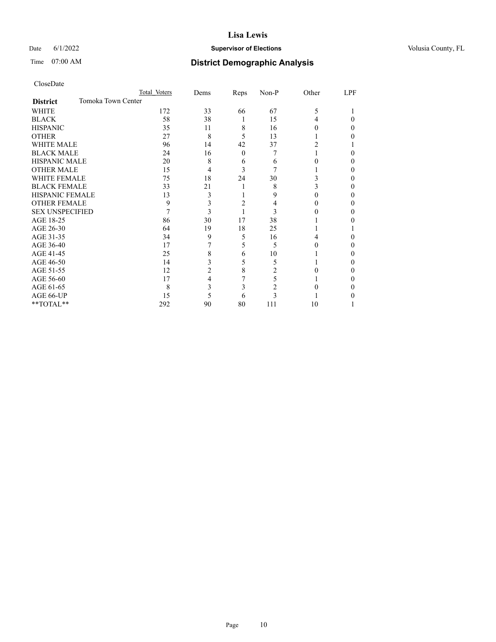## Date 6/1/2022 **Supervisor of Elections Supervisor of Elections** Volusia County, FL

# Time 07:00 AM **District Demographic Analysis**

|                                       | Total Voters | Dems | Reps     | Non-P | Other | LPF |
|---------------------------------------|--------------|------|----------|-------|-------|-----|
| Tomoka Town Center<br><b>District</b> |              |      |          |       |       |     |
| WHITE                                 | 172          | 33   | 66       | 67    | 5     |     |
| <b>BLACK</b>                          | 58           | 38   | 1        | 15    | 4     | 0   |
| <b>HISPANIC</b>                       | 35           | 11   | 8        | 16    |       | 0   |
| <b>OTHER</b>                          | 27           | 8    | 5        | 13    |       |     |
| WHITE MALE                            | 96           | 14   | 42       | 37    |       |     |
| <b>BLACK MALE</b>                     | 24           | 16   | $\theta$ | 7     |       | 0   |
| <b>HISPANIC MALE</b>                  | 20           | 8    | 6        | 6     |       | 0   |
| <b>OTHER MALE</b>                     | 15           | 4    | 3        |       |       | 0   |
| WHITE FEMALE                          | 75           | 18   | 24       | 30    | 3     |     |
| <b>BLACK FEMALE</b>                   | 33           | 21   |          | 8     | 3     | 0   |
| <b>HISPANIC FEMALE</b>                | 13           | 3    |          | 9     |       | 0   |
| <b>OTHER FEMALE</b>                   | 9            | 3    | 2        | 4     |       | 0   |
| <b>SEX UNSPECIFIED</b>                | 7            | 3    |          | 3     |       | 0   |
| AGE 18-25                             | 86           | 30   | 17       | 38    |       |     |
| AGE 26-30                             | 64           | 19   | 18       | 25    |       |     |
| AGE 31-35                             | 34           | 9    | 5        | 16    |       | 0   |
| AGE 36-40                             | 17           |      | 5        | 5     |       | 0   |
| AGE 41-45                             | 25           | 8    | 6        | 10    |       |     |
| AGE 46-50                             | 14           | 3    | 5        | 5     |       | 0   |
| AGE 51-55                             | 12           | 2    | 8        | 2     |       | 0   |
| AGE 56-60                             | 17           | 4    |          | 5     |       | 0   |
| AGE 61-65                             | 8            | 3    | 3        | 2     |       | 0   |
| AGE 66-UP                             | 15           | 5    | 6        |       |       |     |
| **TOTAL**                             | 292          | 90   | 80       | 111   | 10    |     |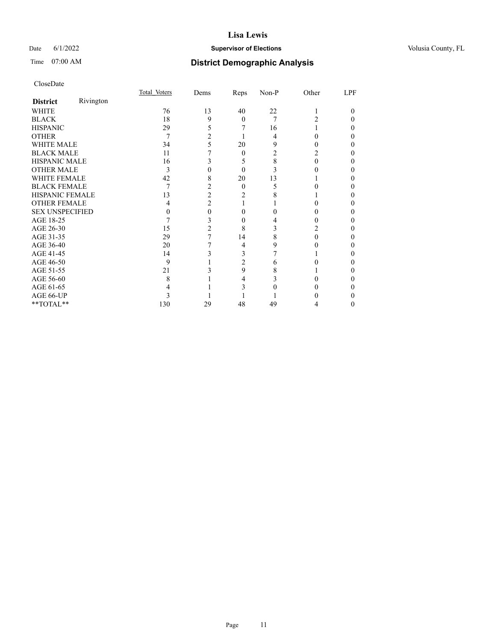## Date 6/1/2022 **Supervisor of Elections Supervisor of Elections** Volusia County, FL

# Time 07:00 AM **District Demographic Analysis**

|                        |           | Total Voters | Dems           | Reps           | Non-P | Other | LPF    |
|------------------------|-----------|--------------|----------------|----------------|-------|-------|--------|
| <b>District</b>        | Rivington |              |                |                |       |       |        |
| WHITE                  |           | 76           | 13             | 40             | 22    |       |        |
| <b>BLACK</b>           |           | 18           | 9              | $\theta$       | 7     | 2     |        |
| <b>HISPANIC</b>        |           | 29           | 5              |                | 16    |       |        |
| <b>OTHER</b>           |           | 7            | $\overline{c}$ |                | 4     | 0     |        |
| WHITE MALE             |           | 34           | 5              | 20             | 9     |       |        |
| <b>BLACK MALE</b>      |           | 11           |                | $\theta$       | 2     |       |        |
| <b>HISPANIC MALE</b>   |           | 16           | 3              | 5              | 8     | 0     |        |
| <b>OTHER MALE</b>      |           | 3            | 0              | $\theta$       | 3     |       |        |
| WHITE FEMALE           |           | 42           | 8              | 20             | 13    |       |        |
| <b>BLACK FEMALE</b>    |           | 7            | 2              | $\theta$       | 5     |       |        |
| <b>HISPANIC FEMALE</b> |           | 13           | $\overline{2}$ | 2              |       |       |        |
| <b>OTHER FEMALE</b>    |           | 4            | $\overline{2}$ |                |       |       |        |
| <b>SEX UNSPECIFIED</b> |           | 0            | 0              | 0              |       |       |        |
| AGE 18-25              |           |              | 3              | 0              |       |       |        |
| AGE 26-30              |           | 15           | 2              | 8              | 3     | 2     |        |
| AGE 31-35              |           | 29           | 7              | 14             | 8     | 0     |        |
| AGE 36-40              |           | 20           |                | 4              | 9     | 0     |        |
| AGE 41-45              |           | 14           | 3              | 3              |       |       |        |
| AGE 46-50              |           | 9            |                | $\overline{2}$ | 6     |       |        |
| AGE 51-55              |           | 21           |                | 9              | 8     |       |        |
| AGE 56-60              |           | 8            |                | 4              |       |       |        |
| AGE 61-65              |           |              |                | 3              |       |       |        |
| AGE 66-UP              |           | 3            |                |                |       |       |        |
| **TOTAL**              |           | 130          | 29             | 48             | 49    | 4     | $_{0}$ |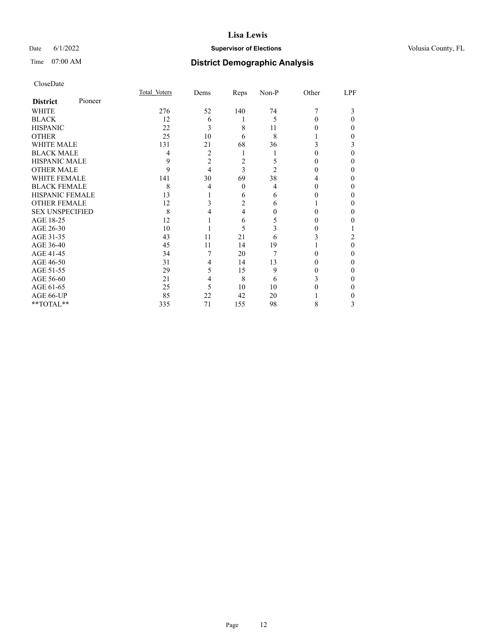## Date 6/1/2022 **Supervisor of Elections Supervisor of Elections** Volusia County, FL

| CloseDate |
|-----------|
|-----------|

|                        |         | Total Voters | Dems           | Reps           | Non-P          | Other | LPF |
|------------------------|---------|--------------|----------------|----------------|----------------|-------|-----|
| <b>District</b>        | Pioneer |              |                |                |                |       |     |
| <b>WHITE</b>           |         | 276          | 52             | 140            | 74             | 7     | 3   |
| <b>BLACK</b>           |         | 12           | 6              |                | 5              |       | 0   |
| <b>HISPANIC</b>        |         | 22           | 3              | 8              | 11             |       | 0   |
| <b>OTHER</b>           |         | 25           | 10             | 6              | 8              |       | 0   |
| <b>WHITE MALE</b>      |         | 131          | 21             | 68             | 36             |       | 3   |
| <b>BLACK MALE</b>      |         | 4            | $\overline{c}$ | 1              |                |       | 0   |
| <b>HISPANIC MALE</b>   |         | 9            | $\overline{c}$ | $\overline{c}$ | 5              |       |     |
| <b>OTHER MALE</b>      |         | 9            | 4              | 3              | $\mathfrak{D}$ |       | 0   |
| <b>WHITE FEMALE</b>    |         | 141          | 30             | 69             | 38             |       |     |
| <b>BLACK FEMALE</b>    |         | 8            | 4              | 0              | 4              |       | 0   |
| <b>HISPANIC FEMALE</b> |         | 13           |                | 6              | 6              |       | 0   |
| <b>OTHER FEMALE</b>    |         | 12           | 3              | $\overline{c}$ | 6              |       | 0   |
| <b>SEX UNSPECIFIED</b> |         | 8            |                | 4              | $_{0}$         |       | 0   |
| AGE 18-25              |         | 12           |                | 6              | 5              |       |     |
| AGE 26-30              |         | 10           |                | 5              | 3              |       |     |
| AGE 31-35              |         | 43           | 11             | 21             | 6              |       | 2   |
| AGE 36-40              |         | 45           | 11             | 14             | 19             |       | 0   |
| AGE 41-45              |         | 34           | 7              | 20             | 7              |       | 0   |
| AGE 46-50              |         | 31           | 4              | 14             | 13             |       | 0   |
| AGE 51-55              |         | 29           | 5              | 15             | 9              |       | 0   |
| AGE 56-60              |         | 21           | 4              | 8              | 6              | 3     | 0   |
| AGE 61-65              |         | 25           | 5              | 10             | 10             |       | 0   |
| AGE 66-UP              |         | 85           | 22             | 42             | 20             |       |     |
| **TOTAL**              |         | 335          | 71             | 155            | 98             | 8     | 3   |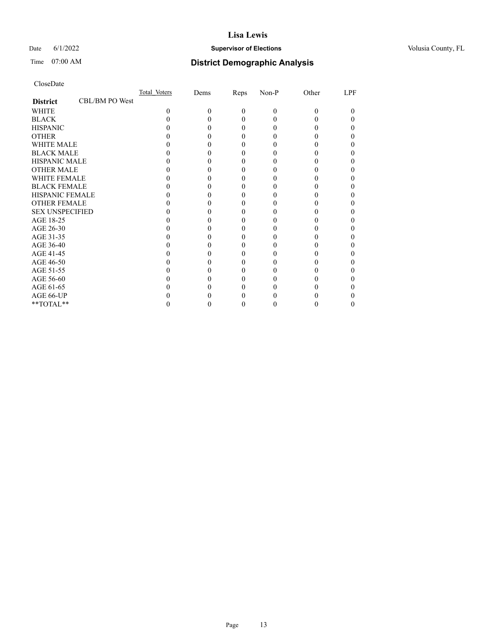## Date 6/1/2022 **Supervisor of Elections Supervisor of Elections** Volusia County, FL

# Time 07:00 AM **District Demographic Analysis**

|                        |                | Total Voters | Dems | Reps     | Non-P    | Other    | LPF |
|------------------------|----------------|--------------|------|----------|----------|----------|-----|
| <b>District</b>        | CBL/BM PO West |              |      |          |          |          |     |
| WHITE                  |                | $\Omega$     | 0    | $\Omega$ | $\theta$ | $\Omega$ | 0   |
| <b>BLACK</b>           |                |              |      | 0        | 0        |          |     |
| <b>HISPANIC</b>        |                |              |      | 0        | 0        |          |     |
| <b>OTHER</b>           |                |              |      |          |          |          |     |
| <b>WHITE MALE</b>      |                |              |      |          |          |          |     |
| <b>BLACK MALE</b>      |                |              |      |          |          |          |     |
| <b>HISPANIC MALE</b>   |                |              |      |          |          |          |     |
| <b>OTHER MALE</b>      |                |              |      |          |          |          |     |
| <b>WHITE FEMALE</b>    |                |              |      |          |          |          |     |
| <b>BLACK FEMALE</b>    |                |              |      |          |          |          |     |
| <b>HISPANIC FEMALE</b> |                |              |      |          |          |          |     |
| <b>OTHER FEMALE</b>    |                |              |      |          |          |          |     |
| <b>SEX UNSPECIFIED</b> |                |              |      |          |          |          |     |
| AGE 18-25              |                |              |      |          |          |          |     |
| AGE 26-30              |                |              |      |          |          |          |     |
| AGE 31-35              |                |              |      |          |          |          |     |
| AGE 36-40              |                |              |      |          |          |          |     |
| AGE 41-45              |                |              |      |          |          |          |     |
| AGE 46-50              |                |              |      |          |          |          |     |
| AGE 51-55              |                |              |      |          |          |          |     |
| AGE 56-60              |                |              |      |          |          |          |     |
| AGE 61-65              |                |              |      |          |          |          |     |
| AGE 66-UP              |                |              |      |          |          |          |     |
| **TOTAL**              |                |              |      | 0        | 0        | 0        | 0   |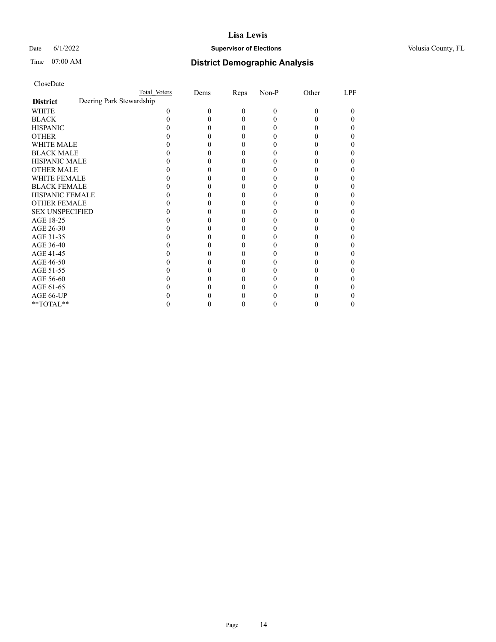## Date 6/1/2022 **Supervisor of Elections Supervisor of Elections** Volusia County, FL

| CloseDate |
|-----------|
|-----------|

|                                             | Total Voters | Dems | Reps | Non-P    | Other | LPF |
|---------------------------------------------|--------------|------|------|----------|-------|-----|
| Deering Park Stewardship<br><b>District</b> |              |      |      |          |       |     |
| WHITE                                       | 0            | 0    | 0    | $\theta$ | 0     |     |
| <b>BLACK</b>                                |              |      | 0    |          |       |     |
| <b>HISPANIC</b>                             |              |      | 0    |          |       |     |
| <b>OTHER</b>                                |              |      |      |          |       |     |
| WHITE MALE                                  |              |      |      |          |       |     |
| <b>BLACK MALE</b>                           |              |      |      |          |       |     |
| <b>HISPANIC MALE</b>                        |              |      |      |          |       |     |
| <b>OTHER MALE</b>                           |              |      |      |          |       |     |
| <b>WHITE FEMALE</b>                         |              |      |      |          |       |     |
| <b>BLACK FEMALE</b>                         |              |      | 0    |          |       |     |
| HISPANIC FEMALE                             |              |      |      |          |       |     |
| <b>OTHER FEMALE</b>                         |              |      | 0    |          |       |     |
| <b>SEX UNSPECIFIED</b>                      |              |      |      |          |       |     |
| AGE 18-25                                   |              |      |      |          |       |     |
| AGE 26-30                                   |              |      |      |          |       |     |
| AGE 31-35                                   |              |      |      |          |       |     |
| AGE 36-40                                   |              |      | 0    |          |       |     |
| AGE 41-45                                   |              |      |      |          |       |     |
| AGE 46-50                                   |              |      | 0    |          |       |     |
| AGE 51-55                                   |              |      |      |          |       |     |
| AGE 56-60                                   |              |      |      |          |       |     |
| AGE 61-65                                   |              |      |      |          |       |     |
| AGE 66-UP                                   |              |      |      |          |       |     |
| **TOTAL**                                   |              |      | 0    |          |       |     |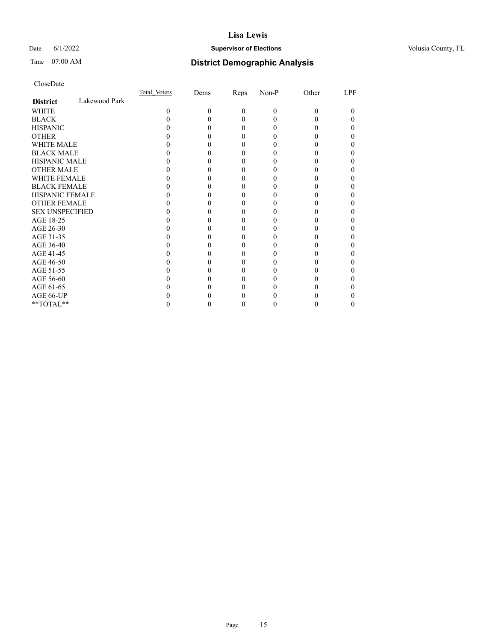## Date 6/1/2022 **Supervisor of Elections Supervisor of Elections** Volusia County, FL

# Time 07:00 AM **District Demographic Analysis**

|                        |               | Total Voters | Dems     | Reps     | Non-P    | Other    | LPF |
|------------------------|---------------|--------------|----------|----------|----------|----------|-----|
| <b>District</b>        | Lakewood Park |              |          |          |          |          |     |
| <b>WHITE</b>           |               | $\Omega$     | $\Omega$ | $\theta$ | $\theta$ | $\Omega$ | 0   |
| <b>BLACK</b>           |               |              |          | 0        |          |          | 0   |
| <b>HISPANIC</b>        |               |              |          | 0        | 0        | 0        | 0   |
| <b>OTHER</b>           |               |              |          |          |          |          |     |
| WHITE MALE             |               |              |          |          |          |          |     |
| <b>BLACK MALE</b>      |               |              |          |          |          |          |     |
| <b>HISPANIC MALE</b>   |               |              |          |          |          |          |     |
| <b>OTHER MALE</b>      |               |              |          |          |          |          | 0   |
| <b>WHITE FEMALE</b>    |               |              |          |          |          |          |     |
| <b>BLACK FEMALE</b>    |               |              |          | 0        |          |          | 0   |
| <b>HISPANIC FEMALE</b> |               |              |          |          |          |          |     |
| <b>OTHER FEMALE</b>    |               |              |          |          |          |          |     |
| <b>SEX UNSPECIFIED</b> |               |              |          |          |          |          |     |
| AGE 18-25              |               |              |          |          |          |          |     |
| AGE 26-30              |               |              |          |          |          |          |     |
| AGE 31-35              |               |              |          |          |          |          |     |
| AGE 36-40              |               |              |          | 0        |          |          | 0   |
| AGE 41-45              |               |              |          |          |          |          |     |
| AGE 46-50              |               |              |          |          |          |          |     |
| AGE 51-55              |               |              |          |          |          |          |     |
| AGE 56-60              |               |              |          |          |          |          |     |
| AGE 61-65              |               |              |          |          |          |          |     |
| AGE 66-UP              |               |              |          |          |          |          |     |
| **TOTAL**              |               |              |          | 0        |          | 0        | 0   |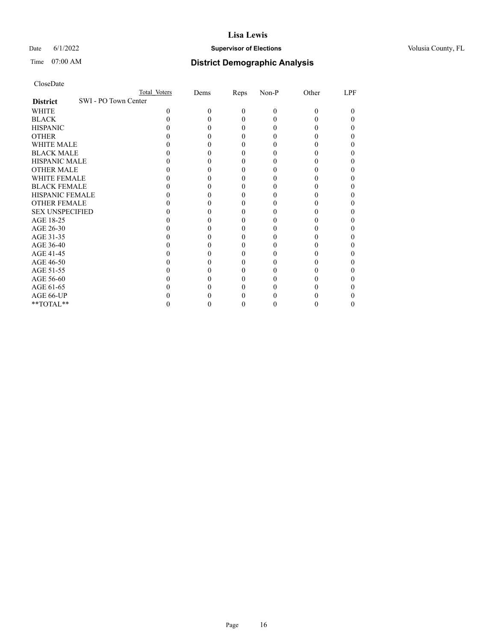## Date 6/1/2022 **Supervisor of Elections Supervisor of Elections** Volusia County, FL

| CloseDate |
|-----------|
|-----------|

|                                         | Total Voters | Dems | Reps     | Non-P    | Other | LPF |
|-----------------------------------------|--------------|------|----------|----------|-------|-----|
| SWI - PO Town Center<br><b>District</b> |              |      |          |          |       |     |
| WHITE                                   | 0            | 0    | $\Omega$ | $\theta$ | 0     | 0   |
| <b>BLACK</b>                            |              |      | 0        | 0        |       |     |
| <b>HISPANIC</b>                         |              |      | 0        | 0        |       |     |
| <b>OTHER</b>                            |              |      |          |          |       |     |
| WHITE MALE                              |              |      |          |          |       |     |
| <b>BLACK MALE</b>                       |              |      |          |          |       |     |
| <b>HISPANIC MALE</b>                    |              |      |          |          |       |     |
| <b>OTHER MALE</b>                       |              |      |          |          |       |     |
| <b>WHITE FEMALE</b>                     |              |      |          |          |       |     |
| <b>BLACK FEMALE</b>                     |              |      |          |          |       |     |
| <b>HISPANIC FEMALE</b>                  |              |      |          |          |       |     |
| <b>OTHER FEMALE</b>                     |              |      |          |          |       |     |
| <b>SEX UNSPECIFIED</b>                  |              |      |          |          |       |     |
| AGE 18-25                               |              |      |          |          |       |     |
| AGE 26-30                               |              |      |          |          |       |     |
| AGE 31-35                               |              |      |          |          |       |     |
| AGE 36-40                               |              |      |          |          |       |     |
| AGE 41-45                               |              |      |          |          |       |     |
| AGE 46-50                               |              |      |          |          |       |     |
| AGE 51-55                               |              |      |          |          |       |     |
| AGE 56-60                               |              |      |          |          |       |     |
| AGE 61-65                               |              |      |          |          |       |     |
| AGE 66-UP                               |              |      |          |          |       |     |
| **TOTAL**                               |              |      |          |          |       |     |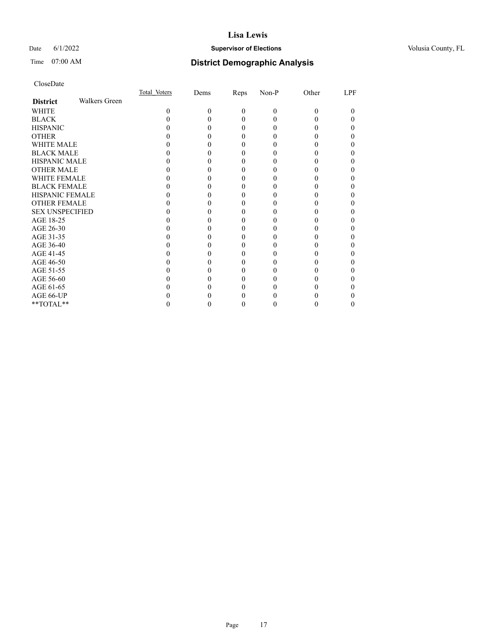## Date 6/1/2022 **Supervisor of Elections Supervisor of Elections** Volusia County, FL

# Time 07:00 AM **District Demographic Analysis**

|                        |               | Total Voters | Dems | Reps     | Non-P    | Other | LPF |
|------------------------|---------------|--------------|------|----------|----------|-------|-----|
| <b>District</b>        | Walkers Green |              |      |          |          |       |     |
| WHITE                  |               | 0            | 0    | $\theta$ | $\Omega$ | 0     | 0   |
| <b>BLACK</b>           |               |              |      | 0        |          |       |     |
| <b>HISPANIC</b>        |               |              |      | $_{0}$   |          |       |     |
| <b>OTHER</b>           |               |              |      |          |          |       |     |
| <b>WHITE MALE</b>      |               |              |      |          |          |       |     |
| <b>BLACK MALE</b>      |               |              |      |          |          |       |     |
| <b>HISPANIC MALE</b>   |               |              |      |          |          |       |     |
| <b>OTHER MALE</b>      |               |              |      |          |          |       |     |
| <b>WHITE FEMALE</b>    |               |              |      |          |          |       |     |
| <b>BLACK FEMALE</b>    |               |              |      | 0        |          |       |     |
| <b>HISPANIC FEMALE</b> |               |              |      |          |          |       |     |
| <b>OTHER FEMALE</b>    |               |              |      |          |          |       |     |
| <b>SEX UNSPECIFIED</b> |               |              |      |          |          |       |     |
| AGE 18-25              |               |              |      |          |          |       |     |
| AGE 26-30              |               |              |      |          |          |       |     |
| AGE 31-35              |               |              |      |          |          |       |     |
| AGE 36-40              |               |              |      | $\theta$ |          |       |     |
| AGE 41-45              |               |              |      |          |          |       |     |
| AGE 46-50              |               |              |      |          |          |       |     |
| AGE 51-55              |               |              |      |          |          |       |     |
| AGE 56-60              |               |              |      |          |          |       |     |
| AGE 61-65              |               |              |      |          |          |       |     |
| AGE 66-UP              |               |              |      |          |          |       |     |
| **TOTAL**              |               |              |      | 0        |          |       |     |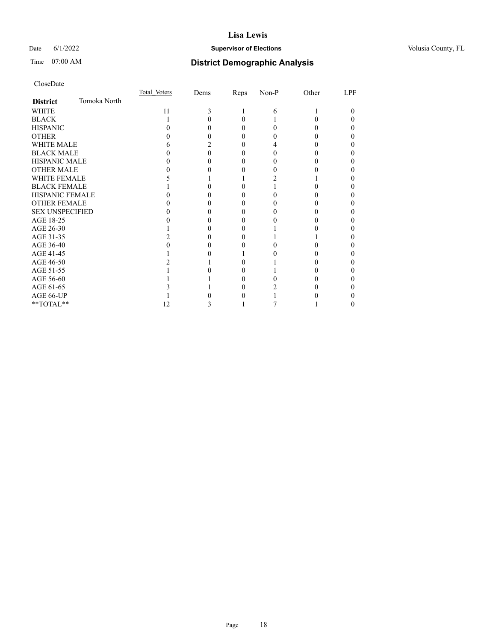## Date 6/1/2022 **Supervisor of Elections Supervisor of Elections** Volusia County, FL

# Time 07:00 AM **District Demographic Analysis**

|                        |              | Total Voters | Dems | Reps     | Non-P | Other | LPF |
|------------------------|--------------|--------------|------|----------|-------|-------|-----|
| <b>District</b>        | Tomoka North |              |      |          |       |       |     |
| WHITE                  |              | 11           | 3    |          | 6     |       | 0   |
| <b>BLACK</b>           |              |              |      | 0        |       |       |     |
| <b>HISPANIC</b>        |              |              |      | $\theta$ | 0     |       |     |
| <b>OTHER</b>           |              |              |      |          |       |       |     |
| <b>WHITE MALE</b>      |              | n            |      |          |       |       |     |
| <b>BLACK MALE</b>      |              |              |      |          |       |       |     |
| <b>HISPANIC MALE</b>   |              |              |      |          |       |       |     |
| <b>OTHER MALE</b>      |              |              |      |          |       |       |     |
| <b>WHITE FEMALE</b>    |              |              |      |          |       |       |     |
| <b>BLACK FEMALE</b>    |              |              |      | 0        |       |       |     |
| <b>HISPANIC FEMALE</b> |              |              |      |          |       |       |     |
| <b>OTHER FEMALE</b>    |              |              |      |          |       |       |     |
| <b>SEX UNSPECIFIED</b> |              |              |      |          |       |       |     |
| AGE 18-25              |              |              |      |          |       |       |     |
| AGE 26-30              |              |              |      |          |       |       |     |
| AGE 31-35              |              |              |      |          |       |       |     |
| AGE 36-40              |              |              |      |          |       |       |     |
| AGE 41-45              |              |              |      |          |       |       |     |
| AGE 46-50              |              |              |      |          |       |       |     |
| AGE 51-55              |              |              |      |          |       |       |     |
| AGE 56-60              |              |              |      |          |       |       |     |
| AGE 61-65              |              |              |      |          |       |       |     |
| AGE 66-UP              |              |              |      |          |       |       |     |
| **TOTAL**              |              | 12           | 3    |          |       |       | 0   |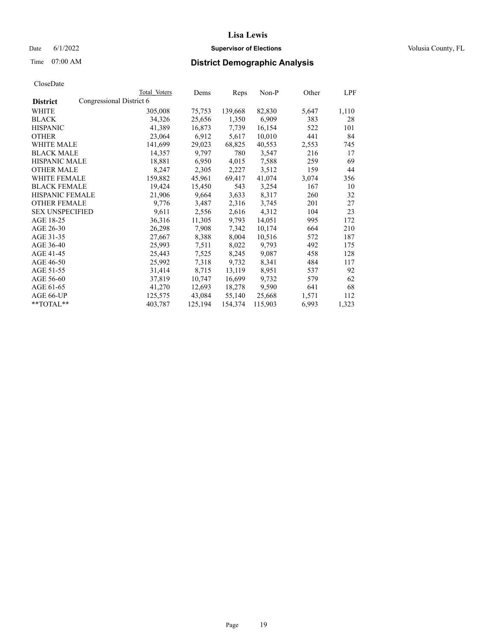## Date 6/1/2022 **Supervisor of Elections Supervisor of Elections** Volusia County, FL

| CloseDate |
|-----------|
|-----------|

|                                             | Total Voters | Dems    | Reps    | Non-P   | Other | LPF   |
|---------------------------------------------|--------------|---------|---------|---------|-------|-------|
| Congressional District 6<br><b>District</b> |              |         |         |         |       |       |
| WHITE                                       | 305,008      | 75,753  | 139,668 | 82,830  | 5,647 | 1,110 |
| <b>BLACK</b>                                | 34,326       | 25,656  | 1,350   | 6,909   | 383   | 28    |
| <b>HISPANIC</b>                             | 41,389       | 16,873  | 7,739   | 16,154  | 522   | 101   |
| <b>OTHER</b>                                | 23,064       | 6,912   | 5,617   | 10,010  | 441   | 84    |
| <b>WHITE MALE</b>                           | 141,699      | 29,023  | 68,825  | 40,553  | 2,553 | 745   |
| <b>BLACK MALE</b>                           | 14,357       | 9,797   | 780     | 3,547   | 216   | 17    |
| <b>HISPANIC MALE</b>                        | 18,881       | 6,950   | 4,015   | 7,588   | 259   | 69    |
| <b>OTHER MALE</b>                           | 8,247        | 2,305   | 2,227   | 3,512   | 159   | 44    |
| <b>WHITE FEMALE</b>                         | 159,882      | 45,961  | 69,417  | 41,074  | 3,074 | 356   |
| <b>BLACK FEMALE</b>                         | 19,424       | 15,450  | 543     | 3,254   | 167   | 10    |
| <b>HISPANIC FEMALE</b>                      | 21,906       | 9,664   | 3,633   | 8,317   | 260   | 32    |
| <b>OTHER FEMALE</b>                         | 9,776        | 3,487   | 2,316   | 3,745   | 201   | 27    |
| <b>SEX UNSPECIFIED</b>                      | 9,611        | 2,556   | 2,616   | 4,312   | 104   | 23    |
| AGE 18-25                                   | 36,316       | 11,305  | 9,793   | 14,051  | 995   | 172   |
| AGE 26-30                                   | 26,298       | 7,908   | 7,342   | 10,174  | 664   | 210   |
| AGE 31-35                                   | 27,667       | 8,388   | 8,004   | 10,516  | 572   | 187   |
| AGE 36-40                                   | 25,993       | 7,511   | 8,022   | 9,793   | 492   | 175   |
| AGE 41-45                                   | 25,443       | 7,525   | 8,245   | 9,087   | 458   | 128   |
| AGE 46-50                                   | 25,992       | 7,318   | 9,732   | 8,341   | 484   | 117   |
| AGE 51-55                                   | 31,414       | 8,715   | 13,119  | 8,951   | 537   | 92    |
| AGE 56-60                                   | 37,819       | 10,747  | 16,699  | 9,732   | 579   | 62    |
| AGE 61-65                                   | 41,270       | 12,693  | 18,278  | 9,590   | 641   | 68    |
| AGE 66-UP                                   | 125,575      | 43,084  | 55,140  | 25,668  | 1,571 | 112   |
| $*$ $TOTAL**$                               | 403,787      | 125,194 | 154,374 | 115,903 | 6,993 | 1,323 |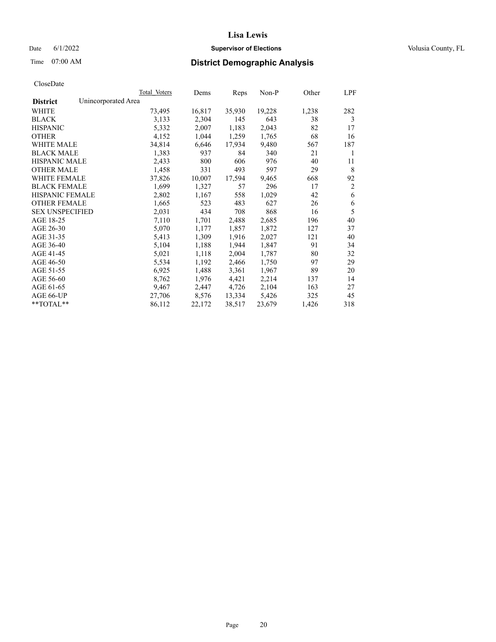## Date 6/1/2022 **Supervisor of Elections Supervisor of Elections** Volusia County, FL

# Time 07:00 AM **District Demographic Analysis**

|                        | Total Voters        | Dems   | Reps   | Non-P  | Other | LPF            |
|------------------------|---------------------|--------|--------|--------|-------|----------------|
| <b>District</b>        | Unincorporated Area |        |        |        |       |                |
| WHITE                  | 73,495              | 16,817 | 35,930 | 19,228 | 1,238 | 282            |
| <b>BLACK</b>           | 3,133               | 2,304  | 145    | 643    | 38    | 3              |
| <b>HISPANIC</b>        | 5,332               | 2,007  | 1,183  | 2,043  | 82    | 17             |
| <b>OTHER</b>           | 4,152               | 1,044  | 1,259  | 1,765  | 68    | 16             |
| <b>WHITE MALE</b>      | 34,814              | 6,646  | 17,934 | 9,480  | 567   | 187            |
| <b>BLACK MALE</b>      | 1,383               | 937    | 84     | 340    | 21    | 1              |
| <b>HISPANIC MALE</b>   | 2,433               | 800    | 606    | 976    | 40    | 11             |
| <b>OTHER MALE</b>      | 1,458               | 331    | 493    | 597    | 29    | 8              |
| <b>WHITE FEMALE</b>    | 37,826              | 10,007 | 17,594 | 9,465  | 668   | 92             |
| <b>BLACK FEMALE</b>    | 1,699               | 1,327  | 57     | 296    | 17    | $\overline{2}$ |
| <b>HISPANIC FEMALE</b> | 2,802               | 1,167  | 558    | 1,029  | 42    | 6              |
| <b>OTHER FEMALE</b>    | 1,665               | 523    | 483    | 627    | 26    | 6              |
| <b>SEX UNSPECIFIED</b> | 2,031               | 434    | 708    | 868    | 16    | 5              |
| AGE 18-25              | 7,110               | 1,701  | 2,488  | 2,685  | 196   | 40             |
| AGE 26-30              | 5,070               | 1,177  | 1,857  | 1,872  | 127   | 37             |
| AGE 31-35              | 5,413               | 1,309  | 1,916  | 2,027  | 121   | 40             |
| AGE 36-40              | 5,104               | 1,188  | 1,944  | 1,847  | 91    | 34             |
| AGE 41-45              | 5,021               | 1,118  | 2,004  | 1,787  | 80    | 32             |
| AGE 46-50              | 5,534               | 1,192  | 2,466  | 1,750  | 97    | 29             |
| AGE 51-55              | 6,925               | 1,488  | 3,361  | 1,967  | 89    | 20             |
| AGE 56-60              | 8,762               | 1,976  | 4,421  | 2,214  | 137   | 14             |
| AGE 61-65              | 9,467               | 2,447  | 4,726  | 2,104  | 163   | 27             |
| AGE 66-UP              | 27,706              | 8,576  | 13,334 | 5,426  | 325   | 45             |
| $*$ $TOTAL**$          | 86,112              | 22,172 | 38,517 | 23,679 | 1,426 | 318            |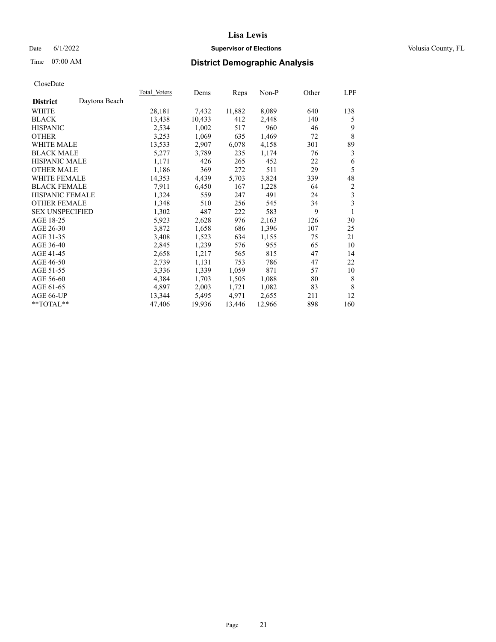## Date 6/1/2022 **Supervisor of Elections Supervisor of Elections** Volusia County, FL

# Time 07:00 AM **District Demographic Analysis**

|                                  | Total Voters | Dems   | Reps   | Non-P  | Other | LPF            |
|----------------------------------|--------------|--------|--------|--------|-------|----------------|
| Daytona Beach<br><b>District</b> |              |        |        |        |       |                |
| WHITE                            | 28,181       | 7,432  | 11,882 | 8,089  | 640   | 138            |
| <b>BLACK</b>                     | 13,438       | 10,433 | 412    | 2,448  | 140   | 5              |
| <b>HISPANIC</b>                  | 2,534        | 1,002  | 517    | 960    | 46    | 9              |
| <b>OTHER</b>                     | 3,253        | 1,069  | 635    | 1,469  | 72    | 8              |
| WHITE MALE                       | 13,533       | 2,907  | 6,078  | 4,158  | 301   | 89             |
| <b>BLACK MALE</b>                | 5,277        | 3,789  | 235    | 1,174  | 76    | 3              |
| <b>HISPANIC MALE</b>             | 1,171        | 426    | 265    | 452    | 22    | 6              |
| <b>OTHER MALE</b>                | 1,186        | 369    | 272    | 511    | 29    | 5              |
| WHITE FEMALE                     | 14,353       | 4,439  | 5,703  | 3,824  | 339   | 48             |
| <b>BLACK FEMALE</b>              | 7,911        | 6,450  | 167    | 1,228  | 64    | $\overline{c}$ |
| <b>HISPANIC FEMALE</b>           | 1,324        | 559    | 247    | 491    | 24    | 3              |
| <b>OTHER FEMALE</b>              | 1,348        | 510    | 256    | 545    | 34    | 3              |
| <b>SEX UNSPECIFIED</b>           | 1,302        | 487    | 222    | 583    | 9     | 1              |
| AGE 18-25                        | 5,923        | 2,628  | 976    | 2,163  | 126   | 30             |
| AGE 26-30                        | 3,872        | 1,658  | 686    | 1,396  | 107   | 25             |
| AGE 31-35                        | 3,408        | 1,523  | 634    | 1,155  | 75    | 21             |
| AGE 36-40                        | 2,845        | 1,239  | 576    | 955    | 65    | 10             |
| AGE 41-45                        | 2,658        | 1,217  | 565    | 815    | 47    | 14             |
| AGE 46-50                        | 2,739        | 1,131  | 753    | 786    | 47    | 22             |
| AGE 51-55                        | 3,336        | 1,339  | 1,059  | 871    | 57    | 10             |
| AGE 56-60                        | 4,384        | 1,703  | 1,505  | 1,088  | 80    | 8              |
| AGE 61-65                        | 4,897        | 2,003  | 1,721  | 1,082  | 83    | 8              |
| AGE 66-UP                        | 13,344       | 5,495  | 4,971  | 2,655  | 211   | 12             |
| **TOTAL**                        | 47,406       | 19,936 | 13,446 | 12,966 | 898   | 160            |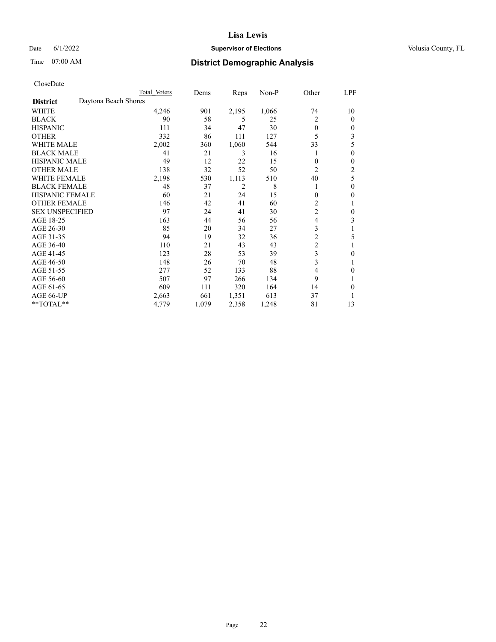## Date 6/1/2022 **Supervisor of Elections Supervisor of Elections** Volusia County, FL

# Time 07:00 AM **District Demographic Analysis**

|                        |                      | Total Voters | Dems  | Reps  | Non-P | Other          | LPF            |
|------------------------|----------------------|--------------|-------|-------|-------|----------------|----------------|
| <b>District</b>        | Daytona Beach Shores |              |       |       |       |                |                |
| WHITE                  |                      | 4,246        | 901   | 2,195 | 1,066 | 74             | 10             |
| <b>BLACK</b>           |                      | 90           | 58    | 5     | 25    | $\overline{2}$ | $\mathbf{0}$   |
| <b>HISPANIC</b>        |                      | 111          | 34    | 47    | 30    | $\theta$       | $\Omega$       |
| <b>OTHER</b>           |                      | 332          | 86    | 111   | 127   | 5              | 3              |
| <b>WHITE MALE</b>      |                      | 2,002        | 360   | 1,060 | 544   | 33             | 5              |
| <b>BLACK MALE</b>      |                      | 41           | 21    | 3     | 16    |                | $\theta$       |
| <b>HISPANIC MALE</b>   |                      | 49           | 12    | 22    | 15    | $\mathbf{0}$   | $\theta$       |
| <b>OTHER MALE</b>      |                      | 138          | 32    | 52    | 50    | $\overline{2}$ | $\overline{2}$ |
| WHITE FEMALE           |                      | 2,198        | 530   | 1,113 | 510   | 40             | 5              |
| <b>BLACK FEMALE</b>    |                      | 48           | 37    | 2     | 8     |                | $\theta$       |
| <b>HISPANIC FEMALE</b> |                      | 60           | 21    | 24    | 15    | $\theta$       | $\theta$       |
| <b>OTHER FEMALE</b>    |                      | 146          | 42    | 41    | 60    | 2              |                |
| <b>SEX UNSPECIFIED</b> |                      | 97           | 24    | 41    | 30    | $\overline{c}$ | $\theta$       |
| AGE 18-25              |                      | 163          | 44    | 56    | 56    | $\overline{4}$ | 3              |
| AGE 26-30              |                      | 85           | 20    | 34    | 27    | 3              |                |
| AGE 31-35              |                      | 94           | 19    | 32    | 36    | $\overline{c}$ | 5              |
| AGE 36-40              |                      | 110          | 21    | 43    | 43    | $\overline{c}$ |                |
| AGE 41-45              |                      | 123          | 28    | 53    | 39    | 3              | 0              |
| AGE 46-50              |                      | 148          | 26    | 70    | 48    | 3              |                |
| AGE 51-55              |                      | 277          | 52    | 133   | 88    | 4              | 0              |
| AGE 56-60              |                      | 507          | 97    | 266   | 134   | 9              |                |
| AGE 61-65              |                      | 609          | 111   | 320   | 164   | 14             | 0              |
| AGE 66-UP              |                      | 2,663        | 661   | 1,351 | 613   | 37             |                |
| **TOTAL**              |                      | 4,779        | 1,079 | 2,358 | 1,248 | 81             | 13             |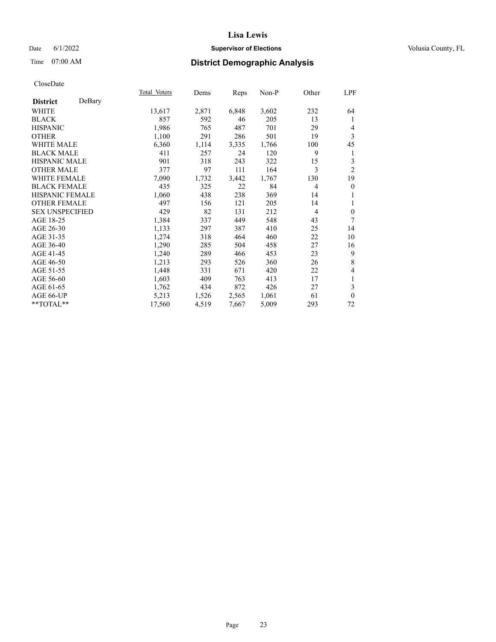## Date 6/1/2022 **Supervisor of Elections Supervisor of Elections** Volusia County, FL

# Time 07:00 AM **District Demographic Analysis**

|                        |        | Total Voters | Dems  | Reps  | Non-P | Other          | LPF            |
|------------------------|--------|--------------|-------|-------|-------|----------------|----------------|
| <b>District</b>        | DeBary |              |       |       |       |                |                |
| WHITE                  |        | 13,617       | 2,871 | 6,848 | 3,602 | 232            | 64             |
| <b>BLACK</b>           |        | 857          | 592   | 46    | 205   | 13             | 1              |
| <b>HISPANIC</b>        |        | 1,986        | 765   | 487   | 701   | 29             | 4              |
| <b>OTHER</b>           |        | 1,100        | 291   | 286   | 501   | 19             | 3              |
| WHITE MALE             |        | 6,360        | 1,114 | 3,335 | 1,766 | 100            | 45             |
| <b>BLACK MALE</b>      |        | 411          | 257   | 24    | 120   | 9              | 1              |
| <b>HISPANIC MALE</b>   |        | 901          | 318   | 243   | 322   | 15             | 3              |
| <b>OTHER MALE</b>      |        | 377          | 97    | 111   | 164   | 3              | $\overline{2}$ |
| <b>WHITE FEMALE</b>    |        | 7,090        | 1,732 | 3,442 | 1,767 | 130            | 19             |
| <b>BLACK FEMALE</b>    |        | 435          | 325   | 22    | 84    | $\overline{4}$ | $\theta$       |
| <b>HISPANIC FEMALE</b> |        | 1,060        | 438   | 238   | 369   | 14             | 1              |
| <b>OTHER FEMALE</b>    |        | 497          | 156   | 121   | 205   | 14             | 1              |
| <b>SEX UNSPECIFIED</b> |        | 429          | 82    | 131   | 212   | $\overline{4}$ | $\theta$       |
| AGE 18-25              |        | 1,384        | 337   | 449   | 548   | 43             | 7              |
| AGE 26-30              |        | 1,133        | 297   | 387   | 410   | 25             | 14             |
| AGE 31-35              |        | 1,274        | 318   | 464   | 460   | 22             | 10             |
| AGE 36-40              |        | 1,290        | 285   | 504   | 458   | 27             | 16             |
| AGE 41-45              |        | 1,240        | 289   | 466   | 453   | 23             | 9              |
| AGE 46-50              |        | 1,213        | 293   | 526   | 360   | 26             | 8              |
| AGE 51-55              |        | 1,448        | 331   | 671   | 420   | 22             | 4              |
| AGE 56-60              |        | 1,603        | 409   | 763   | 413   | 17             | 1              |
| AGE 61-65              |        | 1,762        | 434   | 872   | 426   | 27             | 3              |
| AGE 66-UP              |        | 5,213        | 1,526 | 2,565 | 1,061 | 61             | $\mathbf{0}$   |
| **TOTAL**              |        | 17,560       | 4,519 | 7,667 | 5,009 | 293            | 72             |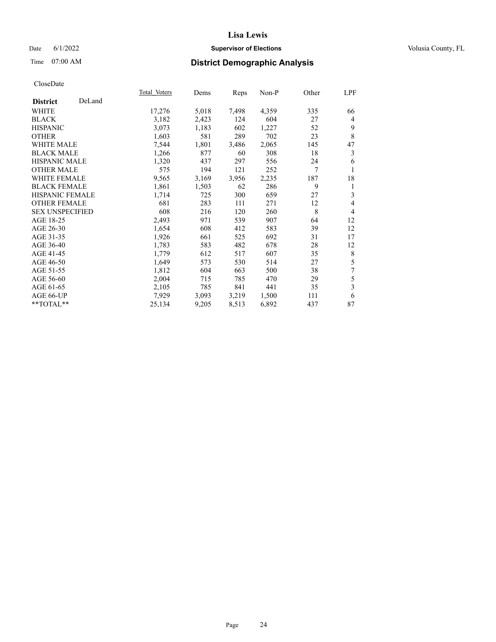## Date 6/1/2022 **Supervisor of Elections Supervisor of Elections** Volusia County, FL

# Time 07:00 AM **District Demographic Analysis**

|                           | Total Voters | Dems  | Reps  | Non-P | Other | LPF            |
|---------------------------|--------------|-------|-------|-------|-------|----------------|
| DeLand<br><b>District</b> |              |       |       |       |       |                |
| WHITE                     | 17,276       | 5,018 | 7,498 | 4,359 | 335   | 66             |
| <b>BLACK</b>              | 3,182        | 2,423 | 124   | 604   | 27    | 4              |
| <b>HISPANIC</b>           | 3,073        | 1,183 | 602   | 1,227 | 52    | 9              |
| <b>OTHER</b>              | 1,603        | 581   | 289   | 702   | 23    | 8              |
| WHITE MALE                | 7,544        | 1,801 | 3,486 | 2,065 | 145   | 47             |
| <b>BLACK MALE</b>         | 1,266        | 877   | 60    | 308   | 18    | 3              |
| HISPANIC MALE             | 1,320        | 437   | 297   | 556   | 24    | 6              |
| <b>OTHER MALE</b>         | 575          | 194   | 121   | 252   | 7     |                |
| WHITE FEMALE              | 9,565        | 3,169 | 3,956 | 2,235 | 187   | 18             |
| <b>BLACK FEMALE</b>       | 1,861        | 1,503 | 62    | 286   | 9     | 1              |
| <b>HISPANIC FEMALE</b>    | 1,714        | 725   | 300   | 659   | 27    | 3              |
| <b>OTHER FEMALE</b>       | 681          | 283   | 111   | 271   | 12    | 4              |
| <b>SEX UNSPECIFIED</b>    | 608          | 216   | 120   | 260   | 8     | $\overline{4}$ |
| AGE 18-25                 | 2,493        | 971   | 539   | 907   | 64    | 12             |
| AGE 26-30                 | 1,654        | 608   | 412   | 583   | 39    | 12             |
| AGE 31-35                 | 1,926        | 661   | 525   | 692   | 31    | 17             |
| AGE 36-40                 | 1,783        | 583   | 482   | 678   | 28    | 12             |
| AGE 41-45                 | 1,779        | 612   | 517   | 607   | 35    | 8              |
| AGE 46-50                 | 1,649        | 573   | 530   | 514   | 27    | 5              |
| AGE 51-55                 | 1,812        | 604   | 663   | 500   | 38    | 7              |
| AGE 56-60                 | 2,004        | 715   | 785   | 470   | 29    | 5              |
| AGE 61-65                 | 2,105        | 785   | 841   | 441   | 35    | 3              |
| AGE 66-UP                 | 7,929        | 3,093 | 3,219 | 1,500 | 111   | 6              |
| $*$ TOTAL $*$             | 25,134       | 9,205 | 8,513 | 6,892 | 437   | 87             |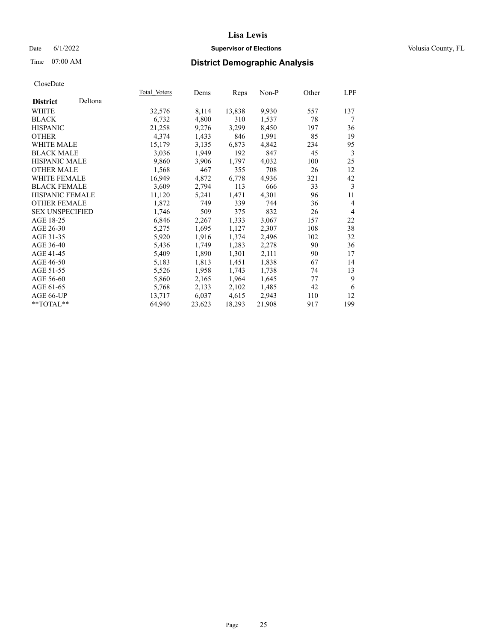## Date 6/1/2022 **Supervisor of Elections Supervisor of Elections** Volusia County, FL

| CloseDate |
|-----------|
|-----------|

|                        |         | Total Voters | Dems   | Reps   | Non-P  | Other | LPF            |
|------------------------|---------|--------------|--------|--------|--------|-------|----------------|
| <b>District</b>        | Deltona |              |        |        |        |       |                |
| WHITE                  |         | 32,576       | 8,114  | 13,838 | 9,930  | 557   | 137            |
| <b>BLACK</b>           |         | 6,732        | 4,800  | 310    | 1,537  | 78    | 7              |
| <b>HISPANIC</b>        |         | 21,258       | 9,276  | 3,299  | 8,450  | 197   | 36             |
| <b>OTHER</b>           |         | 4,374        | 1,433  | 846    | 1,991  | 85    | 19             |
| <b>WHITE MALE</b>      |         | 15,179       | 3,135  | 6,873  | 4,842  | 234   | 95             |
| <b>BLACK MALE</b>      |         | 3,036        | 1,949  | 192    | 847    | 45    | 3              |
| <b>HISPANIC MALE</b>   |         | 9,860        | 3,906  | 1,797  | 4,032  | 100   | 25             |
| <b>OTHER MALE</b>      |         | 1,568        | 467    | 355    | 708    | 26    | 12             |
| <b>WHITE FEMALE</b>    |         | 16,949       | 4,872  | 6,778  | 4,936  | 321   | 42             |
| <b>BLACK FEMALE</b>    |         | 3,609        | 2,794  | 113    | 666    | 33    | 3              |
| <b>HISPANIC FEMALE</b> |         | 11,120       | 5,241  | 1,471  | 4,301  | 96    | 11             |
| <b>OTHER FEMALE</b>    |         | 1,872        | 749    | 339    | 744    | 36    | $\overline{4}$ |
| <b>SEX UNSPECIFIED</b> |         | 1,746        | 509    | 375    | 832    | 26    | $\overline{4}$ |
| AGE 18-25              |         | 6,846        | 2,267  | 1,333  | 3,067  | 157   | 22             |
| AGE 26-30              |         | 5,275        | 1,695  | 1,127  | 2,307  | 108   | 38             |
| AGE 31-35              |         | 5,920        | 1,916  | 1,374  | 2,496  | 102   | 32             |
| AGE 36-40              |         | 5,436        | 1,749  | 1,283  | 2,278  | 90    | 36             |
| AGE 41-45              |         | 5,409        | 1,890  | 1,301  | 2,111  | 90    | 17             |
| AGE 46-50              |         | 5,183        | 1,813  | 1,451  | 1,838  | 67    | 14             |
| AGE 51-55              |         | 5,526        | 1,958  | 1,743  | 1,738  | 74    | 13             |
| AGE 56-60              |         | 5,860        | 2,165  | 1,964  | 1,645  | 77    | 9              |
| AGE 61-65              |         | 5,768        | 2,133  | 2,102  | 1,485  | 42    | 6              |
| AGE 66-UP              |         | 13,717       | 6,037  | 4,615  | 2,943  | 110   | 12             |
| **TOTAL**              |         | 64,940       | 23,623 | 18,293 | 21,908 | 917   | 199            |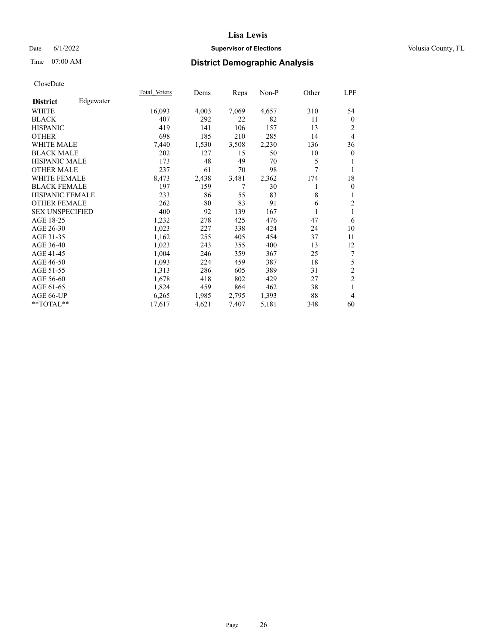## Date 6/1/2022 **Supervisor of Elections Supervisor of Elections** Volusia County, FL

# Time 07:00 AM **District Demographic Analysis**

|                        |           | <b>Total Voters</b> | Dems  | Reps  | $Non-P$ | Other | LPF            |
|------------------------|-----------|---------------------|-------|-------|---------|-------|----------------|
| <b>District</b>        | Edgewater |                     |       |       |         |       |                |
| WHITE                  |           | 16,093              | 4,003 | 7,069 | 4,657   | 310   | 54             |
| <b>BLACK</b>           |           | 407                 | 292   | 22    | 82      | 11    | $\theta$       |
| <b>HISPANIC</b>        |           | 419                 | 141   | 106   | 157     | 13    | 2              |
| <b>OTHER</b>           |           | 698                 | 185   | 210   | 285     | 14    | 4              |
| <b>WHITE MALE</b>      |           | 7,440               | 1,530 | 3,508 | 2,230   | 136   | 36             |
| <b>BLACK MALE</b>      |           | 202                 | 127   | 15    | 50      | 10    | $\mathbf{0}$   |
| <b>HISPANIC MALE</b>   |           | 173                 | 48    | 49    | 70      | 5     |                |
| <b>OTHER MALE</b>      |           | 237                 | 61    | 70    | 98      | 7     | 1              |
| WHITE FEMALE           |           | 8,473               | 2,438 | 3,481 | 2,362   | 174   | 18             |
| <b>BLACK FEMALE</b>    |           | 197                 | 159   | 7     | 30      | 1     | $\overline{0}$ |
| <b>HISPANIC FEMALE</b> |           | 233                 | 86    | 55    | 83      | 8     | 1              |
| <b>OTHER FEMALE</b>    |           | 262                 | 80    | 83    | 91      | 6     | $\overline{c}$ |
| <b>SEX UNSPECIFIED</b> |           | 400                 | 92    | 139   | 167     |       |                |
| AGE 18-25              |           | 1,232               | 278   | 425   | 476     | 47    | 6              |
| AGE 26-30              |           | 1,023               | 227   | 338   | 424     | 24    | 10             |
| AGE 31-35              |           | 1,162               | 255   | 405   | 454     | 37    | 11             |
| AGE 36-40              |           | 1,023               | 243   | 355   | 400     | 13    | 12             |
| AGE 41-45              |           | 1,004               | 246   | 359   | 367     | 25    | 7              |
| AGE 46-50              |           | 1,093               | 224   | 459   | 387     | 18    | 5              |
| AGE 51-55              |           | 1,313               | 286   | 605   | 389     | 31    | $\overline{c}$ |
| AGE 56-60              |           | 1,678               | 418   | 802   | 429     | 27    | $\overline{c}$ |
| AGE 61-65              |           | 1,824               | 459   | 864   | 462     | 38    | 1              |
| AGE 66-UP              |           | 6,265               | 1,985 | 2,795 | 1,393   | 88    | 4              |
| **TOTAL**              |           | 17,617              | 4,621 | 7,407 | 5,181   | 348   | 60             |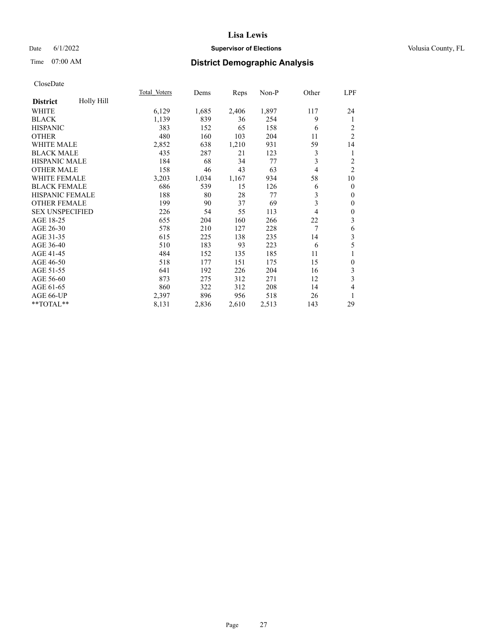## Date 6/1/2022 **Supervisor of Elections Supervisor of Elections** Volusia County, FL

# Time 07:00 AM **District Demographic Analysis**

|                        |            | Total Voters | Dems  | Reps  | Non-P | Other          | LPF              |
|------------------------|------------|--------------|-------|-------|-------|----------------|------------------|
| <b>District</b>        | Holly Hill |              |       |       |       |                |                  |
| WHITE                  |            | 6,129        | 1,685 | 2,406 | 1,897 | 117            | 24               |
| <b>BLACK</b>           |            | 1,139        | 839   | 36    | 254   | 9              | 1                |
| <b>HISPANIC</b>        |            | 383          | 152   | 65    | 158   | 6              | 2                |
| <b>OTHER</b>           |            | 480          | 160   | 103   | 204   | 11             | $\overline{2}$   |
| WHITE MALE             |            | 2,852        | 638   | 1,210 | 931   | 59             | 14               |
| <b>BLACK MALE</b>      |            | 435          | 287   | 21    | 123   | 3              | 1                |
| HISPANIC MALE          |            | 184          | 68    | 34    | 77    | 3              | $\overline{c}$   |
| <b>OTHER MALE</b>      |            | 158          | 46    | 43    | 63    | $\overline{4}$ | $\overline{2}$   |
| WHITE FEMALE           |            | 3,203        | 1,034 | 1,167 | 934   | 58             | 10               |
| <b>BLACK FEMALE</b>    |            | 686          | 539   | 15    | 126   | 6              | $\mathbf{0}$     |
| <b>HISPANIC FEMALE</b> |            | 188          | 80    | 28    | 77    | 3              | $\mathbf{0}$     |
| <b>OTHER FEMALE</b>    |            | 199          | 90    | 37    | 69    | 3              | $\mathbf{0}$     |
| <b>SEX UNSPECIFIED</b> |            | 226          | 54    | 55    | 113   | 4              | $\boldsymbol{0}$ |
| AGE 18-25              |            | 655          | 204   | 160   | 266   | 22             | 3                |
| AGE 26-30              |            | 578          | 210   | 127   | 228   | 7              | 6                |
| AGE 31-35              |            | 615          | 225   | 138   | 235   | 14             | 3                |
| AGE 36-40              |            | 510          | 183   | 93    | 223   | 6              | 5                |
| AGE 41-45              |            | 484          | 152   | 135   | 185   | 11             | 1                |
| AGE 46-50              |            | 518          | 177   | 151   | 175   | 15             | $\mathbf{0}$     |
| AGE 51-55              |            | 641          | 192   | 226   | 204   | 16             | 3                |
| AGE 56-60              |            | 873          | 275   | 312   | 271   | 12             | 3                |
| AGE 61-65              |            | 860          | 322   | 312   | 208   | 14             | 4                |
| AGE 66-UP              |            | 2,397        | 896   | 956   | 518   | 26             | 1                |
| **TOTAL**              |            | 8,131        | 2,836 | 2,610 | 2,513 | 143            | 29               |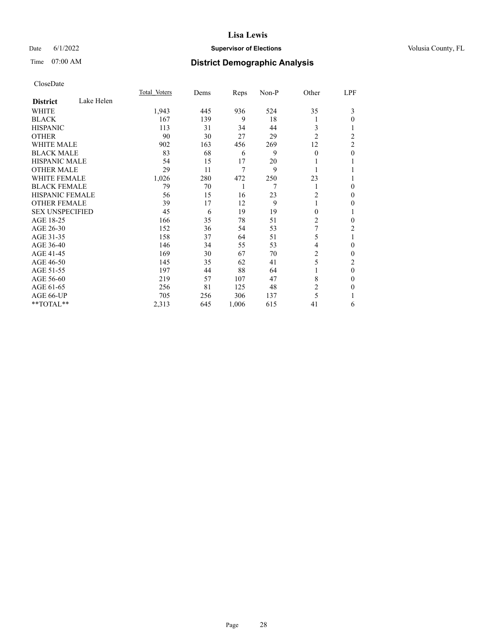## Date 6/1/2022 **Supervisor of Elections Supervisor of Elections** Volusia County, FL

# Time 07:00 AM **District Demographic Analysis**

|                        |            | Total Voters | Dems | Reps  | Non-P | Other          | LPF            |
|------------------------|------------|--------------|------|-------|-------|----------------|----------------|
| <b>District</b>        | Lake Helen |              |      |       |       |                |                |
| WHITE                  |            | 1,943        | 445  | 936   | 524   | 35             | 3              |
| <b>BLACK</b>           |            | 167          | 139  | 9     | 18    | 1              | 0              |
| <b>HISPANIC</b>        |            | 113          | 31   | 34    | 44    | 3              |                |
| <b>OTHER</b>           |            | 90           | 30   | 27    | 29    | $\overline{2}$ | 2              |
| <b>WHITE MALE</b>      |            | 902          | 163  | 456   | 269   | 12             | $\overline{2}$ |
| <b>BLACK MALE</b>      |            | 83           | 68   | 6     | 9     | $\mathbf{0}$   | $\theta$       |
| <b>HISPANIC MALE</b>   |            | 54           | 15   | 17    | 20    |                |                |
| <b>OTHER MALE</b>      |            | 29           | 11   | 7     | 9     | 1              |                |
| <b>WHITE FEMALE</b>    |            | 1,026        | 280  | 472   | 250   | 23             |                |
| <b>BLACK FEMALE</b>    |            | 79           | 70   | 1     | 7     | 1              | 0              |
| <b>HISPANIC FEMALE</b> |            | 56           | 15   | 16    | 23    | $\overline{2}$ | 0              |
| <b>OTHER FEMALE</b>    |            | 39           | 17   | 12    | 9     | 1              | 0              |
| <b>SEX UNSPECIFIED</b> |            | 45           | 6    | 19    | 19    | $\theta$       |                |
| AGE 18-25              |            | 166          | 35   | 78    | 51    | 2              | 0              |
| AGE 26-30              |            | 152          | 36   | 54    | 53    | 7              | 2              |
| AGE 31-35              |            | 158          | 37   | 64    | 51    | 5              |                |
| AGE 36-40              |            | 146          | 34   | 55    | 53    | $\overline{4}$ | 0              |
| AGE 41-45              |            | 169          | 30   | 67    | 70    | 2              | 0              |
| AGE 46-50              |            | 145          | 35   | 62    | 41    | 5              | $\overline{c}$ |
| AGE 51-55              |            | 197          | 44   | 88    | 64    | 1              | $\theta$       |
| AGE 56-60              |            | 219          | 57   | 107   | 47    | 8              | 0              |
| AGE 61-65              |            | 256          | 81   | 125   | 48    | $\overline{c}$ | 0              |
| AGE 66-UP              |            | 705          | 256  | 306   | 137   | 5              |                |
| **TOTAL**              |            | 2,313        | 645  | 1,006 | 615   | 41             | 6              |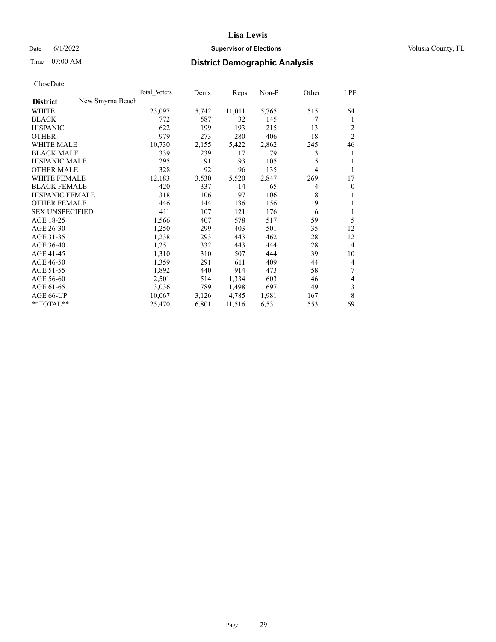## Date 6/1/2022 **Supervisor of Elections Supervisor of Elections** Volusia County, FL

# Time 07:00 AM **District Demographic Analysis**

| Total Voters     | Dems  | Reps   | Non-P | Other | <b>LPF</b>     |
|------------------|-------|--------|-------|-------|----------------|
| New Smyrna Beach |       |        |       |       |                |
| 23,097           | 5,742 | 11,011 | 5,765 | 515   | 64             |
| 772              | 587   | 32     | 145   | 7     | 1              |
| 622              | 199   | 193    | 215   | 13    | 2              |
| 979              | 273   | 280    | 406   | 18    | $\overline{2}$ |
| 10,730           | 2,155 | 5,422  | 2,862 | 245   | 46             |
| 339              | 239   | 17     | 79    | 3     |                |
| 295              | 91    | 93     | 105   | 5     |                |
| 328              | 92    | 96     | 135   | 4     | 1              |
| 12,183           | 3,530 | 5,520  | 2,847 | 269   | 17             |
| 420              | 337   | 14     | 65    | 4     | $\mathbf{0}$   |
| 318              | 106   | 97     | 106   | 8     | 1              |
| 446              | 144   | 136    | 156   | 9     | 1              |
| 411              | 107   | 121    | 176   | 6     | 1              |
| 1,566            | 407   | 578    | 517   | 59    | 5              |
| 1,250            | 299   | 403    | 501   | 35    | 12             |
| 1,238            | 293   | 443    | 462   | 28    | 12             |
| 1,251            | 332   | 443    | 444   | 28    | $\overline{4}$ |
| 1,310            | 310   | 507    | 444   | 39    | 10             |
| 1,359            | 291   | 611    | 409   | 44    | $\overline{4}$ |
| 1,892            | 440   | 914    | 473   | 58    | 7              |
| 2,501            | 514   | 1,334  | 603   | 46    | $\overline{4}$ |
| 3,036            | 789   | 1,498  | 697   | 49    | 3              |
| 10,067           | 3,126 | 4,785  | 1,981 | 167   | 8              |
| 25,470           | 6,801 | 11,516 | 6,531 | 553   | 69             |
|                  |       |        |       |       |                |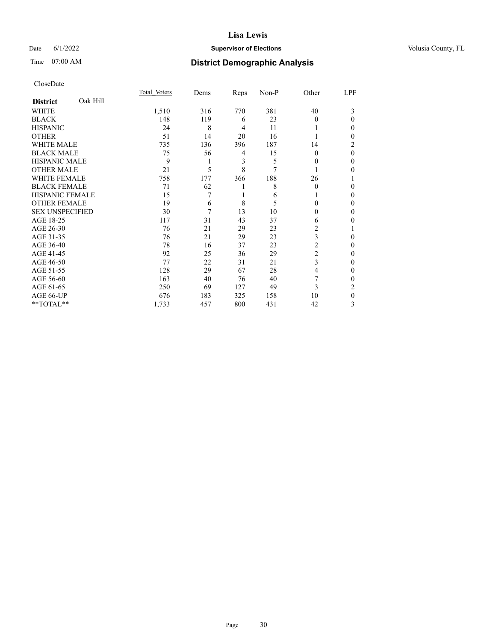## Date 6/1/2022 **Supervisor of Elections Supervisor of Elections** Volusia County, FL

# Time 07:00 AM **District Demographic Analysis**

|                        |          | Total Voters | Dems | Reps           | Non-P | Other          | LPF      |
|------------------------|----------|--------------|------|----------------|-------|----------------|----------|
| <b>District</b>        | Oak Hill |              |      |                |       |                |          |
| WHITE                  |          | 1,510        | 316  | 770            | 381   | 40             | 3        |
| <b>BLACK</b>           |          | 148          | 119  | 6              | 23    | $\Omega$       | 0        |
| <b>HISPANIC</b>        |          | 24           | 8    | $\overline{4}$ | 11    |                | 0        |
| <b>OTHER</b>           |          | 51           | 14   | 20             | 16    |                | 0        |
| <b>WHITE MALE</b>      |          | 735          | 136  | 396            | 187   | 14             | 2        |
| <b>BLACK MALE</b>      |          | 75           | 56   | 4              | 15    | $\Omega$       | $\theta$ |
| <b>HISPANIC MALE</b>   |          | 9            | 1    | 3              | 5     | $\Omega$       | 0        |
| <b>OTHER MALE</b>      |          | 21           | 5    | 8              | 7     |                | 0        |
| <b>WHITE FEMALE</b>    |          | 758          | 177  | 366            | 188   | 26             |          |
| <b>BLACK FEMALE</b>    |          | 71           | 62   | 1              | 8     | $\theta$       | 0        |
| <b>HISPANIC FEMALE</b> |          | 15           | 7    |                | 6     |                | 0        |
| <b>OTHER FEMALE</b>    |          | 19           | 6    | 8              | 5     | 0              | 0        |
| <b>SEX UNSPECIFIED</b> |          | 30           | 7    | 13             | 10    | 0              | 0        |
| AGE 18-25              |          | 117          | 31   | 43             | 37    | 6              | 0        |
| AGE 26-30              |          | 76           | 21   | 29             | 23    | 2              |          |
| AGE 31-35              |          | 76           | 21   | 29             | 23    | 3              | 0        |
| AGE 36-40              |          | 78           | 16   | 37             | 23    | $\overline{2}$ | 0        |
| AGE 41-45              |          | 92           | 25   | 36             | 29    | $\overline{c}$ | 0        |
| AGE 46-50              |          | 77           | 22   | 31             | 21    | 3              | 0        |
| AGE 51-55              |          | 128          | 29   | 67             | 28    | 4              | 0        |
| AGE 56-60              |          | 163          | 40   | 76             | 40    |                | 0        |
| AGE 61-65              |          | 250          | 69   | 127            | 49    | 3              | 2        |
| AGE 66-UP              |          | 676          | 183  | 325            | 158   | 10             | 0        |
| **TOTAL**              |          | 1,733        | 457  | 800            | 431   | 42             | 3        |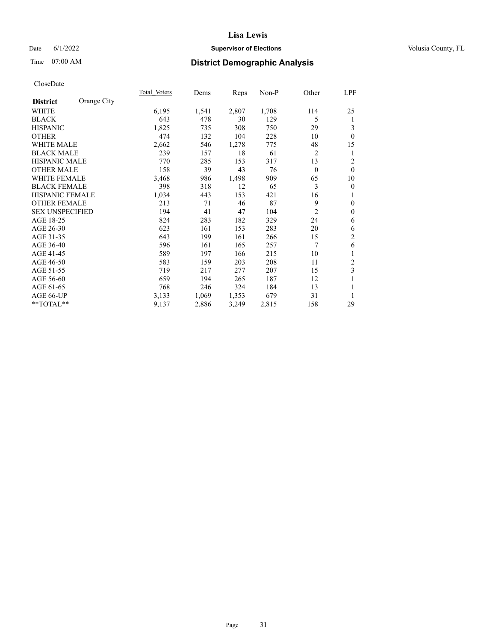## Date 6/1/2022 **Supervisor of Elections Supervisor of Elections** Volusia County, FL

# Time 07:00 AM **District Demographic Analysis**

|                        |             | Total Voters | Dems  | Reps  | Non-P | Other          | LPF              |
|------------------------|-------------|--------------|-------|-------|-------|----------------|------------------|
| <b>District</b>        | Orange City |              |       |       |       |                |                  |
| WHITE                  |             | 6,195        | 1,541 | 2,807 | 1,708 | 114            | 25               |
| <b>BLACK</b>           |             | 643          | 478   | 30    | 129   | 5              | 1                |
| <b>HISPANIC</b>        |             | 1,825        | 735   | 308   | 750   | 29             | 3                |
| <b>OTHER</b>           |             | 474          | 132   | 104   | 228   | 10             | $\mathbf{0}$     |
| <b>WHITE MALE</b>      |             | 2,662        | 546   | 1,278 | 775   | 48             | 15               |
| <b>BLACK MALE</b>      |             | 239          | 157   | 18    | 61    | $\overline{c}$ | 1                |
| <b>HISPANIC MALE</b>   |             | 770          | 285   | 153   | 317   | 13             | $\overline{2}$   |
| <b>OTHER MALE</b>      |             | 158          | 39    | 43    | 76    | $\mathbf{0}$   | $\mathbf{0}$     |
| <b>WHITE FEMALE</b>    |             | 3,468        | 986   | 1,498 | 909   | 65             | 10               |
| <b>BLACK FEMALE</b>    |             | 398          | 318   | 12    | 65    | 3              | $\boldsymbol{0}$ |
| <b>HISPANIC FEMALE</b> |             | 1,034        | 443   | 153   | 421   | 16             | 1                |
| <b>OTHER FEMALE</b>    |             | 213          | 71    | 46    | 87    | 9              | $\mathbf{0}$     |
| <b>SEX UNSPECIFIED</b> |             | 194          | 41    | 47    | 104   | $\overline{2}$ | $\mathbf{0}$     |
| AGE 18-25              |             | 824          | 283   | 182   | 329   | 24             | 6                |
| AGE 26-30              |             | 623          | 161   | 153   | 283   | 20             | 6                |
| AGE 31-35              |             | 643          | 199   | 161   | 266   | 15             | $\mathfrak{2}$   |
| AGE 36-40              |             | 596          | 161   | 165   | 257   | 7              | 6                |
| AGE 41-45              |             | 589          | 197   | 166   | 215   | 10             | 1                |
| AGE 46-50              |             | 583          | 159   | 203   | 208   | 11             | 2                |
| AGE 51-55              |             | 719          | 217   | 277   | 207   | 15             | 3                |
| AGE 56-60              |             | 659          | 194   | 265   | 187   | 12             | 1                |
| AGE 61-65              |             | 768          | 246   | 324   | 184   | 13             | 1                |
| AGE 66-UP              |             | 3,133        | 1,069 | 1,353 | 679   | 31             | 1                |
| **TOTAL**              |             | 9,137        | 2,886 | 3,249 | 2,815 | 158            | 29               |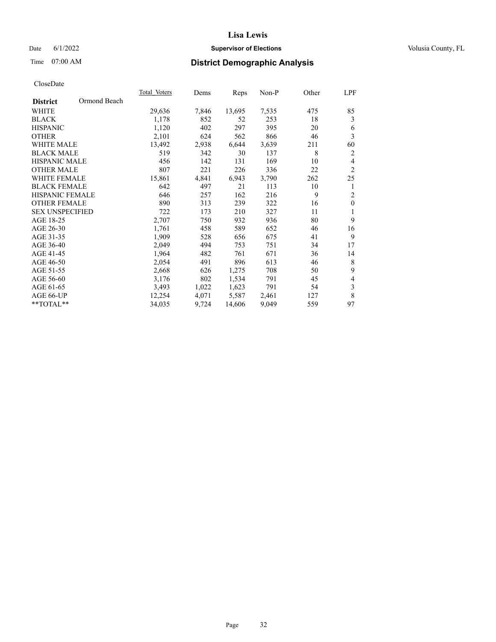## Date 6/1/2022 **Supervisor of Elections Supervisor of Elections** Volusia County, FL

# Time 07:00 AM **District Demographic Analysis**

|                        |              | Total Voters | Dems  | Reps   | $Non-P$ | Other | LPF                     |
|------------------------|--------------|--------------|-------|--------|---------|-------|-------------------------|
| <b>District</b>        | Ormond Beach |              |       |        |         |       |                         |
| <b>WHITE</b>           |              | 29,636       | 7,846 | 13,695 | 7,535   | 475   | 85                      |
| <b>BLACK</b>           |              | 1,178        | 852   | 52     | 253     | 18    | 3                       |
| <b>HISPANIC</b>        |              | 1,120        | 402   | 297    | 395     | 20    | 6                       |
| <b>OTHER</b>           |              | 2,101        | 624   | 562    | 866     | 46    | $\overline{\mathbf{3}}$ |
| WHITE MALE             |              | 13,492       | 2,938 | 6,644  | 3,639   | 211   | 60                      |
| <b>BLACK MALE</b>      |              | 519          | 342   | 30     | 137     | 8     | $\overline{c}$          |
| <b>HISPANIC MALE</b>   |              | 456          | 142   | 131    | 169     | 10    | $\overline{4}$          |
| <b>OTHER MALE</b>      |              | 807          | 221   | 226    | 336     | 22    | $\overline{2}$          |
| WHITE FEMALE           |              | 15,861       | 4,841 | 6,943  | 3,790   | 262   | 25                      |
| <b>BLACK FEMALE</b>    |              | 642          | 497   | 21     | 113     | 10    | 1                       |
| HISPANIC FEMALE        |              | 646          | 257   | 162    | 216     | 9     | $\overline{2}$          |
| <b>OTHER FEMALE</b>    |              | 890          | 313   | 239    | 322     | 16    | $\mathbf{0}$            |
| <b>SEX UNSPECIFIED</b> |              | 722          | 173   | 210    | 327     | 11    | $\mathbf{1}$            |
| AGE 18-25              |              | 2,707        | 750   | 932    | 936     | 80    | 9                       |
| AGE 26-30              |              | 1,761        | 458   | 589    | 652     | 46    | 16                      |
| AGE 31-35              |              | 1,909        | 528   | 656    | 675     | 41    | 9                       |
| AGE 36-40              |              | 2,049        | 494   | 753    | 751     | 34    | 17                      |
| AGE 41-45              |              | 1,964        | 482   | 761    | 671     | 36    | 14                      |
| AGE 46-50              |              | 2,054        | 491   | 896    | 613     | 46    | 8                       |
| AGE 51-55              |              | 2,668        | 626   | 1,275  | 708     | 50    | 9                       |
| AGE 56-60              |              | 3,176        | 802   | 1,534  | 791     | 45    | $\overline{4}$          |
| AGE 61-65              |              | 3,493        | 1,022 | 1,623  | 791     | 54    | $\mathfrak z$           |
| AGE 66-UP              |              | 12,254       | 4,071 | 5,587  | 2,461   | 127   | $\,$ 8 $\,$             |
| **TOTAL**              |              | 34,035       | 9,724 | 14,606 | 9,049   | 559   | 97                      |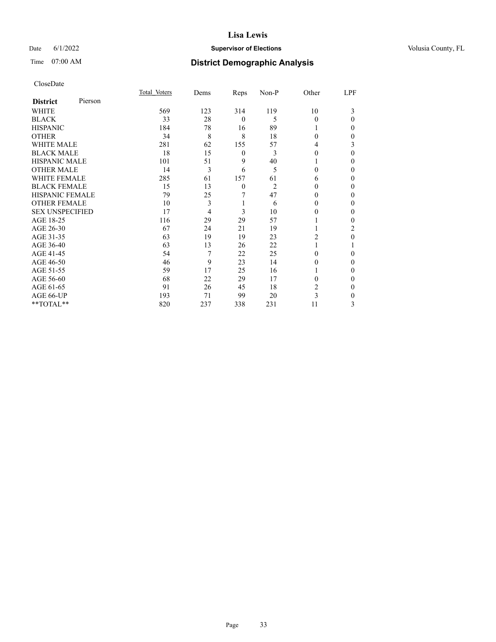## Date 6/1/2022 **Supervisor of Elections Supervisor of Elections** Volusia County, FL

| CloseDate |
|-----------|
|-----------|

|                        |         | Total Voters | Dems | Reps             | Non-P          | Other    | LPF      |
|------------------------|---------|--------------|------|------------------|----------------|----------|----------|
| <b>District</b>        | Pierson |              |      |                  |                |          |          |
| <b>WHITE</b>           |         | 569          | 123  | 314              | 119            | 10       | 3        |
| <b>BLACK</b>           |         | 33           | 28   | $\mathbf{0}$     | 5              | $\theta$ | $\theta$ |
| <b>HISPANIC</b>        |         | 184          | 78   | 16               | 89             |          | 0        |
| <b>OTHER</b>           |         | 34           | 8    | 8                | 18             | $\Omega$ | 0        |
| <b>WHITE MALE</b>      |         | 281          | 62   | 155              | 57             | 4        | 3        |
| <b>BLACK MALE</b>      |         | 18           | 15   | $\boldsymbol{0}$ | 3              | $\Omega$ | $\Omega$ |
| <b>HISPANIC MALE</b>   |         | 101          | 51   | 9                | 40             |          | 0        |
| <b>OTHER MALE</b>      |         | 14           | 3    | 6                | 5              | $\Omega$ | 0        |
| <b>WHITE FEMALE</b>    |         | 285          | 61   | 157              | 61             | 6        | 0        |
| <b>BLACK FEMALE</b>    |         | 15           | 13   | $\mathbf{0}$     | $\overline{2}$ | $\Omega$ | 0        |
| HISPANIC FEMALE        |         | 79           | 25   | 7                | 47             | 0        | 0        |
| <b>OTHER FEMALE</b>    |         | 10           | 3    | 1                | 6              | 0        | 0        |
| <b>SEX UNSPECIFIED</b> |         | 17           | 4    | 3                | 10             | $\theta$ | 0        |
| AGE 18-25              |         | 116          | 29   | 29               | 57             |          | 0        |
| AGE 26-30              |         | 67           | 24   | 21               | 19             |          | 2        |
| AGE 31-35              |         | 63           | 19   | 19               | 23             | 2        | 0        |
| AGE 36-40              |         | 63           | 13   | 26               | 22             |          |          |
| AGE 41-45              |         | 54           | 7    | 22               | 25             | 0        | 0        |
| AGE 46-50              |         | 46           | 9    | 23               | 14             | 0        | 0        |
| AGE 51-55              |         | 59           | 17   | 25               | 16             |          | 0        |
| AGE 56-60              |         | 68           | 22   | 29               | 17             | 0        | 0        |
| AGE 61-65              |         | 91           | 26   | 45               | 18             | 2        | $\Omega$ |
| AGE 66-UP              |         | 193          | 71   | 99               | 20             | 3        | 0        |
| **TOTAL**              |         | 820          | 237  | 338              | 231            | 11       | 3        |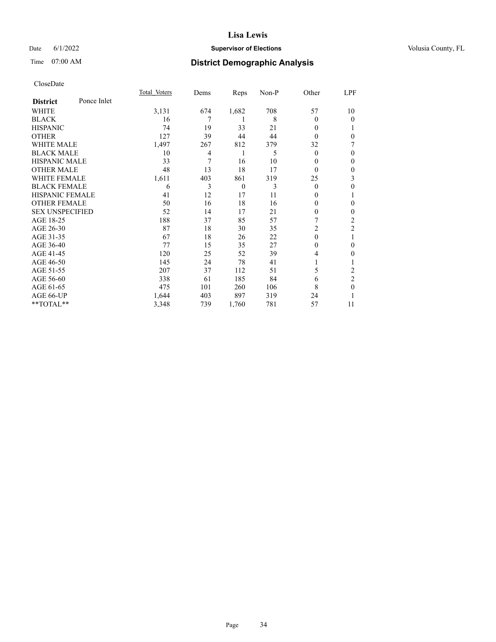## Date 6/1/2022 **Supervisor of Elections Supervisor of Elections** Volusia County, FL

# Time 07:00 AM **District Demographic Analysis**

|                        |             | Total Voters | Dems | Reps           | Non-P | Other          | LPF            |
|------------------------|-------------|--------------|------|----------------|-------|----------------|----------------|
| <b>District</b>        | Ponce Inlet |              |      |                |       |                |                |
| WHITE                  |             | 3,131        | 674  | 1,682          | 708   | 57             | 10             |
| <b>BLACK</b>           |             | 16           | 7    | 1              | 8     | 0              | 0              |
| <b>HISPANIC</b>        |             | 74           | 19   | 33             | 21    | 0              |                |
| <b>OTHER</b>           |             | 127          | 39   | 44             | 44    | $\Omega$       | 0              |
| WHITE MALE             |             | 1,497        | 267  | 812            | 379   | 32             | 7              |
| <b>BLACK MALE</b>      |             | 10           | 4    | 1              | 5     | $\theta$       | 0              |
| HISPANIC MALE          |             | 33           | 7    | 16             | 10    | 0              | $\mathbf{0}$   |
| <b>OTHER MALE</b>      |             | 48           | 13   | 18             | 17    | $\theta$       | $\mathbf{0}$   |
| WHITE FEMALE           |             | 1,611        | 403  | 861            | 319   | 25             | 3              |
| <b>BLACK FEMALE</b>    |             | 6            | 3    | $\overline{0}$ | 3     | $\theta$       | $\mathbf{0}$   |
| <b>HISPANIC FEMALE</b> |             | 41           | 12   | 17             | 11    | 0              |                |
| <b>OTHER FEMALE</b>    |             | 50           | 16   | 18             | 16    | 0              | 0              |
| <b>SEX UNSPECIFIED</b> |             | 52           | 14   | 17             | 21    | 0              | 0              |
| AGE 18-25              |             | 188          | 37   | 85             | 57    |                | 2              |
| AGE 26-30              |             | 87           | 18   | 30             | 35    | $\overline{c}$ | $\overline{2}$ |
| AGE 31-35              |             | 67           | 18   | 26             | 22    | 0              | 1              |
| AGE 36-40              |             | 77           | 15   | 35             | 27    | 0              | 0              |
| AGE 41-45              |             | 120          | 25   | 52             | 39    | 4              | 0              |
| AGE 46-50              |             | 145          | 24   | 78             | 41    |                |                |
| AGE 51-55              |             | 207          | 37   | 112            | 51    | 5              | 2              |
| AGE 56-60              |             | 338          | 61   | 185            | 84    | 6              | $\overline{2}$ |
| AGE 61-65              |             | 475          | 101  | 260            | 106   | 8              | $\theta$       |
| AGE 66-UP              |             | 1,644        | 403  | 897            | 319   | 24             |                |
| **TOTAL**              |             | 3,348        | 739  | 1,760          | 781   | 57             | 11             |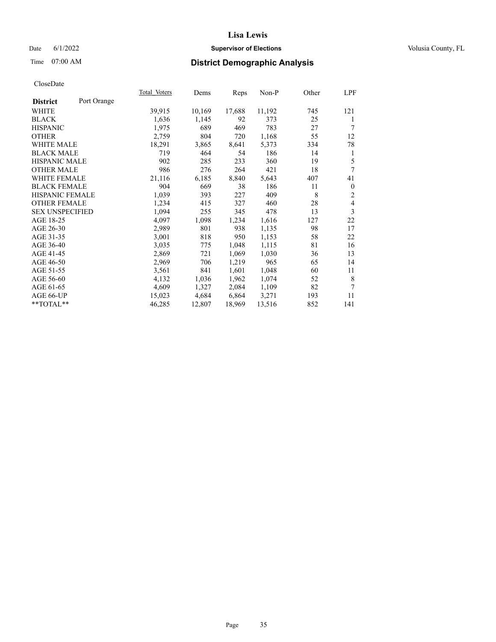## Date 6/1/2022 **Supervisor of Elections Supervisor of Elections** Volusia County, FL

# Time 07:00 AM **District Demographic Analysis**

|                                | Total Voters | Dems   | Reps   | Non-P  | Other | LPF              |
|--------------------------------|--------------|--------|--------|--------|-------|------------------|
| Port Orange<br><b>District</b> |              |        |        |        |       |                  |
| WHITE                          | 39,915       | 10,169 | 17,688 | 11,192 | 745   | 121              |
| <b>BLACK</b>                   | 1,636        | 1,145  | 92     | 373    | 25    | 1                |
| <b>HISPANIC</b>                | 1,975        | 689    | 469    | 783    | 27    | 7                |
| <b>OTHER</b>                   | 2,759        | 804    | 720    | 1,168  | 55    | 12               |
| <b>WHITE MALE</b>              | 18,291       | 3,865  | 8,641  | 5,373  | 334   | 78               |
| <b>BLACK MALE</b>              | 719          | 464    | 54     | 186    | 14    | 1                |
| <b>HISPANIC MALE</b>           | 902          | 285    | 233    | 360    | 19    | 5                |
| <b>OTHER MALE</b>              | 986          | 276    | 264    | 421    | 18    | 7                |
| WHITE FEMALE                   | 21,116       | 6,185  | 8,840  | 5,643  | 407   | 41               |
| <b>BLACK FEMALE</b>            | 904          | 669    | 38     | 186    | 11    | $\boldsymbol{0}$ |
| HISPANIC FEMALE                | 1,039        | 393    | 227    | 409    | 8     | $\overline{c}$   |
| <b>OTHER FEMALE</b>            | 1,234        | 415    | 327    | 460    | 28    | 4                |
| <b>SEX UNSPECIFIED</b>         | 1,094        | 255    | 345    | 478    | 13    | 3                |
| AGE 18-25                      | 4,097        | 1,098  | 1,234  | 1,616  | 127   | 22               |
| AGE 26-30                      | 2,989        | 801    | 938    | 1,135  | 98    | 17               |
| AGE 31-35                      | 3,001        | 818    | 950    | 1,153  | 58    | 22               |
| AGE 36-40                      | 3,035        | 775    | 1,048  | 1,115  | 81    | 16               |
| AGE 41-45                      | 2,869        | 721    | 1,069  | 1,030  | 36    | 13               |
| AGE 46-50                      | 2,969        | 706    | 1,219  | 965    | 65    | 14               |
| AGE 51-55                      | 3,561        | 841    | 1,601  | 1,048  | 60    | 11               |
| AGE 56-60                      | 4,132        | 1,036  | 1,962  | 1,074  | 52    | 8                |
| AGE 61-65                      | 4,609        | 1,327  | 2,084  | 1,109  | 82    | 7                |
| AGE 66-UP                      | 15,023       | 4,684  | 6,864  | 3,271  | 193   | 11               |
| **TOTAL**                      | 46,285       | 12,807 | 18,969 | 13,516 | 852   | 141              |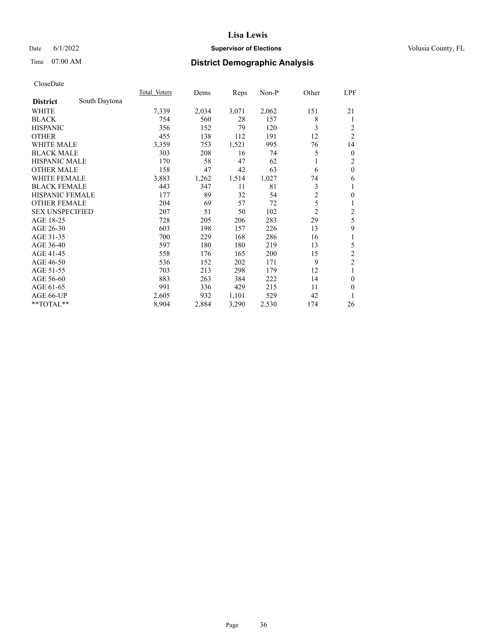## Date 6/1/2022 **Supervisor of Elections Supervisor of Elections** Volusia County, FL

# Time 07:00 AM **District Demographic Analysis**

|                        |               | Total Voters | Dems  | Reps  | Non-P | Other          | <u>LPF</u>     |
|------------------------|---------------|--------------|-------|-------|-------|----------------|----------------|
| <b>District</b>        | South Daytona |              |       |       |       |                |                |
| WHITE                  |               | 7,339        | 2,034 | 3,071 | 2,062 | 151            | 21             |
| <b>BLACK</b>           |               | 754          | 560   | 28    | 157   | 8              | 1              |
| <b>HISPANIC</b>        |               | 356          | 152   | 79    | 120   | 3              | 2              |
| <b>OTHER</b>           |               | 455          | 138   | 112   | 191   | 12             | $\overline{2}$ |
| <b>WHITE MALE</b>      |               | 3,359        | 753   | 1,521 | 995   | 76             | 14             |
| <b>BLACK MALE</b>      |               | 303          | 208   | 16    | 74    | 5              | $\mathbf{0}$   |
| <b>HISPANIC MALE</b>   |               | 170          | 58    | 47    | 62    |                | 2              |
| <b>OTHER MALE</b>      |               | 158          | 47    | 42    | 63    | 6              | $\mathbf{0}$   |
| <b>WHITE FEMALE</b>    |               | 3,883        | 1,262 | 1,514 | 1,027 | 74             | 6              |
| <b>BLACK FEMALE</b>    |               | 443          | 347   | 11    | 81    | 3              | 1              |
| <b>HISPANIC FEMALE</b> |               | 177          | 89    | 32    | 54    | $\overline{2}$ | $\mathbf{0}$   |
| <b>OTHER FEMALE</b>    |               | 204          | 69    | 57    | 72    | 5              | 1              |
| <b>SEX UNSPECIFIED</b> |               | 207          | 51    | 50    | 102   | $\overline{c}$ | $\overline{c}$ |
| AGE 18-25              |               | 728          | 205   | 206   | 283   | 29             | 5              |
| AGE 26-30              |               | 603          | 198   | 157   | 226   | 13             | 9              |
| AGE 31-35              |               | 700          | 229   | 168   | 286   | 16             | 1              |
| AGE 36-40              |               | 597          | 180   | 180   | 219   | 13             | 5              |
| AGE 41-45              |               | 558          | 176   | 165   | 200   | 15             | $\overline{2}$ |
| AGE 46-50              |               | 536          | 152   | 202   | 171   | 9              | $\overline{c}$ |
| AGE 51-55              |               | 703          | 213   | 298   | 179   | 12             | 1              |
| AGE 56-60              |               | 883          | 263   | 384   | 222   | 14             | $\theta$       |
| AGE 61-65              |               | 991          | 336   | 429   | 215   | 11             | $\theta$       |
| AGE 66-UP              |               | 2,605        | 932   | 1,101 | 529   | 42             | 1              |
| **TOTAL**              |               | 8,904        | 2,884 | 3,290 | 2,530 | 174            | 26             |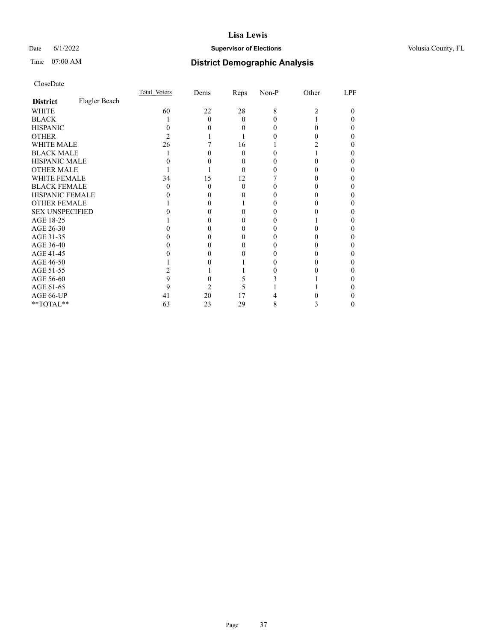## Date 6/1/2022 **Supervisor of Elections Supervisor of Elections** Volusia County, FL

# Time 07:00 AM **District Demographic Analysis**

|                        |               | Total Voters | Dems | Reps     | Non-P | Other | LPF |
|------------------------|---------------|--------------|------|----------|-------|-------|-----|
| <b>District</b>        | Flagler Beach |              |      |          |       |       |     |
| WHITE                  |               | 60           | 22   | 28       | 8     | 2     | 0   |
| <b>BLACK</b>           |               |              | 0    | 0        |       |       |     |
| <b>HISPANIC</b>        |               |              |      | $\theta$ |       | 0     |     |
| <b>OTHER</b>           |               |              |      |          |       |       |     |
| WHITE MALE             |               | 26           |      | 16       |       |       |     |
| <b>BLACK MALE</b>      |               |              |      | 0        |       |       |     |
| <b>HISPANIC MALE</b>   |               |              |      | 0        |       |       |     |
| <b>OTHER MALE</b>      |               |              |      | 0        |       |       |     |
| <b>WHITE FEMALE</b>    |               | 34           | 15   | 12       |       |       |     |
| <b>BLACK FEMALE</b>    |               | 0            | 0    | $\Omega$ |       |       |     |
| HISPANIC FEMALE        |               |              |      |          |       |       |     |
| <b>OTHER FEMALE</b>    |               |              |      |          |       |       |     |
| <b>SEX UNSPECIFIED</b> |               |              |      |          |       |       |     |
| AGE 18-25              |               |              |      |          |       |       |     |
| AGE 26-30              |               |              |      |          |       |       |     |
| AGE 31-35              |               |              |      |          |       |       |     |
| AGE 36-40              |               |              |      |          |       |       |     |
| AGE 41-45              |               |              |      |          |       |       |     |
| AGE 46-50              |               |              |      |          |       |       |     |
| AGE 51-55              |               |              |      |          |       |       |     |
| AGE 56-60              |               |              |      |          |       |       |     |
| AGE 61-65              |               |              |      |          |       |       |     |
| AGE 66-UP              |               | 41           | 20   | 17       |       |       |     |
| **TOTAL**              |               | 63           | 23   | 29       | 8     | 3     |     |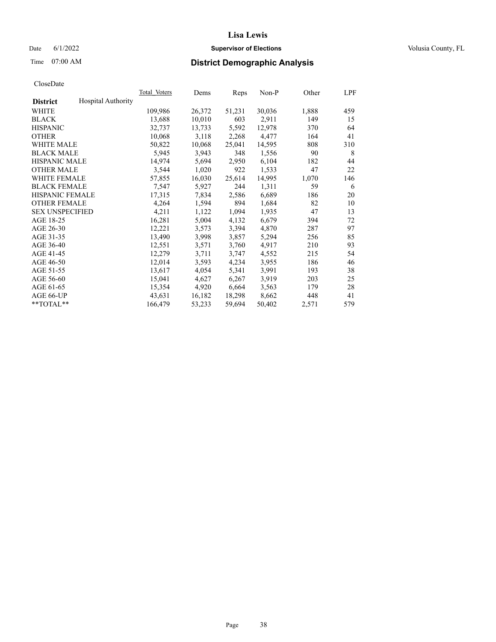## Date 6/1/2022 **Supervisor of Elections Supervisor of Elections** Volusia County, FL

# Time 07:00 AM **District Demographic Analysis**

|                        |                           | Total Voters | Dems   | Reps   | Non-P  | Other | LPF |
|------------------------|---------------------------|--------------|--------|--------|--------|-------|-----|
| <b>District</b>        | <b>Hospital Authority</b> |              |        |        |        |       |     |
| WHITE                  |                           | 109,986      | 26,372 | 51,231 | 30,036 | 1,888 | 459 |
| <b>BLACK</b>           |                           | 13,688       | 10,010 | 603    | 2,911  | 149   | 15  |
| <b>HISPANIC</b>        |                           | 32,737       | 13,733 | 5,592  | 12,978 | 370   | 64  |
| <b>OTHER</b>           |                           | 10,068       | 3,118  | 2,268  | 4,477  | 164   | 41  |
| WHITE MALE             |                           | 50,822       | 10,068 | 25,041 | 14,595 | 808   | 310 |
| <b>BLACK MALE</b>      |                           | 5,945        | 3,943  | 348    | 1,556  | 90    | 8   |
| <b>HISPANIC MALE</b>   |                           | 14,974       | 5,694  | 2,950  | 6,104  | 182   | 44  |
| <b>OTHER MALE</b>      |                           | 3,544        | 1,020  | 922    | 1,533  | 47    | 22  |
| <b>WHITE FEMALE</b>    |                           | 57,855       | 16,030 | 25,614 | 14,995 | 1,070 | 146 |
| <b>BLACK FEMALE</b>    |                           | 7,547        | 5,927  | 244    | 1,311  | 59    | 6   |
| <b>HISPANIC FEMALE</b> |                           | 17,315       | 7,834  | 2,586  | 6,689  | 186   | 20  |
| <b>OTHER FEMALE</b>    |                           | 4,264        | 1,594  | 894    | 1,684  | 82    | 10  |
| <b>SEX UNSPECIFIED</b> |                           | 4,211        | 1,122  | 1,094  | 1,935  | 47    | 13  |
| AGE 18-25              |                           | 16,281       | 5,004  | 4,132  | 6,679  | 394   | 72  |
| AGE 26-30              |                           | 12,221       | 3,573  | 3,394  | 4,870  | 287   | 97  |
| AGE 31-35              |                           | 13,490       | 3,998  | 3,857  | 5,294  | 256   | 85  |
| AGE 36-40              |                           | 12,551       | 3,571  | 3,760  | 4,917  | 210   | 93  |
| AGE 41-45              |                           | 12,279       | 3,711  | 3,747  | 4,552  | 215   | 54  |
| AGE 46-50              |                           | 12,014       | 3,593  | 4,234  | 3,955  | 186   | 46  |
| AGE 51-55              |                           | 13,617       | 4,054  | 5,341  | 3,991  | 193   | 38  |
| AGE 56-60              |                           | 15,041       | 4,627  | 6,267  | 3,919  | 203   | 25  |
| AGE 61-65              |                           | 15,354       | 4,920  | 6,664  | 3,563  | 179   | 28  |
| AGE 66-UP              |                           | 43,631       | 16,182 | 18,298 | 8,662  | 448   | 41  |
| $*$ TOTAL $*$          |                           | 166,479      | 53,233 | 59,694 | 50,402 | 2,571 | 579 |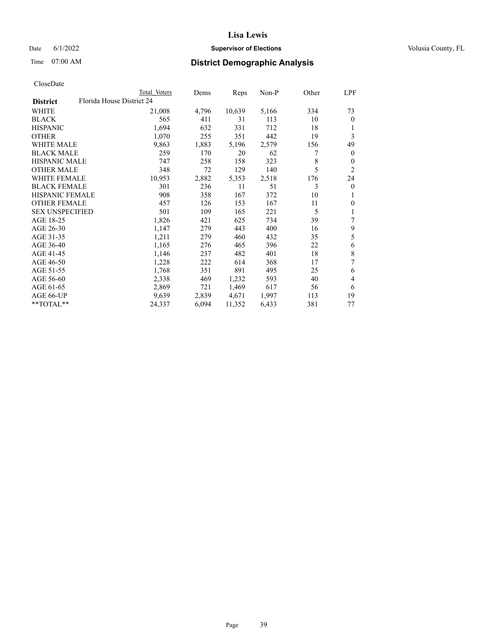## Date 6/1/2022 **Supervisor of Elections Supervisor of Elections** Volusia County, FL

| CloseDate |
|-----------|
|-----------|

|                        | Total Voters              | Dems  | Reps   | Non-P | Other | LPF            |
|------------------------|---------------------------|-------|--------|-------|-------|----------------|
| <b>District</b>        | Florida House District 24 |       |        |       |       |                |
| WHITE                  | 21,008                    | 4,796 | 10,639 | 5,166 | 334   | 73             |
| <b>BLACK</b>           | 565                       | 411   | 31     | 113   | 10    | $\mathbf{0}$   |
| <b>HISPANIC</b>        | 1,694                     | 632   | 331    | 712   | 18    | 1              |
| <b>OTHER</b>           | 1,070                     | 255   | 351    | 442   | 19    | 3              |
| <b>WHITE MALE</b>      | 9,863                     | 1,883 | 5,196  | 2,579 | 156   | 49             |
| <b>BLACK MALE</b>      | 259                       | 170   | 20     | 62    | 7     | $\mathbf{0}$   |
| <b>HISPANIC MALE</b>   | 747                       | 258   | 158    | 323   | 8     | $\mathbf{0}$   |
| <b>OTHER MALE</b>      | 348                       | 72    | 129    | 140   | 5     | $\overline{2}$ |
| <b>WHITE FEMALE</b>    | 10,953                    | 2,882 | 5,353  | 2,518 | 176   | 24             |
| <b>BLACK FEMALE</b>    | 301                       | 236   | 11     | 51    | 3     | $\mathbf{0}$   |
| <b>HISPANIC FEMALE</b> | 908                       | 358   | 167    | 372   | 10    | 1              |
| <b>OTHER FEMALE</b>    | 457                       | 126   | 153    | 167   | 11    | $\theta$       |
| <b>SEX UNSPECIFIED</b> | 501                       | 109   | 165    | 221   | 5     | 1              |
| AGE 18-25              | 1,826                     | 421   | 625    | 734   | 39    | 7              |
| AGE 26-30              | 1,147                     | 279   | 443    | 400   | 16    | 9              |
| AGE 31-35              | 1,211                     | 279   | 460    | 432   | 35    | 5              |
| AGE 36-40              | 1,165                     | 276   | 465    | 396   | 22    | 6              |
| AGE 41-45              | 1,146                     | 237   | 482    | 401   | 18    | 8              |
| AGE 46-50              | 1,228                     | 222   | 614    | 368   | 17    | 7              |
| AGE 51-55              | 1,768                     | 351   | 891    | 495   | 25    | 6              |
| AGE 56-60              | 2,338                     | 469   | 1,232  | 593   | 40    | 4              |
| AGE 61-65              | 2,869                     | 721   | 1,469  | 617   | 56    | 6              |
| AGE 66-UP              | 9,639                     | 2,839 | 4,671  | 1,997 | 113   | 19             |
| $**TOTAL**$            | 24,337                    | 6,094 | 11,352 | 6,433 | 381   | 77             |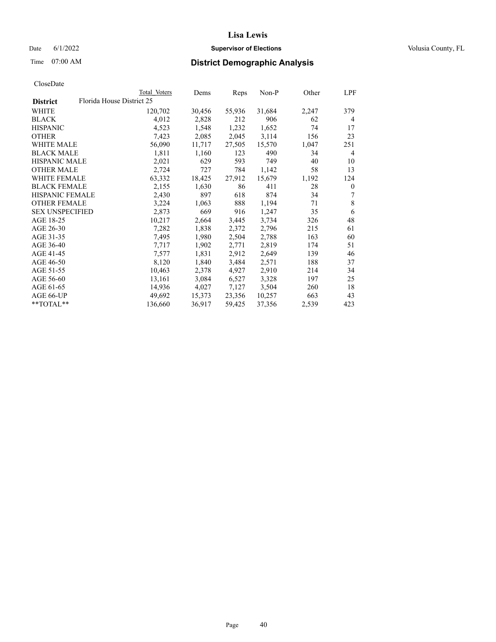## Date 6/1/2022 **Supervisor of Elections Supervisor of Elections** Volusia County, FL

| CloseDate |
|-----------|
|-----------|

|                        | Total Voters              | Dems   | Reps   | Non-P  | Other | LPF          |
|------------------------|---------------------------|--------|--------|--------|-------|--------------|
| <b>District</b>        | Florida House District 25 |        |        |        |       |              |
| WHITE                  | 120,702                   | 30,456 | 55,936 | 31,684 | 2,247 | 379          |
| <b>BLACK</b>           | 4,012                     | 2,828  | 212    | 906    | 62    | 4            |
| <b>HISPANIC</b>        | 4,523                     | 1,548  | 1,232  | 1,652  | 74    | 17           |
| <b>OTHER</b>           | 7,423                     | 2,085  | 2,045  | 3,114  | 156   | 23           |
| <b>WHITE MALE</b>      | 56,090                    | 11,717 | 27,505 | 15,570 | 1,047 | 251          |
| <b>BLACK MALE</b>      | 1,811                     | 1,160  | 123    | 490    | 34    | 4            |
| <b>HISPANIC MALE</b>   | 2,021                     | 629    | 593    | 749    | 40    | 10           |
| <b>OTHER MALE</b>      | 2,724                     | 727    | 784    | 1,142  | 58    | 13           |
| <b>WHITE FEMALE</b>    | 63,332                    | 18,425 | 27,912 | 15,679 | 1,192 | 124          |
| <b>BLACK FEMALE</b>    | 2,155                     | 1,630  | 86     | 411    | 28    | $\mathbf{0}$ |
| HISPANIC FEMALE        | 2,430                     | 897    | 618    | 874    | 34    | 7            |
| <b>OTHER FEMALE</b>    | 3,224                     | 1,063  | 888    | 1,194  | 71    | 8            |
| <b>SEX UNSPECIFIED</b> | 2,873                     | 669    | 916    | 1,247  | 35    | 6            |
| AGE 18-25              | 10,217                    | 2,664  | 3,445  | 3,734  | 326   | 48           |
| AGE 26-30              | 7,282                     | 1,838  | 2,372  | 2,796  | 215   | 61           |
| AGE 31-35              | 7,495                     | 1,980  | 2,504  | 2,788  | 163   | 60           |
| AGE 36-40              | 7,717                     | 1,902  | 2,771  | 2,819  | 174   | 51           |
| AGE 41-45              | 7,577                     | 1,831  | 2,912  | 2,649  | 139   | 46           |
| AGE 46-50              | 8,120                     | 1,840  | 3,484  | 2,571  | 188   | 37           |
| AGE 51-55              | 10,463                    | 2,378  | 4,927  | 2,910  | 214   | 34           |
| AGE 56-60              | 13,161                    | 3,084  | 6,527  | 3,328  | 197   | 25           |
| AGE 61-65              | 14,936                    | 4,027  | 7,127  | 3,504  | 260   | 18           |
| AGE 66-UP              | 49,692                    | 15,373 | 23,356 | 10,257 | 663   | 43           |
| **TOTAL**              | 136,660                   | 36,917 | 59,425 | 37,356 | 2,539 | 423          |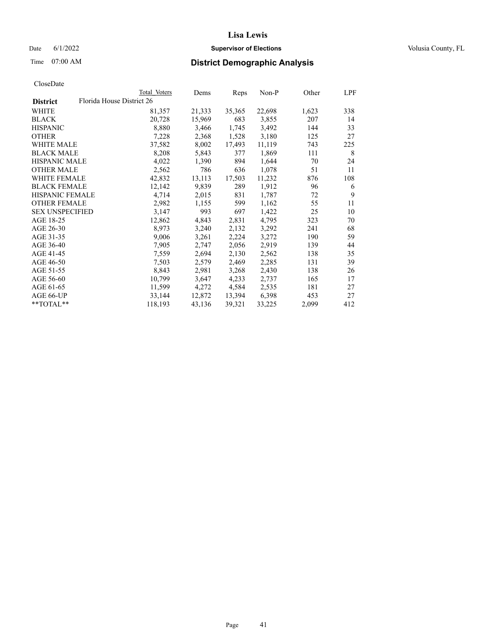## Date 6/1/2022 **Supervisor of Elections Supervisor of Elections** Volusia County, FL

| CloseDate |
|-----------|
|-----------|

|                                              | Total Voters | Dems   | Reps   | Non-P  | Other | LPF |
|----------------------------------------------|--------------|--------|--------|--------|-------|-----|
| Florida House District 26<br><b>District</b> |              |        |        |        |       |     |
| WHITE                                        | 81,357       | 21,333 | 35,365 | 22,698 | 1,623 | 338 |
| <b>BLACK</b>                                 | 20,728       | 15,969 | 683    | 3,855  | 207   | 14  |
| <b>HISPANIC</b>                              | 8,880        | 3,466  | 1,745  | 3,492  | 144   | 33  |
| <b>OTHER</b>                                 | 7,228        | 2,368  | 1,528  | 3,180  | 125   | 27  |
| <b>WHITE MALE</b>                            | 37,582       | 8,002  | 17,493 | 11,119 | 743   | 225 |
| <b>BLACK MALE</b>                            | 8,208        | 5,843  | 377    | 1,869  | 111   | 8   |
| <b>HISPANIC MALE</b>                         | 4,022        | 1,390  | 894    | 1,644  | 70    | 24  |
| <b>OTHER MALE</b>                            | 2,562        | 786    | 636    | 1,078  | 51    | 11  |
| WHITE FEMALE                                 | 42,832       | 13,113 | 17,503 | 11,232 | 876   | 108 |
| <b>BLACK FEMALE</b>                          | 12,142       | 9,839  | 289    | 1,912  | 96    | 6   |
| <b>HISPANIC FEMALE</b>                       | 4,714        | 2,015  | 831    | 1,787  | 72    | 9   |
| <b>OTHER FEMALE</b>                          | 2,982        | 1,155  | 599    | 1,162  | 55    | 11  |
| <b>SEX UNSPECIFIED</b>                       | 3,147        | 993    | 697    | 1,422  | 25    | 10  |
| AGE 18-25                                    | 12,862       | 4,843  | 2,831  | 4,795  | 323   | 70  |
| AGE 26-30                                    | 8,973        | 3,240  | 2,132  | 3,292  | 241   | 68  |
| AGE 31-35                                    | 9,006        | 3,261  | 2,224  | 3,272  | 190   | 59  |
| AGE 36-40                                    | 7,905        | 2,747  | 2,056  | 2,919  | 139   | 44  |
| AGE 41-45                                    | 7,559        | 2,694  | 2,130  | 2,562  | 138   | 35  |
| AGE 46-50                                    | 7,503        | 2,579  | 2,469  | 2,285  | 131   | 39  |
| AGE 51-55                                    | 8,843        | 2,981  | 3,268  | 2,430  | 138   | 26  |
| AGE 56-60                                    | 10,799       | 3,647  | 4,233  | 2,737  | 165   | 17  |
| AGE 61-65                                    | 11,599       | 4,272  | 4,584  | 2,535  | 181   | 27  |
| AGE 66-UP                                    | 33,144       | 12,872 | 13,394 | 6,398  | 453   | 27  |
| **TOTAL**                                    | 118,193      | 43,136 | 39,321 | 33,225 | 2,099 | 412 |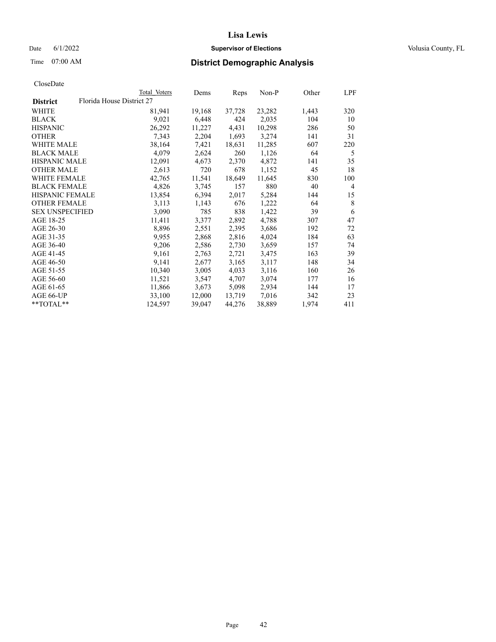## Date 6/1/2022 **Supervisor of Elections Supervisor of Elections** Volusia County, FL

| CloseDate |
|-----------|
|-----------|

|                        |                           | Total Voters | Dems   | Reps   | Non-P  | Other | LPF |
|------------------------|---------------------------|--------------|--------|--------|--------|-------|-----|
| <b>District</b>        | Florida House District 27 |              |        |        |        |       |     |
| WHITE                  |                           | 81,941       | 19,168 | 37,728 | 23,282 | 1,443 | 320 |
| <b>BLACK</b>           |                           | 9,021        | 6,448  | 424    | 2,035  | 104   | 10  |
| <b>HISPANIC</b>        |                           | 26,292       | 11,227 | 4,431  | 10,298 | 286   | 50  |
| <b>OTHER</b>           |                           | 7,343        | 2,204  | 1,693  | 3,274  | 141   | 31  |
| <b>WHITE MALE</b>      |                           | 38,164       | 7,421  | 18,631 | 11,285 | 607   | 220 |
| <b>BLACK MALE</b>      |                           | 4,079        | 2,624  | 260    | 1,126  | 64    | 5   |
| <b>HISPANIC MALE</b>   |                           | 12,091       | 4,673  | 2,370  | 4,872  | 141   | 35  |
| <b>OTHER MALE</b>      |                           | 2,613        | 720    | 678    | 1,152  | 45    | 18  |
| <b>WHITE FEMALE</b>    |                           | 42,765       | 11,541 | 18,649 | 11,645 | 830   | 100 |
| <b>BLACK FEMALE</b>    |                           | 4,826        | 3,745  | 157    | 880    | 40    | 4   |
| HISPANIC FEMALE        |                           | 13,854       | 6,394  | 2,017  | 5,284  | 144   | 15  |
| <b>OTHER FEMALE</b>    |                           | 3,113        | 1,143  | 676    | 1,222  | 64    | 8   |
| <b>SEX UNSPECIFIED</b> |                           | 3,090        | 785    | 838    | 1,422  | 39    | 6   |
| AGE 18-25              |                           | 11,411       | 3,377  | 2,892  | 4,788  | 307   | 47  |
| AGE 26-30              |                           | 8,896        | 2,551  | 2,395  | 3,686  | 192   | 72  |
| AGE 31-35              |                           | 9,955        | 2,868  | 2,816  | 4,024  | 184   | 63  |
| AGE 36-40              |                           | 9,206        | 2,586  | 2,730  | 3,659  | 157   | 74  |
| AGE 41-45              |                           | 9,161        | 2,763  | 2,721  | 3,475  | 163   | 39  |
| AGE 46-50              |                           | 9,141        | 2,677  | 3,165  | 3,117  | 148   | 34  |
| AGE 51-55              |                           | 10,340       | 3,005  | 4,033  | 3,116  | 160   | 26  |
| AGE 56-60              |                           | 11,521       | 3,547  | 4,707  | 3,074  | 177   | 16  |
| AGE 61-65              |                           | 11,866       | 3,673  | 5,098  | 2,934  | 144   | 17  |
| AGE 66-UP              |                           | 33,100       | 12,000 | 13,719 | 7,016  | 342   | 23  |
| **TOTAL**              |                           | 124,597      | 39,047 | 44,276 | 38,889 | 1,974 | 411 |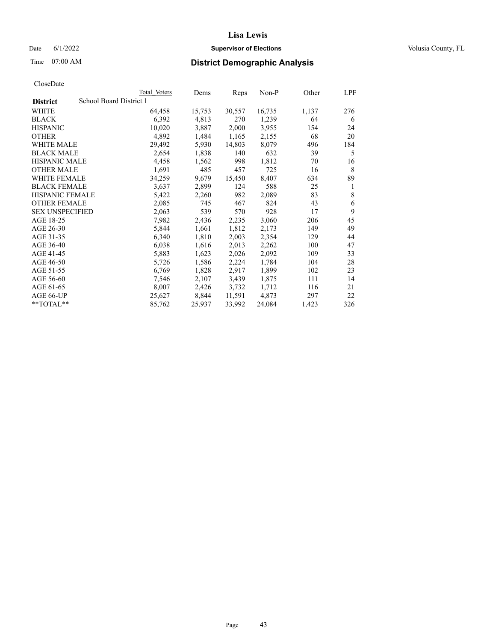## Date 6/1/2022 **Supervisor of Elections Supervisor of Elections** Volusia County, FL

# Time 07:00 AM **District Demographic Analysis**

|                        | Total Voters            | Dems   | Reps   | Non-P  | Other | LPF |
|------------------------|-------------------------|--------|--------|--------|-------|-----|
| <b>District</b>        | School Board District 1 |        |        |        |       |     |
| WHITE                  | 64,458                  | 15,753 | 30,557 | 16,735 | 1,137 | 276 |
| <b>BLACK</b>           | 6,392                   | 4,813  | 270    | 1,239  | 64    | 6   |
| <b>HISPANIC</b>        | 10,020                  | 3,887  | 2,000  | 3,955  | 154   | 24  |
| <b>OTHER</b>           | 4,892                   | 1,484  | 1,165  | 2,155  | 68    | 20  |
| WHITE MALE             | 29,492                  | 5,930  | 14,803 | 8,079  | 496   | 184 |
| <b>BLACK MALE</b>      | 2,654                   | 1,838  | 140    | 632    | 39    | 5   |
| <b>HISPANIC MALE</b>   | 4,458                   | 1,562  | 998    | 1,812  | 70    | 16  |
| <b>OTHER MALE</b>      | 1,691                   | 485    | 457    | 725    | 16    | 8   |
| WHITE FEMALE           | 34,259                  | 9,679  | 15,450 | 8,407  | 634   | 89  |
| <b>BLACK FEMALE</b>    | 3,637                   | 2,899  | 124    | 588    | 25    | 1   |
| <b>HISPANIC FEMALE</b> | 5,422                   | 2,260  | 982    | 2,089  | 83    | 8   |
| <b>OTHER FEMALE</b>    | 2,085                   | 745    | 467    | 824    | 43    | 6   |
| <b>SEX UNSPECIFIED</b> | 2,063                   | 539    | 570    | 928    | 17    | 9   |
| AGE 18-25              | 7,982                   | 2,436  | 2,235  | 3,060  | 206   | 45  |
| AGE 26-30              | 5,844                   | 1,661  | 1,812  | 2,173  | 149   | 49  |
| AGE 31-35              | 6,340                   | 1,810  | 2,003  | 2,354  | 129   | 44  |
| AGE 36-40              | 6,038                   | 1,616  | 2,013  | 2,262  | 100   | 47  |
| AGE 41-45              | 5,883                   | 1,623  | 2,026  | 2,092  | 109   | 33  |
| AGE 46-50              | 5,726                   | 1,586  | 2,224  | 1,784  | 104   | 28  |
| AGE 51-55              | 6,769                   | 1,828  | 2,917  | 1,899  | 102   | 23  |
| AGE 56-60              | 7,546                   | 2,107  | 3,439  | 1,875  | 111   | 14  |
| AGE 61-65              | 8,007                   | 2,426  | 3,732  | 1,712  | 116   | 21  |
| AGE 66-UP              | 25,627                  | 8,844  | 11,591 | 4,873  | 297   | 22  |
| $**TOTAL**$            | 85,762                  | 25,937 | 33,992 | 24,084 | 1,423 | 326 |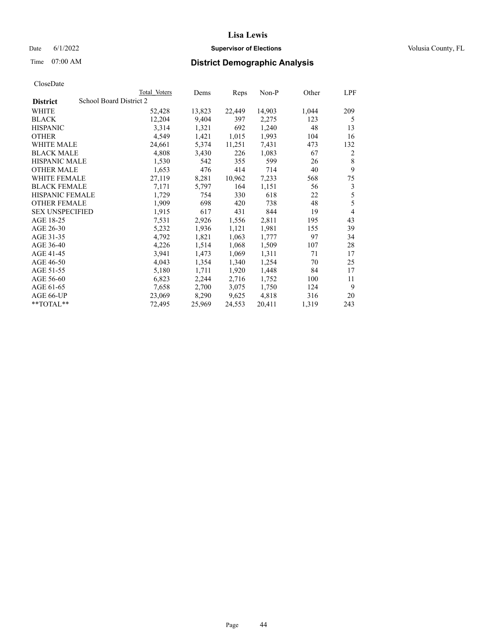## Date 6/1/2022 **Supervisor of Elections Supervisor of Elections** Volusia County, FL

# Time 07:00 AM **District Demographic Analysis**

|                        | Total Voters            | Dems   | Reps   | Non-P  | Other | LPF |
|------------------------|-------------------------|--------|--------|--------|-------|-----|
| <b>District</b>        | School Board District 2 |        |        |        |       |     |
| WHITE                  | 52,428                  | 13,823 | 22,449 | 14,903 | 1,044 | 209 |
| <b>BLACK</b>           | 12,204                  | 9,404  | 397    | 2,275  | 123   | 5   |
| <b>HISPANIC</b>        | 3,314                   | 1,321  | 692    | 1,240  | 48    | 13  |
| <b>OTHER</b>           | 4,549                   | 1,421  | 1,015  | 1,993  | 104   | 16  |
| WHITE MALE             | 24,661                  | 5,374  | 11,251 | 7,431  | 473   | 132 |
| <b>BLACK MALE</b>      | 4,808                   | 3,430  | 226    | 1,083  | 67    | 2   |
| <b>HISPANIC MALE</b>   | 1,530                   | 542    | 355    | 599    | 26    | 8   |
| <b>OTHER MALE</b>      | 1,653                   | 476    | 414    | 714    | 40    | 9   |
| WHITE FEMALE           | 27,119                  | 8,281  | 10,962 | 7,233  | 568   | 75  |
| <b>BLACK FEMALE</b>    | 7,171                   | 5,797  | 164    | 1,151  | 56    | 3   |
| <b>HISPANIC FEMALE</b> | 1,729                   | 754    | 330    | 618    | 22    | 5   |
| <b>OTHER FEMALE</b>    | 1,909                   | 698    | 420    | 738    | 48    | 5   |
| <b>SEX UNSPECIFIED</b> | 1,915                   | 617    | 431    | 844    | 19    | 4   |
| AGE 18-25              | 7,531                   | 2,926  | 1,556  | 2,811  | 195   | 43  |
| AGE 26-30              | 5,232                   | 1,936  | 1,121  | 1,981  | 155   | 39  |
| AGE 31-35              | 4,792                   | 1,821  | 1,063  | 1,777  | 97    | 34  |
| AGE 36-40              | 4,226                   | 1,514  | 1,068  | 1,509  | 107   | 28  |
| AGE 41-45              | 3,941                   | 1,473  | 1,069  | 1,311  | 71    | 17  |
| AGE 46-50              | 4,043                   | 1,354  | 1,340  | 1,254  | 70    | 25  |
| AGE 51-55              | 5,180                   | 1,711  | 1,920  | 1,448  | 84    | 17  |
| AGE 56-60              | 6,823                   | 2,244  | 2,716  | 1,752  | 100   | 11  |
| AGE 61-65              | 7,658                   | 2,700  | 3,075  | 1,750  | 124   | 9   |
| AGE 66-UP              | 23,069                  | 8,290  | 9,625  | 4,818  | 316   | 20  |
| **TOTAL**              | 72,495                  | 25,969 | 24,553 | 20,411 | 1,319 | 243 |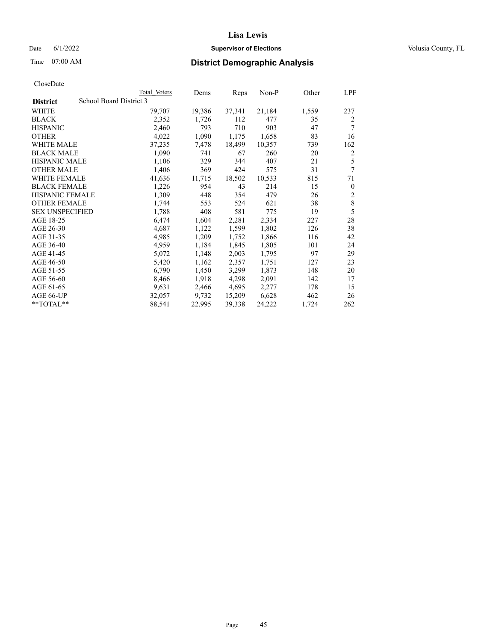## Date 6/1/2022 **Supervisor of Elections Supervisor of Elections** Volusia County, FL

| CloseDate |
|-----------|
|-----------|

| Total Voters            | Dems   | Reps   | Non-P  | Other | LPF          |
|-------------------------|--------|--------|--------|-------|--------------|
| School Board District 3 |        |        |        |       |              |
| 79,707                  | 19,386 | 37,341 | 21,184 | 1,559 | 237          |
| 2,352                   | 1,726  | 112    | 477    | 35    | 2            |
| 2,460                   | 793    | 710    | 903    | 47    | 7            |
| 4,022                   | 1,090  | 1,175  | 1,658  | 83    | 16           |
| 37,235                  | 7,478  | 18,499 | 10,357 | 739   | 162          |
| 1,090                   | 741    | 67     | 260    | 20    | 2            |
| 1,106                   | 329    | 344    | 407    | 21    | 5            |
| 1,406                   | 369    | 424    | 575    | 31    | 7            |
| 41,636                  | 11,715 | 18,502 | 10,533 | 815   | 71           |
| 1,226                   | 954    | 43     | 214    | 15    | $\mathbf{0}$ |
| 1,309                   | 448    | 354    | 479    | 26    | $\sqrt{2}$   |
| 1,744                   | 553    | 524    | 621    | 38    | $\,$ 8 $\,$  |
| 1,788                   | 408    | 581    | 775    | 19    | 5            |
| 6,474                   | 1,604  | 2,281  | 2,334  | 227   | 28           |
| 4,687                   | 1,122  | 1,599  | 1,802  | 126   | 38           |
| 4,985                   | 1,209  | 1,752  | 1,866  | 116   | 42           |
| 4,959                   | 1,184  | 1,845  | 1,805  | 101   | 24           |
| 5,072                   | 1,148  | 2,003  | 1,795  | 97    | 29           |
| 5,420                   | 1,162  | 2,357  | 1,751  | 127   | 23           |
| 6,790                   | 1,450  | 3,299  | 1,873  | 148   | 20           |
| 8,466                   | 1,918  | 4,298  | 2,091  | 142   | 17           |
| 9,631                   | 2,466  | 4,695  | 2,277  | 178   | 15           |
| 32,057                  | 9,732  | 15,209 | 6,628  | 462   | 26           |
| 88,541                  | 22,995 | 39,338 | 24,222 | 1,724 | 262          |
|                         |        |        |        |       |              |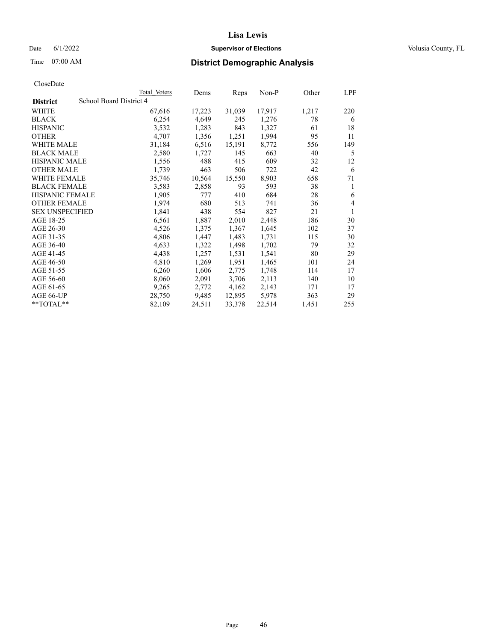## Date 6/1/2022 **Supervisor of Elections Supervisor of Elections** Volusia County, FL

# Time 07:00 AM **District Demographic Analysis**

|                        |                         | Total Voters | Dems   | Reps   | Non-P  | Other | LPF |
|------------------------|-------------------------|--------------|--------|--------|--------|-------|-----|
| <b>District</b>        | School Board District 4 |              |        |        |        |       |     |
| WHITE                  |                         | 67,616       | 17,223 | 31,039 | 17,917 | 1,217 | 220 |
| <b>BLACK</b>           |                         | 6,254        | 4,649  | 245    | 1,276  | 78    | 6   |
| <b>HISPANIC</b>        |                         | 3,532        | 1,283  | 843    | 1,327  | 61    | 18  |
| <b>OTHER</b>           |                         | 4,707        | 1,356  | 1,251  | 1,994  | 95    | 11  |
| WHITE MALE             |                         | 31,184       | 6,516  | 15,191 | 8,772  | 556   | 149 |
| <b>BLACK MALE</b>      |                         | 2,580        | 1,727  | 145    | 663    | 40    | 5   |
| <b>HISPANIC MALE</b>   |                         | 1,556        | 488    | 415    | 609    | 32    | 12  |
| <b>OTHER MALE</b>      |                         | 1,739        | 463    | 506    | 722    | 42    | 6   |
| WHITE FEMALE           |                         | 35,746       | 10,564 | 15,550 | 8,903  | 658   | 71  |
| <b>BLACK FEMALE</b>    |                         | 3,583        | 2,858  | 93     | 593    | 38    | 1   |
| <b>HISPANIC FEMALE</b> |                         | 1,905        | 777    | 410    | 684    | 28    | 6   |
| <b>OTHER FEMALE</b>    |                         | 1,974        | 680    | 513    | 741    | 36    | 4   |
| <b>SEX UNSPECIFIED</b> |                         | 1,841        | 438    | 554    | 827    | 21    | 1   |
| AGE 18-25              |                         | 6,561        | 1,887  | 2,010  | 2,448  | 186   | 30  |
| AGE 26-30              |                         | 4,526        | 1,375  | 1,367  | 1,645  | 102   | 37  |
| AGE 31-35              |                         | 4,806        | 1,447  | 1,483  | 1,731  | 115   | 30  |
| AGE 36-40              |                         | 4,633        | 1,322  | 1,498  | 1,702  | 79    | 32  |
| AGE 41-45              |                         | 4,438        | 1,257  | 1,531  | 1,541  | 80    | 29  |
| AGE 46-50              |                         | 4,810        | 1,269  | 1,951  | 1,465  | 101   | 24  |
| AGE 51-55              |                         | 6,260        | 1,606  | 2,775  | 1,748  | 114   | 17  |
| AGE 56-60              |                         | 8,060        | 2,091  | 3,706  | 2,113  | 140   | 10  |
| AGE 61-65              |                         | 9,265        | 2,772  | 4,162  | 2,143  | 171   | 17  |
| AGE 66-UP              |                         | 28,750       | 9,485  | 12,895 | 5,978  | 363   | 29  |
| **TOTAL**              |                         | 82,109       | 24,511 | 33,378 | 22,514 | 1,451 | 255 |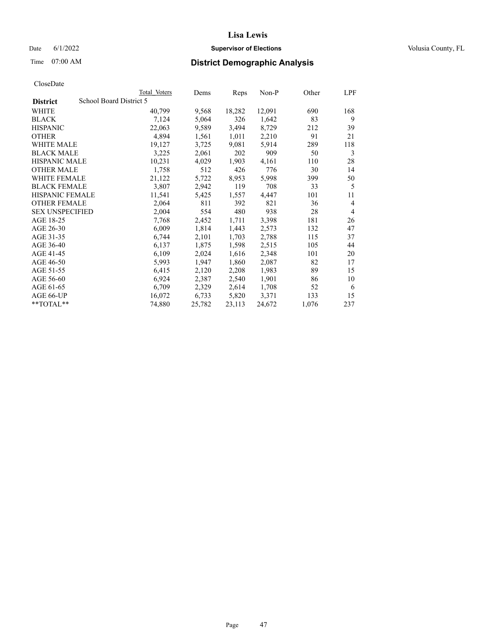## Date 6/1/2022 **Supervisor of Elections Supervisor of Elections** Volusia County, FL

# Time 07:00 AM **District Demographic Analysis**

|                        | Total Voters            | Dems   | Reps   | Non-P  | Other | LPF            |
|------------------------|-------------------------|--------|--------|--------|-------|----------------|
| <b>District</b>        | School Board District 5 |        |        |        |       |                |
| WHITE                  | 40,799                  | 9,568  | 18,282 | 12,091 | 690   | 168            |
| <b>BLACK</b>           | 7,124                   | 5,064  | 326    | 1,642  | 83    | 9              |
| <b>HISPANIC</b>        | 22,063                  | 9,589  | 3,494  | 8,729  | 212   | 39             |
| <b>OTHER</b>           | 4,894                   | 1,561  | 1,011  | 2,210  | 91    | 21             |
| WHITE MALE             | 19,127                  | 3,725  | 9,081  | 5,914  | 289   | 118            |
| <b>BLACK MALE</b>      | 3,225                   | 2,061  | 202    | 909    | 50    | 3              |
| <b>HISPANIC MALE</b>   | 10,231                  | 4,029  | 1,903  | 4,161  | 110   | 28             |
| <b>OTHER MALE</b>      | 1,758                   | 512    | 426    | 776    | 30    | 14             |
| WHITE FEMALE           | 21,122                  | 5,722  | 8,953  | 5,998  | 399   | 50             |
| <b>BLACK FEMALE</b>    | 3,807                   | 2,942  | 119    | 708    | 33    | 5              |
| <b>HISPANIC FEMALE</b> | 11,541                  | 5,425  | 1,557  | 4,447  | 101   | 11             |
| <b>OTHER FEMALE</b>    | 2,064                   | 811    | 392    | 821    | 36    | $\overline{4}$ |
| <b>SEX UNSPECIFIED</b> | 2,004                   | 554    | 480    | 938    | 28    | $\overline{4}$ |
| AGE 18-25              | 7,768                   | 2,452  | 1,711  | 3,398  | 181   | 26             |
| AGE 26-30              | 6,009                   | 1,814  | 1,443  | 2,573  | 132   | 47             |
| AGE 31-35              | 6,744                   | 2,101  | 1,703  | 2,788  | 115   | 37             |
| AGE 36-40              | 6,137                   | 1,875  | 1,598  | 2,515  | 105   | 44             |
| AGE 41-45              | 6,109                   | 2,024  | 1,616  | 2,348  | 101   | 20             |
| AGE 46-50              | 5,993                   | 1,947  | 1,860  | 2,087  | 82    | 17             |
| AGE 51-55              | 6,415                   | 2,120  | 2,208  | 1,983  | 89    | 15             |
| AGE 56-60              | 6,924                   | 2,387  | 2,540  | 1,901  | 86    | 10             |
| AGE 61-65              | 6,709                   | 2,329  | 2,614  | 1,708  | 52    | 6              |
| AGE 66-UP              | 16,072                  | 6,733  | 5,820  | 3,371  | 133   | 15             |
| $*$ $TOTAL**$          | 74,880                  | 25,782 | 23,113 | 24,672 | 1,076 | 237            |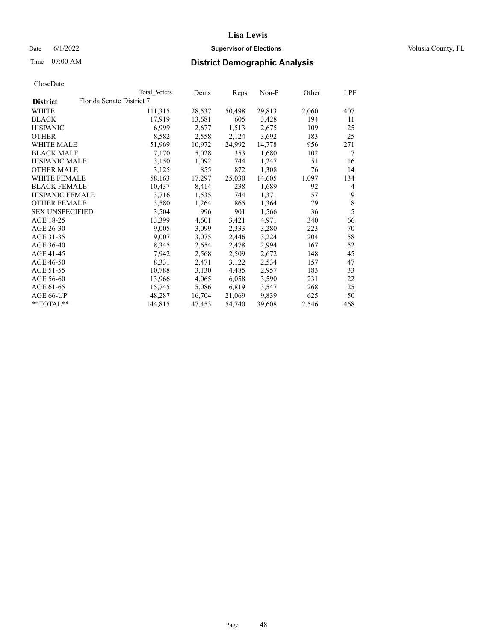## Date 6/1/2022 **Supervisor of Elections Supervisor of Elections** Volusia County, FL

| CloseDate |
|-----------|
|-----------|

|                        |                           | Total Voters | Dems   | Reps   | Non-P  | Other | LPF            |
|------------------------|---------------------------|--------------|--------|--------|--------|-------|----------------|
| <b>District</b>        | Florida Senate District 7 |              |        |        |        |       |                |
| WHITE                  |                           | 111,315      | 28,537 | 50,498 | 29,813 | 2,060 | 407            |
| <b>BLACK</b>           |                           | 17,919       | 13,681 | 605    | 3,428  | 194   | 11             |
| <b>HISPANIC</b>        |                           | 6,999        | 2,677  | 1,513  | 2,675  | 109   | 25             |
| <b>OTHER</b>           |                           | 8,582        | 2,558  | 2,124  | 3,692  | 183   | 25             |
| WHITE MALE             |                           | 51,969       | 10,972 | 24,992 | 14,778 | 956   | 271            |
| <b>BLACK MALE</b>      |                           | 7,170        | 5,028  | 353    | 1,680  | 102   | 7              |
| <b>HISPANIC MALE</b>   |                           | 3,150        | 1,092  | 744    | 1,247  | 51    | 16             |
| <b>OTHER MALE</b>      |                           | 3,125        | 855    | 872    | 1,308  | 76    | 14             |
| <b>WHITE FEMALE</b>    |                           | 58,163       | 17,297 | 25,030 | 14,605 | 1,097 | 134            |
| <b>BLACK FEMALE</b>    |                           | 10,437       | 8,414  | 238    | 1,689  | 92    | $\overline{4}$ |
| <b>HISPANIC FEMALE</b> |                           | 3,716        | 1,535  | 744    | 1,371  | 57    | 9              |
| <b>OTHER FEMALE</b>    |                           | 3,580        | 1,264  | 865    | 1,364  | 79    | 8              |
| <b>SEX UNSPECIFIED</b> |                           | 3,504        | 996    | 901    | 1,566  | 36    | 5              |
| AGE 18-25              |                           | 13,399       | 4,601  | 3,421  | 4,971  | 340   | 66             |
| AGE 26-30              |                           | 9,005        | 3,099  | 2,333  | 3,280  | 223   | 70             |
| AGE 31-35              |                           | 9,007        | 3,075  | 2,446  | 3,224  | 204   | 58             |
| AGE 36-40              |                           | 8,345        | 2,654  | 2,478  | 2,994  | 167   | 52             |
| AGE 41-45              |                           | 7,942        | 2,568  | 2,509  | 2,672  | 148   | 45             |
| AGE 46-50              |                           | 8,331        | 2,471  | 3,122  | 2,534  | 157   | 47             |
| AGE 51-55              |                           | 10,788       | 3,130  | 4,485  | 2,957  | 183   | 33             |
| AGE 56-60              |                           | 13,966       | 4,065  | 6,058  | 3,590  | 231   | 22             |
| AGE 61-65              |                           | 15,745       | 5,086  | 6,819  | 3,547  | 268   | 25             |
| AGE 66-UP              |                           | 48,287       | 16,704 | 21,069 | 9,839  | 625   | 50             |
| $*$ TOTAL $*$          |                           | 144,815      | 47,453 | 54,740 | 39,608 | 2,546 | 468            |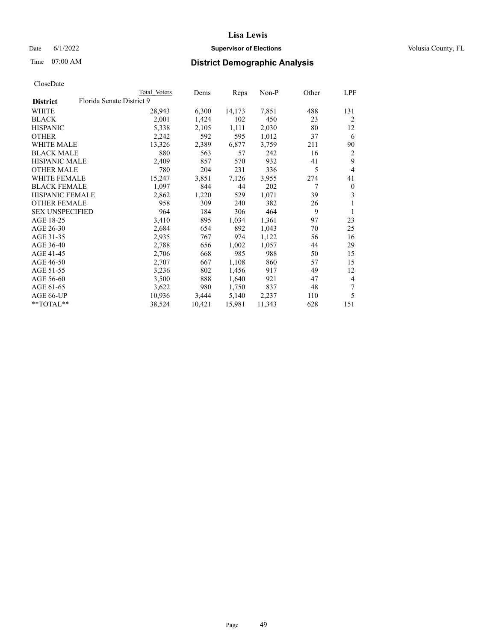## Date 6/1/2022 **Supervisor of Elections Supervisor of Elections** Volusia County, FL

# Time 07:00 AM **District Demographic Analysis**

|                        | Total Voters              | Dems   | Reps   | Non-P  | Other | LPF            |
|------------------------|---------------------------|--------|--------|--------|-------|----------------|
| <b>District</b>        | Florida Senate District 9 |        |        |        |       |                |
| WHITE                  | 28,943                    | 6,300  | 14,173 | 7,851  | 488   | 131            |
| <b>BLACK</b>           | 2,001                     | 1,424  | 102    | 450    | 23    | 2              |
| <b>HISPANIC</b>        | 5,338                     | 2,105  | 1,111  | 2,030  | 80    | 12             |
| <b>OTHER</b>           | 2,242                     | 592    | 595    | 1,012  | 37    | 6              |
| WHITE MALE             | 13,326                    | 2,389  | 6,877  | 3,759  | 211   | 90             |
| <b>BLACK MALE</b>      | 880                       | 563    | 57     | 242    | 16    | 2              |
| <b>HISPANIC MALE</b>   | 2,409                     | 857    | 570    | 932    | 41    | 9              |
| <b>OTHER MALE</b>      | 780                       | 204    | 231    | 336    | 5     | $\overline{4}$ |
| WHITE FEMALE           | 15,247                    | 3,851  | 7,126  | 3,955  | 274   | 41             |
| <b>BLACK FEMALE</b>    | 1,097                     | 844    | 44     | 202    | 7     | $\mathbf{0}$   |
| <b>HISPANIC FEMALE</b> | 2,862                     | 1,220  | 529    | 1,071  | 39    | 3              |
| <b>OTHER FEMALE</b>    | 958                       | 309    | 240    | 382    | 26    | 1              |
| <b>SEX UNSPECIFIED</b> | 964                       | 184    | 306    | 464    | 9     | 1              |
| AGE 18-25              | 3,410                     | 895    | 1,034  | 1,361  | 97    | 23             |
| AGE 26-30              | 2,684                     | 654    | 892    | 1,043  | 70    | 25             |
| AGE 31-35              | 2,935                     | 767    | 974    | 1,122  | 56    | 16             |
| AGE 36-40              | 2,788                     | 656    | 1,002  | 1,057  | 44    | 29             |
| AGE 41-45              | 2,706                     | 668    | 985    | 988    | 50    | 15             |
| AGE 46-50              | 2,707                     | 667    | 1,108  | 860    | 57    | 15             |
| AGE 51-55              | 3,236                     | 802    | 1,456  | 917    | 49    | 12             |
| AGE 56-60              | 3,500                     | 888    | 1,640  | 921    | 47    | 4              |
| AGE 61-65              | 3,622                     | 980    | 1,750  | 837    | 48    | 7              |
| AGE 66-UP              | 10,936                    | 3,444  | 5,140  | 2,237  | 110   | 5              |
| $*$ $TOTAL**$          | 38,524                    | 10,421 | 15,981 | 11,343 | 628   | 151            |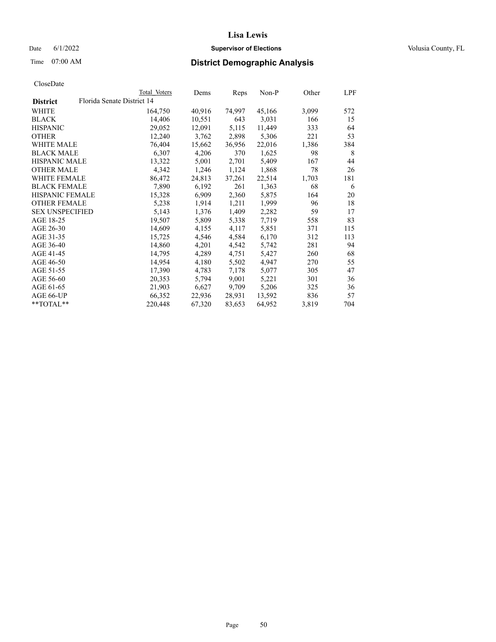## Date 6/1/2022 **Supervisor of Elections Supervisor of Elections** Volusia County, FL

# Time 07:00 AM **District Demographic Analysis**

|                        |                            | Total Voters | Dems   | Reps   | Non-P  | Other | LPF |
|------------------------|----------------------------|--------------|--------|--------|--------|-------|-----|
| <b>District</b>        | Florida Senate District 14 |              |        |        |        |       |     |
| WHITE                  |                            | 164,750      | 40,916 | 74,997 | 45,166 | 3,099 | 572 |
| <b>BLACK</b>           |                            | 14,406       | 10,551 | 643    | 3,031  | 166   | 15  |
| <b>HISPANIC</b>        |                            | 29,052       | 12,091 | 5,115  | 11,449 | 333   | 64  |
| <b>OTHER</b>           |                            | 12,240       | 3,762  | 2,898  | 5,306  | 221   | 53  |
| WHITE MALE             |                            | 76,404       | 15,662 | 36,956 | 22,016 | 1,386 | 384 |
| <b>BLACK MALE</b>      |                            | 6,307        | 4,206  | 370    | 1,625  | 98    | 8   |
| <b>HISPANIC MALE</b>   |                            | 13,322       | 5,001  | 2,701  | 5,409  | 167   | 44  |
| <b>OTHER MALE</b>      |                            | 4,342        | 1,246  | 1,124  | 1,868  | 78    | 26  |
| <b>WHITE FEMALE</b>    |                            | 86,472       | 24,813 | 37,261 | 22,514 | 1,703 | 181 |
| <b>BLACK FEMALE</b>    |                            | 7,890        | 6,192  | 261    | 1,363  | 68    | 6   |
| <b>HISPANIC FEMALE</b> |                            | 15,328       | 6,909  | 2,360  | 5,875  | 164   | 20  |
| <b>OTHER FEMALE</b>    |                            | 5,238        | 1,914  | 1,211  | 1,999  | 96    | 18  |
| <b>SEX UNSPECIFIED</b> |                            | 5,143        | 1,376  | 1,409  | 2,282  | 59    | 17  |
| AGE 18-25              |                            | 19,507       | 5,809  | 5,338  | 7,719  | 558   | 83  |
| AGE 26-30              |                            | 14,609       | 4,155  | 4,117  | 5,851  | 371   | 115 |
| AGE 31-35              |                            | 15,725       | 4,546  | 4,584  | 6,170  | 312   | 113 |
| AGE 36-40              |                            | 14,860       | 4,201  | 4,542  | 5,742  | 281   | 94  |
| AGE 41-45              |                            | 14,795       | 4,289  | 4,751  | 5,427  | 260   | 68  |
| AGE 46-50              |                            | 14,954       | 4,180  | 5,502  | 4,947  | 270   | 55  |
| AGE 51-55              |                            | 17,390       | 4,783  | 7,178  | 5,077  | 305   | 47  |
| AGE 56-60              |                            | 20,353       | 5,794  | 9,001  | 5,221  | 301   | 36  |
| AGE 61-65              |                            | 21,903       | 6,627  | 9,709  | 5,206  | 325   | 36  |
| AGE 66-UP              |                            | 66,352       | 22,936 | 28,931 | 13,592 | 836   | 57  |
| $*$ $TOTAL**$          |                            | 220,448      | 67,320 | 83,653 | 64,952 | 3,819 | 704 |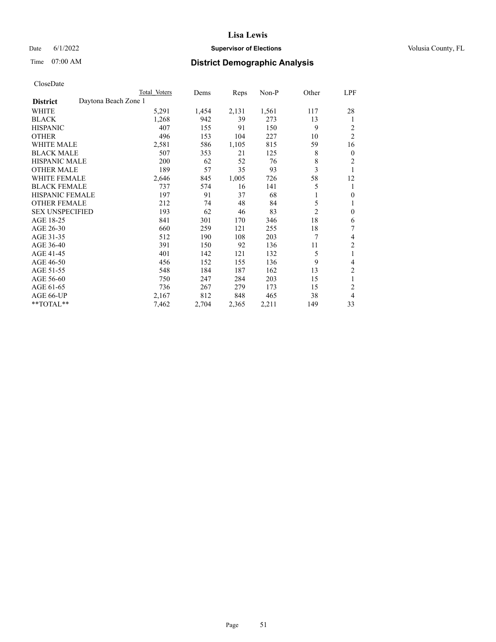## Date 6/1/2022 **Supervisor of Elections Supervisor of Elections** Volusia County, FL

# Time 07:00 AM **District Demographic Analysis**

|                        |                      | Total Voters | Dems  | Reps  | Non-P | Other          | LPF            |
|------------------------|----------------------|--------------|-------|-------|-------|----------------|----------------|
| <b>District</b>        | Daytona Beach Zone 1 |              |       |       |       |                |                |
| <b>WHITE</b>           |                      | 5,291        | 1,454 | 2,131 | 1,561 | 117            | 28             |
| <b>BLACK</b>           |                      | 1,268        | 942   | 39    | 273   | 13             | 1              |
| <b>HISPANIC</b>        |                      | 407          | 155   | 91    | 150   | 9              | 2              |
| <b>OTHER</b>           |                      | 496          | 153   | 104   | 227   | 10             | $\overline{2}$ |
| <b>WHITE MALE</b>      |                      | 2,581        | 586   | 1,105 | 815   | 59             | 16             |
| <b>BLACK MALE</b>      |                      | 507          | 353   | 21    | 125   | 8              | $\mathbf{0}$   |
| <b>HISPANIC MALE</b>   |                      | 200          | 62    | 52    | 76    | 8              | $\overline{2}$ |
| <b>OTHER MALE</b>      |                      | 189          | 57    | 35    | 93    | 3              | 1              |
| <b>WHITE FEMALE</b>    |                      | 2,646        | 845   | 1,005 | 726   | 58             | 12             |
| <b>BLACK FEMALE</b>    |                      | 737          | 574   | 16    | 141   | 5              | 1              |
| <b>HISPANIC FEMALE</b> |                      | 197          | 91    | 37    | 68    |                | $\theta$       |
| <b>OTHER FEMALE</b>    |                      | 212          | 74    | 48    | 84    | 5              | 1              |
| <b>SEX UNSPECIFIED</b> |                      | 193          | 62    | 46    | 83    | $\overline{2}$ | $\theta$       |
| AGE 18-25              |                      | 841          | 301   | 170   | 346   | 18             | 6              |
| AGE 26-30              |                      | 660          | 259   | 121   | 255   | 18             | 7              |
| AGE 31-35              |                      | 512          | 190   | 108   | 203   | 7              | 4              |
| AGE 36-40              |                      | 391          | 150   | 92    | 136   | 11             | 2              |
| AGE 41-45              |                      | 401          | 142   | 121   | 132   | 5              | 1              |
| AGE 46-50              |                      | 456          | 152   | 155   | 136   | 9              | 4              |
| AGE 51-55              |                      | 548          | 184   | 187   | 162   | 13             | $\overline{c}$ |
| AGE 56-60              |                      | 750          | 247   | 284   | 203   | 15             | 1              |
| AGE 61-65              |                      | 736          | 267   | 279   | 173   | 15             | $\overline{c}$ |
| AGE 66-UP              |                      | 2,167        | 812   | 848   | 465   | 38             | 4              |
| **TOTAL**              |                      | 7,462        | 2,704 | 2,365 | 2,211 | 149            | 33             |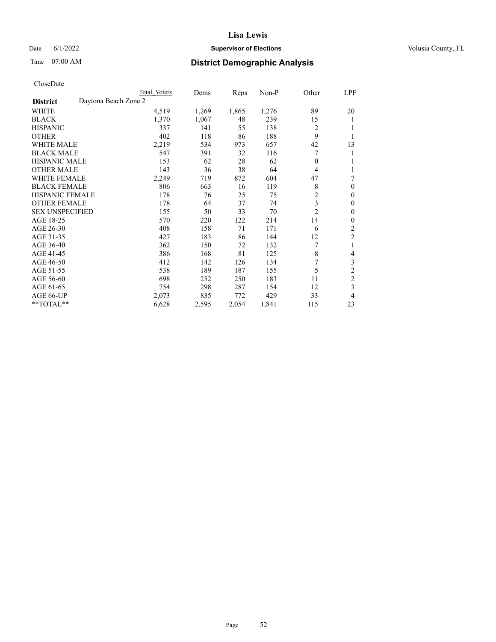## Date 6/1/2022 **Supervisor of Elections Supervisor of Elections** Volusia County, FL

# Time 07:00 AM **District Demographic Analysis**

|                        | Total Voters         | Dems           | Reps  | Non-P | Other          | LPF            |
|------------------------|----------------------|----------------|-------|-------|----------------|----------------|
| <b>District</b>        | Daytona Beach Zone 2 |                |       |       |                |                |
| WHITE                  |                      | 4,519<br>1,269 | 1,865 | 1,276 | 89             | 20             |
| <b>BLACK</b>           |                      | 1,370<br>1,067 | 48    | 239   | 15             | 1              |
| <b>HISPANIC</b>        |                      | 337<br>141     | 55    | 138   | 2              | 1              |
| <b>OTHER</b>           |                      | 402<br>118     | 86    | 188   | 9              |                |
| <b>WHITE MALE</b>      |                      | 2,219<br>534   | 973   | 657   | 42             | 13             |
| <b>BLACK MALE</b>      |                      | 391<br>547     | 32    | 116   | 7              | 1              |
| <b>HISPANIC MALE</b>   |                      | 153<br>62      | 28    | 62    | 0              | 1              |
| <b>OTHER MALE</b>      |                      | 143<br>36      | 38    | 64    | 4              | 1              |
| WHITE FEMALE           |                      | 2,249<br>719   | 872   | 604   | 47             | 7              |
| <b>BLACK FEMALE</b>    |                      | 806<br>663     | 16    | 119   | 8              | $\mathbf{0}$   |
| <b>HISPANIC FEMALE</b> |                      | 178<br>76      | 25    | 75    | $\mathfrak{2}$ | $\theta$       |
| <b>OTHER FEMALE</b>    |                      | 178<br>64      | 37    | 74    | 3              | $\theta$       |
| <b>SEX UNSPECIFIED</b> |                      | 155<br>50      | 33    | 70    | $\overline{2}$ | $\theta$       |
| AGE 18-25              |                      | 570<br>220     | 122   | 214   | 14             | $\theta$       |
| AGE 26-30              |                      | 408<br>158     | 71    | 171   | 6              | $\overline{2}$ |
| AGE 31-35              |                      | 183<br>427     | 86    | 144   | 12             | $\overline{c}$ |
| AGE 36-40              |                      | 150<br>362     | 72    | 132   | 7              | 1              |
| AGE 41-45              |                      | 386<br>168     | 81    | 125   | 8              | 4              |
| AGE 46-50              |                      | 412<br>142     | 126   | 134   | 7              | 3              |
| AGE 51-55              |                      | 189<br>538     | 187   | 155   | 5              | $\overline{c}$ |
| AGE 56-60              |                      | 698<br>252     | 250   | 183   | 11             | $\overline{2}$ |
| AGE 61-65              |                      | 754<br>298     | 287   | 154   | 12             | 3              |
| AGE 66-UP              |                      | 835<br>2,073   | 772   | 429   | 33             | 4              |
| **TOTAL**              |                      | 6,628<br>2,595 | 2,054 | 1,841 | 115            | 23             |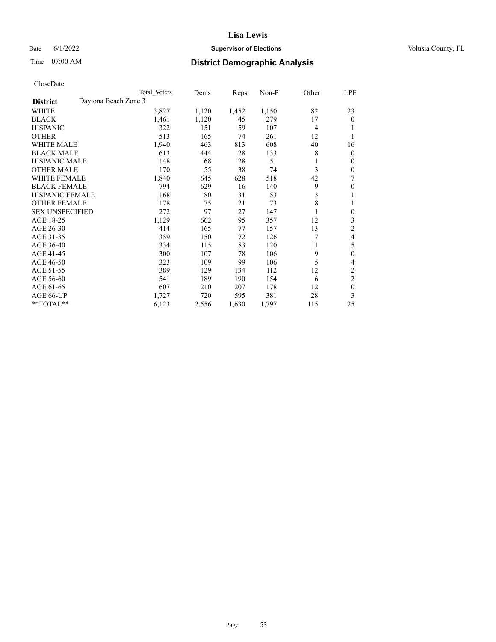## Date 6/1/2022 **Supervisor of Elections Supervisor of Elections** Volusia County, FL

# Time 07:00 AM **District Demographic Analysis**

|                        | Total Voters         | Dems  | Reps  | Non-P | Other          | LPF              |
|------------------------|----------------------|-------|-------|-------|----------------|------------------|
| <b>District</b>        | Daytona Beach Zone 3 |       |       |       |                |                  |
| WHITE                  | 3,827                | 1,120 | 1,452 | 1,150 | 82             | 23               |
| <b>BLACK</b>           | 1,461                | 1,120 | 45    | 279   | 17             | $\overline{0}$   |
| <b>HISPANIC</b>        | 322                  | 151   | 59    | 107   | $\overline{4}$ |                  |
| <b>OTHER</b>           | 513                  | 165   | 74    | 261   | 12             | 1                |
| WHITE MALE             | 1,940                | 463   | 813   | 608   | 40             | 16               |
| <b>BLACK MALE</b>      | 613                  | 444   | 28    | 133   | 8              | 0                |
| <b>HISPANIC MALE</b>   | 148                  | 68    | 28    | 51    |                | 0                |
| <b>OTHER MALE</b>      | 170                  | 55    | 38    | 74    | 3              | 0                |
| <b>WHITE FEMALE</b>    | 1,840                | 645   | 628   | 518   | 42             | 7                |
| <b>BLACK FEMALE</b>    | 794                  | 629   | 16    | 140   | 9              | 0                |
| <b>HISPANIC FEMALE</b> | 168                  | 80    | 31    | 53    | 3              |                  |
| <b>OTHER FEMALE</b>    | 178                  | 75    | 21    | 73    | 8              |                  |
| <b>SEX UNSPECIFIED</b> | 272                  | 97    | 27    | 147   |                | $\boldsymbol{0}$ |
| AGE 18-25              | 1,129                | 662   | 95    | 357   | 12             | 3                |
| AGE 26-30              | 414                  | 165   | 77    | 157   | 13             | 2                |
| AGE 31-35              | 359                  | 150   | 72    | 126   | 7              | 4                |
| AGE 36-40              | 334                  | 115   | 83    | 120   | 11             | 5                |
| AGE 41-45              | 300                  | 107   | 78    | 106   | 9              | 0                |
| AGE 46-50              | 323                  | 109   | 99    | 106   | 5              | 4                |
| AGE 51-55              | 389                  | 129   | 134   | 112   | 12             | $\overline{c}$   |
| AGE 56-60              | 541                  | 189   | 190   | 154   | 6              | $\overline{2}$   |
| AGE 61-65              | 607                  | 210   | 207   | 178   | 12             | $\mathbf{0}$     |
| AGE 66-UP              | 1,727                | 720   | 595   | 381   | 28             | 3                |
| **TOTAL**              | 6,123                | 2,556 | 1,630 | 1,797 | 115            | 25               |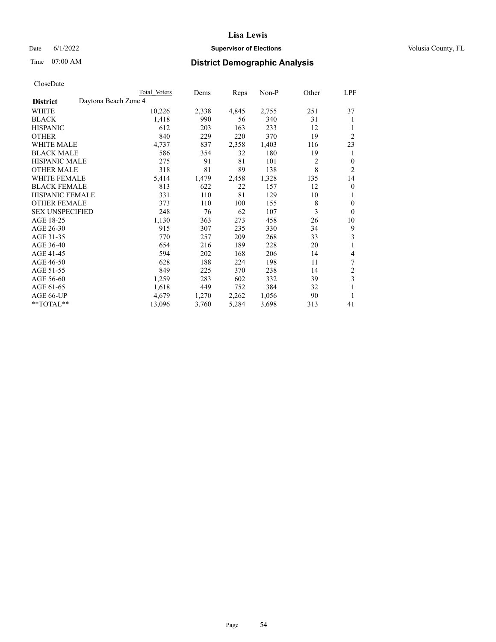## Date 6/1/2022 **Supervisor of Elections Supervisor of Elections** Volusia County, FL

# Time 07:00 AM **District Demographic Analysis**

|                      | Dems  |              |       |      | LPF              |
|----------------------|-------|--------------|-------|------|------------------|
| Daytona Beach Zone 4 |       |              |       |      |                  |
| 10,226               | 2,338 | 4,845        | 2,755 | 251  | 37               |
| 1,418                | 990   | 56           | 340   | 31   | 1                |
| 612                  | 203   | 163          | 233   | 12   |                  |
| 840                  | 229   | 220          | 370   | 19   | $\overline{2}$   |
| 4,737                | 837   | 2,358        | 1,403 | 116  | 23               |
| 586                  | 354   | 32           | 180   | 19   | 1                |
| 275                  | 91    | 81           | 101   | 2    | $\overline{0}$   |
| 318                  | 81    | 89           | 138   | 8    | $\overline{2}$   |
| 5,414                | 1,479 | 2,458        | 1,328 | 135  | 14               |
| 813                  | 622   | 22           | 157   | 12   | $\theta$         |
| 331                  | 110   | 81           | 129   | 10   | 1                |
| 373                  | 110   | 100          | 155   | 8    | $\theta$         |
| 248                  | 76    | 62           | 107   | 3    | $\theta$         |
| 1,130                | 363   | 273          | 458   | 26   | 10               |
| 915                  | 307   | 235          | 330   | 34   | 9                |
| 770                  | 257   | 209          | 268   | 33   | 3                |
| 654                  | 216   | 189          | 228   | 20   | 1                |
| 594                  | 202   | 168          | 206   | 14   | 4                |
| 628                  | 188   | 224          | 198   | 11   | 7                |
| 849                  | 225   | 370          | 238   | 14   | 2                |
| 1,259                | 283   | 602          | 332   | 39   | 3                |
| 1,618                | 449   | 752          | 384   | 32   | 1                |
| 4,679                | 1,270 | 2,262        | 1,056 | 90   | 1                |
| 13,096               | 3,760 | 5,284        | 3,698 | 313  | 41               |
|                      |       | Total Voters |       | Reps | Other<br>$Non-P$ |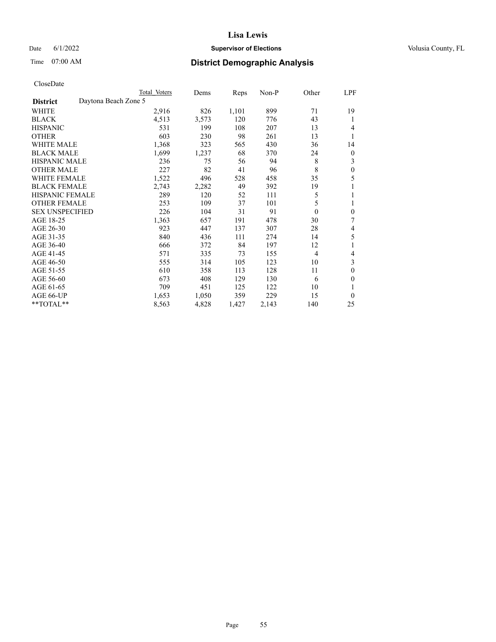## Date 6/1/2022 **Supervisor of Elections Supervisor of Elections** Volusia County, FL

# Time 07:00 AM **District Demographic Analysis**

| Total Voters         | Dems  | Reps  | $Non-P$ | Other    | LPF          |
|----------------------|-------|-------|---------|----------|--------------|
| Daytona Beach Zone 5 |       |       |         |          |              |
| 2,916                | 826   | 1,101 | 899     | 71       | 19           |
| 4,513                | 3,573 | 120   | 776     | 43       | 1            |
| 531                  | 199   | 108   | 207     | 13       | 4            |
| 603                  | 230   | 98    | 261     | 13       | 1            |
| 1,368                | 323   | 565   | 430     | 36       | 14           |
| 1,699                | 1,237 | 68    | 370     | 24       | 0            |
| 236                  | 75    | 56    | 94      | 8        | 3            |
| 227                  | 82    | 41    | 96      | 8        | 0            |
| 1,522                | 496   | 528   | 458     | 35       | 5            |
| 2,743                | 2,282 | 49    | 392     | 19       |              |
| 289                  | 120   | 52    | 111     | 5        | 1            |
| 253                  | 109   | 37    | 101     | 5        | 1            |
| 226                  | 104   | 31    | 91      | $\theta$ | $\mathbf{0}$ |
| 1,363                | 657   | 191   | 478     | 30       | 7            |
| 923                  | 447   | 137   | 307     | 28       | 4            |
| 840                  | 436   | 111   | 274     | 14       | 5            |
| 666                  | 372   | 84    | 197     | 12       |              |
| 571                  | 335   | 73    | 155     | 4        | 4            |
| 555                  | 314   | 105   | 123     | 10       | 3            |
| 610                  | 358   | 113   | 128     | 11       | 0            |
| 673                  | 408   | 129   | 130     | 6        | 0            |
| 709                  | 451   | 125   | 122     | 10       |              |
| 1,653                | 1,050 | 359   | 229     | 15       | 0            |
| 8,563                | 4,828 | 1,427 | 2,143   | 140      | 25           |
|                      |       |       |         |          |              |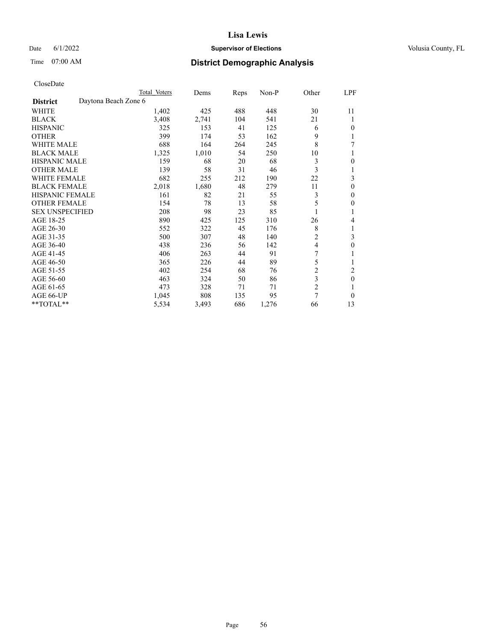## Date 6/1/2022 **Supervisor of Elections Supervisor of Elections** Volusia County, FL

# Time 07:00 AM **District Demographic Analysis**

|                        |                      | Total Voters | Dems  | Reps | Non-P | Other          | LPF            |
|------------------------|----------------------|--------------|-------|------|-------|----------------|----------------|
| <b>District</b>        | Daytona Beach Zone 6 |              |       |      |       |                |                |
| WHITE                  |                      | 1,402        | 425   | 488  | 448   | 30             | 11             |
| <b>BLACK</b>           |                      | 3,408        | 2,741 | 104  | 541   | 21             | 1              |
| <b>HISPANIC</b>        |                      | 325          | 153   | 41   | 125   | 6              | $\Omega$       |
| <b>OTHER</b>           |                      | 399          | 174   | 53   | 162   | 9              | 1              |
| <b>WHITE MALE</b>      |                      | 688          | 164   | 264  | 245   | 8              | 7              |
| <b>BLACK MALE</b>      |                      | 1,325        | 1,010 | 54   | 250   | 10             | 1              |
| <b>HISPANIC MALE</b>   |                      | 159          | 68    | 20   | 68    | 3              | $\theta$       |
| <b>OTHER MALE</b>      |                      | 139          | 58    | 31   | 46    | 3              | 1              |
| WHITE FEMALE           |                      | 682          | 255   | 212  | 190   | 22             | 3              |
| <b>BLACK FEMALE</b>    |                      | 2,018        | 1,680 | 48   | 279   | 11             | $\theta$       |
| <b>HISPANIC FEMALE</b> |                      | 161          | 82    | 21   | 55    | 3              | $\Omega$       |
| <b>OTHER FEMALE</b>    |                      | 154          | 78    | 13   | 58    | 5              | $\theta$       |
| <b>SEX UNSPECIFIED</b> |                      | 208          | 98    | 23   | 85    |                | 1              |
| AGE 18-25              |                      | 890          | 425   | 125  | 310   | 26             | 4              |
| AGE 26-30              |                      | 552          | 322   | 45   | 176   | 8              | 1              |
| AGE 31-35              |                      | 500          | 307   | 48   | 140   | $\overline{2}$ | 3              |
| AGE 36-40              |                      | 438          | 236   | 56   | 142   | 4              | $\mathbf{0}$   |
| AGE 41-45              |                      | 406          | 263   | 44   | 91    | 7              |                |
| AGE 46-50              |                      | 365          | 226   | 44   | 89    | 5              | 1              |
| AGE 51-55              |                      | 402          | 254   | 68   | 76    | $\overline{c}$ | $\overline{c}$ |
| AGE 56-60              |                      | 463          | 324   | 50   | 86    | 3              | $\theta$       |
| AGE 61-65              |                      | 473          | 328   | 71   | 71    | $\overline{c}$ | 1              |
| AGE 66-UP              |                      | 1,045        | 808   | 135  | 95    | 7              | $\theta$       |
| **TOTAL**              |                      | 5,534        | 3,493 | 686  | 1,276 | 66             | 13             |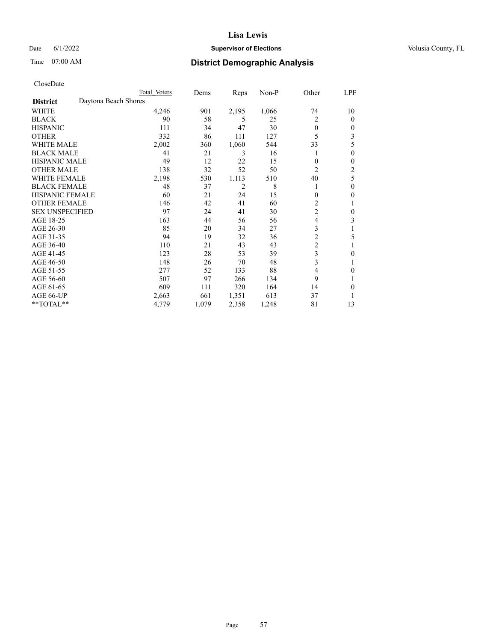## Date 6/1/2022 **Supervisor of Elections Supervisor of Elections** Volusia County, FL

# Time 07:00 AM **District Demographic Analysis**

|                        |                      | Total Voters | Dems  | Reps  | Non-P | Other          | LPF            |
|------------------------|----------------------|--------------|-------|-------|-------|----------------|----------------|
| <b>District</b>        | Daytona Beach Shores |              |       |       |       |                |                |
| WHITE                  |                      | 4,246        | 901   | 2,195 | 1,066 | 74             | 10             |
| <b>BLACK</b>           |                      | 90           | 58    | 5     | 25    | $\overline{2}$ | $\mathbf{0}$   |
| <b>HISPANIC</b>        |                      | 111          | 34    | 47    | 30    | $\theta$       | $\Omega$       |
| <b>OTHER</b>           |                      | 332          | 86    | 111   | 127   | 5              | 3              |
| <b>WHITE MALE</b>      |                      | 2,002        | 360   | 1,060 | 544   | 33             | 5              |
| <b>BLACK MALE</b>      |                      | 41           | 21    | 3     | 16    |                | $\theta$       |
| <b>HISPANIC MALE</b>   |                      | 49           | 12    | 22    | 15    | $\mathbf{0}$   | $\theta$       |
| <b>OTHER MALE</b>      |                      | 138          | 32    | 52    | 50    | $\overline{2}$ | $\overline{2}$ |
| WHITE FEMALE           |                      | 2,198        | 530   | 1,113 | 510   | 40             | 5              |
| <b>BLACK FEMALE</b>    |                      | 48           | 37    | 2     | 8     |                | $\theta$       |
| <b>HISPANIC FEMALE</b> |                      | 60           | 21    | 24    | 15    | $\theta$       | $\theta$       |
| <b>OTHER FEMALE</b>    |                      | 146          | 42    | 41    | 60    | 2              |                |
| <b>SEX UNSPECIFIED</b> |                      | 97           | 24    | 41    | 30    | $\overline{c}$ | $\theta$       |
| AGE 18-25              |                      | 163          | 44    | 56    | 56    | $\overline{4}$ | 3              |
| AGE 26-30              |                      | 85           | 20    | 34    | 27    | 3              |                |
| AGE 31-35              |                      | 94           | 19    | 32    | 36    | $\overline{c}$ | 5              |
| AGE 36-40              |                      | 110          | 21    | 43    | 43    | $\overline{c}$ |                |
| AGE 41-45              |                      | 123          | 28    | 53    | 39    | 3              | 0              |
| AGE 46-50              |                      | 148          | 26    | 70    | 48    | 3              |                |
| AGE 51-55              |                      | 277          | 52    | 133   | 88    | 4              | 0              |
| AGE 56-60              |                      | 507          | 97    | 266   | 134   | 9              |                |
| AGE 61-65              |                      | 609          | 111   | 320   | 164   | 14             | 0              |
| AGE 66-UP              |                      | 2,663        | 661   | 1,351 | 613   | 37             |                |
| **TOTAL**              |                      | 4,779        | 1,079 | 2,358 | 1,248 | 81             | 13             |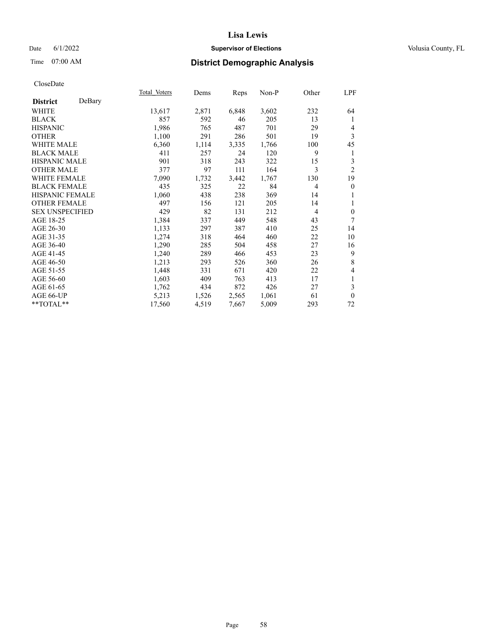## Date 6/1/2022 **Supervisor of Elections Supervisor of Elections** Volusia County, FL

# Time 07:00 AM **District Demographic Analysis**

|                        |        | Total Voters | Dems  | Reps  | Non-P | Other          | LPF            |
|------------------------|--------|--------------|-------|-------|-------|----------------|----------------|
| <b>District</b>        | DeBary |              |       |       |       |                |                |
| WHITE                  |        | 13,617       | 2,871 | 6,848 | 3,602 | 232            | 64             |
| <b>BLACK</b>           |        | 857          | 592   | 46    | 205   | 13             | 1              |
| <b>HISPANIC</b>        |        | 1,986        | 765   | 487   | 701   | 29             | 4              |
| <b>OTHER</b>           |        | 1,100        | 291   | 286   | 501   | 19             | 3              |
| WHITE MALE             |        | 6,360        | 1,114 | 3,335 | 1,766 | 100            | 45             |
| <b>BLACK MALE</b>      |        | 411          | 257   | 24    | 120   | 9              | 1              |
| <b>HISPANIC MALE</b>   |        | 901          | 318   | 243   | 322   | 15             | 3              |
| <b>OTHER MALE</b>      |        | 377          | 97    | 111   | 164   | 3              | $\overline{2}$ |
| <b>WHITE FEMALE</b>    |        | 7,090        | 1,732 | 3,442 | 1,767 | 130            | 19             |
| <b>BLACK FEMALE</b>    |        | 435          | 325   | 22    | 84    | $\overline{4}$ | $\theta$       |
| <b>HISPANIC FEMALE</b> |        | 1,060        | 438   | 238   | 369   | 14             | 1              |
| <b>OTHER FEMALE</b>    |        | 497          | 156   | 121   | 205   | 14             | 1              |
| <b>SEX UNSPECIFIED</b> |        | 429          | 82    | 131   | 212   | $\overline{4}$ | $\theta$       |
| AGE 18-25              |        | 1,384        | 337   | 449   | 548   | 43             | 7              |
| AGE 26-30              |        | 1,133        | 297   | 387   | 410   | 25             | 14             |
| AGE 31-35              |        | 1,274        | 318   | 464   | 460   | 22             | 10             |
| AGE 36-40              |        | 1,290        | 285   | 504   | 458   | 27             | 16             |
| AGE 41-45              |        | 1,240        | 289   | 466   | 453   | 23             | 9              |
| AGE 46-50              |        | 1,213        | 293   | 526   | 360   | 26             | 8              |
| AGE 51-55              |        | 1,448        | 331   | 671   | 420   | 22             | 4              |
| AGE 56-60              |        | 1,603        | 409   | 763   | 413   | 17             | 1              |
| AGE 61-65              |        | 1,762        | 434   | 872   | 426   | 27             | 3              |
| AGE 66-UP              |        | 5,213        | 1,526 | 2,565 | 1,061 | 61             | $\mathbf{0}$   |
| $**TOTAL**$            |        | 17,560       | 4,519 | 7,667 | 5,009 | 293            | 72             |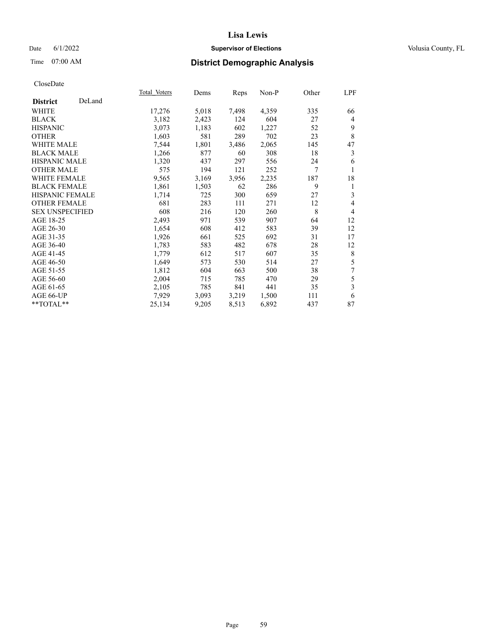## Date 6/1/2022 **Supervisor of Elections Supervisor of Elections** Volusia County, FL

# Time 07:00 AM **District Demographic Analysis**

|                           | Total Voters | Dems  | Reps  | Non-P | Other | LPF            |
|---------------------------|--------------|-------|-------|-------|-------|----------------|
| DeLand<br><b>District</b> |              |       |       |       |       |                |
| WHITE                     | 17,276       | 5,018 | 7,498 | 4,359 | 335   | 66             |
| <b>BLACK</b>              | 3,182        | 2,423 | 124   | 604   | 27    | 4              |
| <b>HISPANIC</b>           | 3,073        | 1,183 | 602   | 1,227 | 52    | 9              |
| <b>OTHER</b>              | 1,603        | 581   | 289   | 702   | 23    | 8              |
| WHITE MALE                | 7,544        | 1,801 | 3,486 | 2,065 | 145   | 47             |
| <b>BLACK MALE</b>         | 1,266        | 877   | 60    | 308   | 18    | 3              |
| HISPANIC MALE             | 1,320        | 437   | 297   | 556   | 24    | 6              |
| <b>OTHER MALE</b>         | 575          | 194   | 121   | 252   | 7     |                |
| WHITE FEMALE              | 9,565        | 3,169 | 3,956 | 2,235 | 187   | 18             |
| <b>BLACK FEMALE</b>       | 1,861        | 1,503 | 62    | 286   | 9     | 1              |
| <b>HISPANIC FEMALE</b>    | 1,714        | 725   | 300   | 659   | 27    | 3              |
| <b>OTHER FEMALE</b>       | 681          | 283   | 111   | 271   | 12    | 4              |
| <b>SEX UNSPECIFIED</b>    | 608          | 216   | 120   | 260   | 8     | $\overline{4}$ |
| AGE 18-25                 | 2,493        | 971   | 539   | 907   | 64    | 12             |
| AGE 26-30                 | 1,654        | 608   | 412   | 583   | 39    | 12             |
| AGE 31-35                 | 1,926        | 661   | 525   | 692   | 31    | 17             |
| AGE 36-40                 | 1,783        | 583   | 482   | 678   | 28    | 12             |
| AGE 41-45                 | 1,779        | 612   | 517   | 607   | 35    | 8              |
| AGE 46-50                 | 1,649        | 573   | 530   | 514   | 27    | 5              |
| AGE 51-55                 | 1,812        | 604   | 663   | 500   | 38    | 7              |
| AGE 56-60                 | 2,004        | 715   | 785   | 470   | 29    | 5              |
| AGE 61-65                 | 2,105        | 785   | 841   | 441   | 35    | 3              |
| AGE 66-UP                 | 7,929        | 3,093 | 3,219 | 1,500 | 111   | 6              |
| $*$ TOTAL $*$             | 25,134       | 9,205 | 8,513 | 6,892 | 437   | 87             |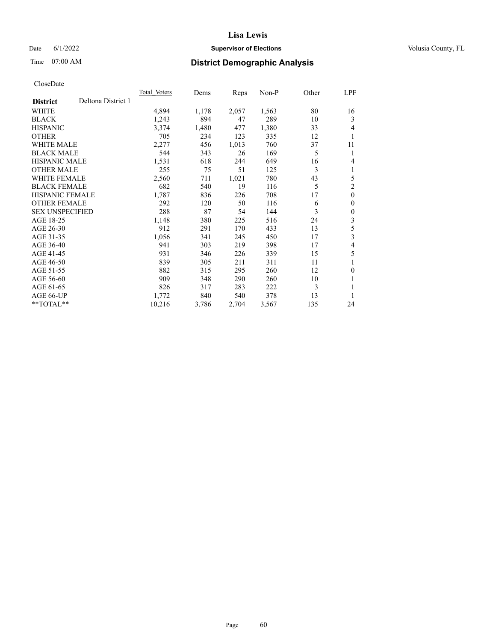## Date 6/1/2022 **Supervisor of Elections Supervisor of Elections** Volusia County, FL

# Time 07:00 AM **District Demographic Analysis**

|                        |                    | <b>Total Voters</b> | Dems  | Reps  | $Non-P$ | Other | LPF            |
|------------------------|--------------------|---------------------|-------|-------|---------|-------|----------------|
| <b>District</b>        | Deltona District 1 |                     |       |       |         |       |                |
| WHITE                  |                    | 4,894               | 1,178 | 2,057 | 1,563   | 80    | 16             |
| <b>BLACK</b>           |                    | 1,243               | 894   | 47    | 289     | 10    | 3              |
| <b>HISPANIC</b>        |                    | 3,374               | 1,480 | 477   | 1,380   | 33    | 4              |
| <b>OTHER</b>           |                    | 705                 | 234   | 123   | 335     | 12    | 1              |
| <b>WHITE MALE</b>      |                    | 2,277               | 456   | 1,013 | 760     | 37    | 11             |
| <b>BLACK MALE</b>      |                    | 544                 | 343   | 26    | 169     | 5     | 1              |
| <b>HISPANIC MALE</b>   |                    | 1,531               | 618   | 244   | 649     | 16    | 4              |
| <b>OTHER MALE</b>      |                    | 255                 | 75    | 51    | 125     | 3     | 1              |
| <b>WHITE FEMALE</b>    |                    | 2,560               | 711   | 1,021 | 780     | 43    | 5              |
| <b>BLACK FEMALE</b>    |                    | 682                 | 540   | 19    | 116     | 5     | $\overline{2}$ |
| <b>HISPANIC FEMALE</b> |                    | 1,787               | 836   | 226   | 708     | 17    | $\mathbf{0}$   |
| <b>OTHER FEMALE</b>    |                    | 292                 | 120   | 50    | 116     | 6     | $\mathbf{0}$   |
| <b>SEX UNSPECIFIED</b> |                    | 288                 | 87    | 54    | 144     | 3     | $\theta$       |
| AGE 18-25              |                    | 1,148               | 380   | 225   | 516     | 24    | 3              |
| AGE 26-30              |                    | 912                 | 291   | 170   | 433     | 13    | 5              |
| AGE 31-35              |                    | 1,056               | 341   | 245   | 450     | 17    | 3              |
| AGE 36-40              |                    | 941                 | 303   | 219   | 398     | 17    | 4              |
| AGE 41-45              |                    | 931                 | 346   | 226   | 339     | 15    | 5              |
| AGE 46-50              |                    | 839                 | 305   | 211   | 311     | 11    |                |
| AGE 51-55              |                    | 882                 | 315   | 295   | 260     | 12    | $\theta$       |
| AGE 56-60              |                    | 909                 | 348   | 290   | 260     | 10    | 1              |
| AGE 61-65              |                    | 826                 | 317   | 283   | 222     | 3     |                |
| AGE 66-UP              |                    | 1,772               | 840   | 540   | 378     | 13    | 1              |
| $*$ $TOTAL**$          |                    | 10,216              | 3,786 | 2,704 | 3,567   | 135   | 24             |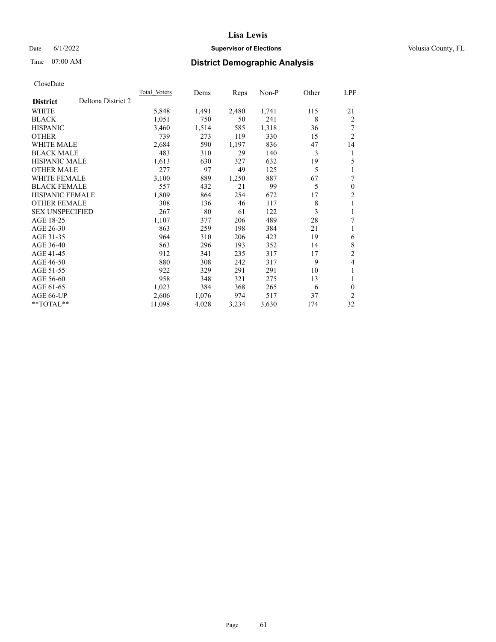## Date 6/1/2022 **Supervisor of Elections Supervisor of Elections** Volusia County, FL

# Time 07:00 AM **District Demographic Analysis**

|                        |                    | Total Voters | Dems  | Reps  | Non-P | Other | LPF            |
|------------------------|--------------------|--------------|-------|-------|-------|-------|----------------|
| <b>District</b>        | Deltona District 2 |              |       |       |       |       |                |
| WHITE                  |                    | 5,848        | 1,491 | 2,480 | 1,741 | 115   | 21             |
| <b>BLACK</b>           |                    | 1,051        | 750   | 50    | 241   | 8     | $\overline{2}$ |
| <b>HISPANIC</b>        |                    | 3,460        | 1,514 | 585   | 1,318 | 36    |                |
| <b>OTHER</b>           |                    | 739          | 273   | 119   | 330   | 15    | $\overline{2}$ |
| <b>WHITE MALE</b>      |                    | 2,684        | 590   | 1,197 | 836   | 47    | 14             |
| <b>BLACK MALE</b>      |                    | 483          | 310   | 29    | 140   | 3     | 1              |
| <b>HISPANIC MALE</b>   |                    | 1,613        | 630   | 327   | 632   | 19    | 5              |
| <b>OTHER MALE</b>      |                    | 277          | 97    | 49    | 125   | 5     | 1              |
| <b>WHITE FEMALE</b>    |                    | 3,100        | 889   | 1,250 | 887   | 67    | 7              |
| <b>BLACK FEMALE</b>    |                    | 557          | 432   | 21    | 99    | 5     | $\mathbf{0}$   |
| <b>HISPANIC FEMALE</b> |                    | 1,809        | 864   | 254   | 672   | 17    | $\overline{2}$ |
| <b>OTHER FEMALE</b>    |                    | 308          | 136   | 46    | 117   | 8     | 1              |
| <b>SEX UNSPECIFIED</b> |                    | 267          | 80    | 61    | 122   | 3     | 1              |
| AGE 18-25              |                    | 1,107        | 377   | 206   | 489   | 28    | 7              |
| AGE 26-30              |                    | 863          | 259   | 198   | 384   | 21    | 1              |
| AGE 31-35              |                    | 964          | 310   | 206   | 423   | 19    | 6              |
| AGE 36-40              |                    | 863          | 296   | 193   | 352   | 14    | 8              |
| AGE 41-45              |                    | 912          | 341   | 235   | 317   | 17    | $\overline{2}$ |
| AGE 46-50              |                    | 880          | 308   | 242   | 317   | 9     | 4              |
| AGE 51-55              |                    | 922          | 329   | 291   | 291   | 10    | 1              |
| AGE 56-60              |                    | 958          | 348   | 321   | 275   | 13    | 1              |
| AGE 61-65              |                    | 1,023        | 384   | 368   | 265   | 6     | $\theta$       |
| AGE 66-UP              |                    | 2,606        | 1,076 | 974   | 517   | 37    | 2              |
| $*$ $TOTAL**$          |                    | 11,098       | 4,028 | 3,234 | 3,630 | 174   | 32             |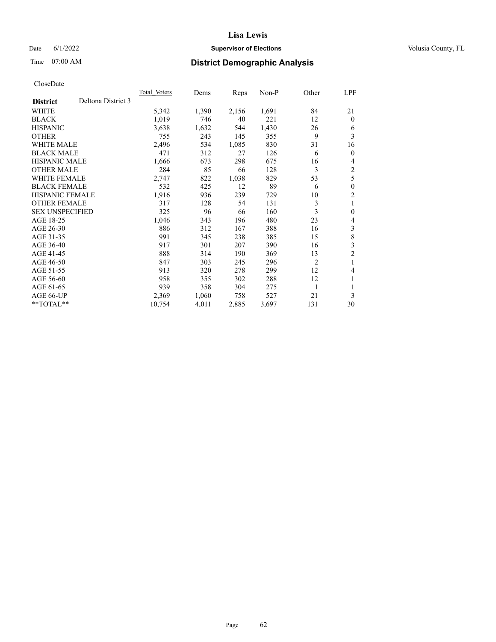## Date 6/1/2022 **Supervisor of Elections Supervisor of Elections** Volusia County, FL

# Time 07:00 AM **District Demographic Analysis**

|                                       | <b>Total Voters</b> | Dems  | Reps  | $Non-P$ | Other | LPF              |
|---------------------------------------|---------------------|-------|-------|---------|-------|------------------|
| Deltona District 3<br><b>District</b> |                     |       |       |         |       |                  |
| WHITE                                 | 5,342               | 1,390 | 2,156 | 1,691   | 84    | 21               |
| <b>BLACK</b>                          | 1,019               | 746   | 40    | 221     | 12    | $\theta$         |
| <b>HISPANIC</b>                       | 3,638               | 1,632 | 544   | 1,430   | 26    | 6                |
| <b>OTHER</b>                          | 755                 | 243   | 145   | 355     | 9     | 3                |
| <b>WHITE MALE</b>                     | 2,496               | 534   | 1,085 | 830     | 31    | 16               |
| <b>BLACK MALE</b>                     | 471                 | 312   | 27    | 126     | 6     | $\theta$         |
| <b>HISPANIC MALE</b>                  | 1,666               | 673   | 298   | 675     | 16    | 4                |
| <b>OTHER MALE</b>                     | 284                 | 85    | 66    | 128     | 3     | 2                |
| WHITE FEMALE                          | 2,747               | 822   | 1,038 | 829     | 53    | 5                |
| <b>BLACK FEMALE</b>                   | 532                 | 425   | 12    | 89      | 6     | $\mathbf{0}$     |
| <b>HISPANIC FEMALE</b>                | 1,916               | 936   | 239   | 729     | 10    | $\overline{2}$   |
| <b>OTHER FEMALE</b>                   | 317                 | 128   | 54    | 131     | 3     | 1                |
| <b>SEX UNSPECIFIED</b>                | 325                 | 96    | 66    | 160     | 3     | $\boldsymbol{0}$ |
| AGE 18-25                             | 1,046               | 343   | 196   | 480     | 23    | 4                |
| AGE 26-30                             | 886                 | 312   | 167   | 388     | 16    | 3                |
| AGE 31-35                             | 991                 | 345   | 238   | 385     | 15    | 8                |
| AGE 36-40                             | 917                 | 301   | 207   | 390     | 16    | 3                |
| AGE 41-45                             | 888                 | 314   | 190   | 369     | 13    | $\overline{2}$   |
| AGE 46-50                             | 847                 | 303   | 245   | 296     | 2     | 1                |
| AGE 51-55                             | 913                 | 320   | 278   | 299     | 12    | 4                |
| AGE 56-60                             | 958                 | 355   | 302   | 288     | 12    | 1                |
| AGE 61-65                             | 939                 | 358   | 304   | 275     | 1     |                  |
| AGE 66-UP                             | 2,369               | 1,060 | 758   | 527     | 21    | 3                |
| $*$ $TOTAL**$                         | 10,754              | 4,011 | 2,885 | 3,697   | 131   | 30               |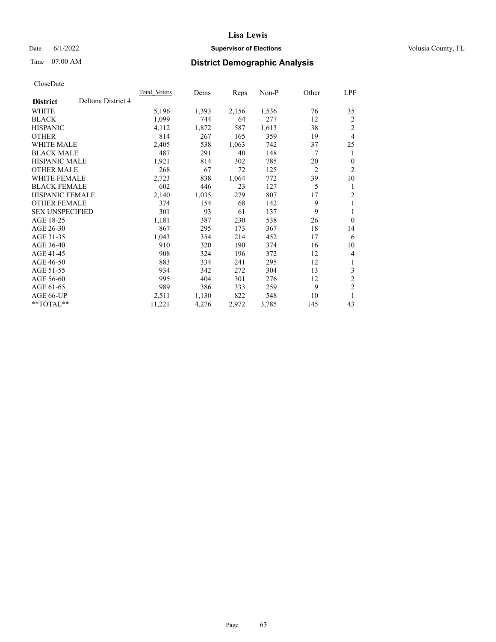## Date 6/1/2022 **Supervisor of Elections Supervisor of Elections** Volusia County, FL

# Time 07:00 AM **District Demographic Analysis**

|                        |                    | <b>Total Voters</b> | Dems  | Reps  | $Non-P$ | Other          | LPF            |
|------------------------|--------------------|---------------------|-------|-------|---------|----------------|----------------|
| <b>District</b>        | Deltona District 4 |                     |       |       |         |                |                |
| WHITE                  |                    | 5,196               | 1,393 | 2,156 | 1,536   | 76             | 35             |
| <b>BLACK</b>           |                    | 1,099               | 744   | 64    | 277     | 12             | 2              |
| <b>HISPANIC</b>        |                    | 4,112               | 1,872 | 587   | 1,613   | 38             | $\overline{2}$ |
| <b>OTHER</b>           |                    | 814                 | 267   | 165   | 359     | 19             | 4              |
| <b>WHITE MALE</b>      |                    | 2,405               | 538   | 1,063 | 742     | 37             | 25             |
| <b>BLACK MALE</b>      |                    | 487                 | 291   | 40    | 148     | 7              | 1              |
| <b>HISPANIC MALE</b>   |                    | 1,921               | 814   | 302   | 785     | 20             | $\theta$       |
| <b>OTHER MALE</b>      |                    | 268                 | 67    | 72    | 125     | $\overline{2}$ | $\overline{2}$ |
| <b>WHITE FEMALE</b>    |                    | 2,723               | 838   | 1,064 | 772     | 39             | 10             |
| <b>BLACK FEMALE</b>    |                    | 602                 | 446   | 23    | 127     | 5              | 1              |
| <b>HISPANIC FEMALE</b> |                    | 2,140               | 1,035 | 279   | 807     | 17             | $\overline{2}$ |
| <b>OTHER FEMALE</b>    |                    | 374                 | 154   | 68    | 142     | 9              | 1              |
| <b>SEX UNSPECIFIED</b> |                    | 301                 | 93    | 61    | 137     | 9              | 1              |
| AGE 18-25              |                    | 1,181               | 387   | 230   | 538     | 26             | $\theta$       |
| AGE 26-30              |                    | 867                 | 295   | 173   | 367     | 18             | 14             |
| AGE 31-35              |                    | 1,043               | 354   | 214   | 452     | 17             | 6              |
| AGE 36-40              |                    | 910                 | 320   | 190   | 374     | 16             | 10             |
| AGE 41-45              |                    | 908                 | 324   | 196   | 372     | 12             | 4              |
| AGE 46-50              |                    | 883                 | 334   | 241   | 295     | 12             | 1              |
| AGE 51-55              |                    | 934                 | 342   | 272   | 304     | 13             | 3              |
| AGE 56-60              |                    | 995                 | 404   | 301   | 276     | 12             | $\overline{c}$ |
| AGE 61-65              |                    | 989                 | 386   | 333   | 259     | 9              | $\mathfrak{2}$ |
| AGE 66-UP              |                    | 2,511               | 1,130 | 822   | 548     | 10             | 1              |
| $*$ $TOTAL**$          |                    | 11,221              | 4,276 | 2,972 | 3,785   | 145            | 43             |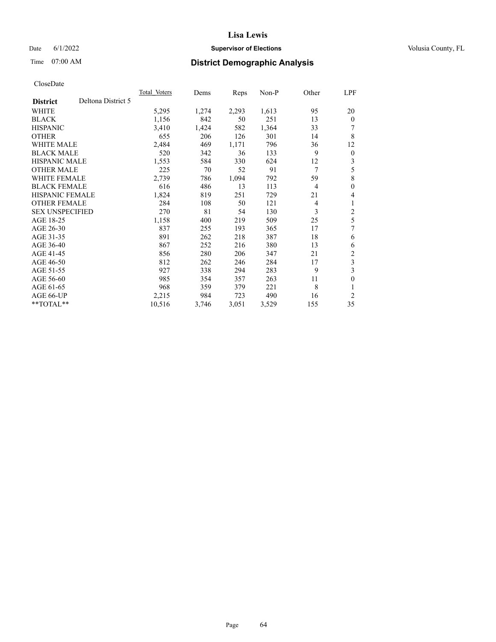## Date 6/1/2022 **Supervisor of Elections Supervisor of Elections** Volusia County, FL

# Time 07:00 AM **District Demographic Analysis**

|                                       | Total Voters | Dems  | Reps  | Non-P | Other          | LPF                     |
|---------------------------------------|--------------|-------|-------|-------|----------------|-------------------------|
| Deltona District 5<br><b>District</b> |              |       |       |       |                |                         |
| WHITE                                 | 5,295        | 1,274 | 2,293 | 1,613 | 95             | 20                      |
| <b>BLACK</b>                          | 1,156        | 842   | 50    | 251   | 13             | $\Omega$                |
| <b>HISPANIC</b>                       | 3,410        | 1,424 | 582   | 1,364 | 33             | 7                       |
| <b>OTHER</b>                          | 655          | 206   | 126   | 301   | 14             | 8                       |
| <b>WHITE MALE</b>                     | 2,484        | 469   | 1,171 | 796   | 36             | 12                      |
| <b>BLACK MALE</b>                     | 520          | 342   | 36    | 133   | 9              | $\theta$                |
| <b>HISPANIC MALE</b>                  | 1,553        | 584   | 330   | 624   | 12             | 3                       |
| <b>OTHER MALE</b>                     | 225          | 70    | 52    | 91    | 7              | 5                       |
| WHITE FEMALE                          | 2,739        | 786   | 1,094 | 792   | 59             | 8                       |
| <b>BLACK FEMALE</b>                   | 616          | 486   | 13    | 113   | $\overline{4}$ | 0                       |
| <b>HISPANIC FEMALE</b>                | 1,824        | 819   | 251   | 729   | 21             | 4                       |
| <b>OTHER FEMALE</b>                   | 284          | 108   | 50    | 121   | 4              | 1                       |
| <b>SEX UNSPECIFIED</b>                | 270          | 81    | 54    | 130   | 3              | $\overline{\mathbf{c}}$ |
| AGE 18-25                             | 1,158        | 400   | 219   | 509   | 25             | 5                       |
| AGE 26-30                             | 837          | 255   | 193   | 365   | 17             | 7                       |
| AGE 31-35                             | 891          | 262   | 218   | 387   | 18             | 6                       |
| AGE 36-40                             | 867          | 252   | 216   | 380   | 13             | 6                       |
| AGE 41-45                             | 856          | 280   | 206   | 347   | 21             | 2                       |
| AGE 46-50                             | 812          | 262   | 246   | 284   | 17             | 3                       |
| AGE 51-55                             | 927          | 338   | 294   | 283   | 9              | 3                       |
| AGE 56-60                             | 985          | 354   | 357   | 263   | 11             | 0                       |
| AGE 61-65                             | 968          | 359   | 379   | 221   | 8              |                         |
| AGE 66-UP                             | 2,215        | 984   | 723   | 490   | 16             | 2                       |
| $*$ $TOTAL**$                         | 10,516       | 3,746 | 3,051 | 3,529 | 155            | 35                      |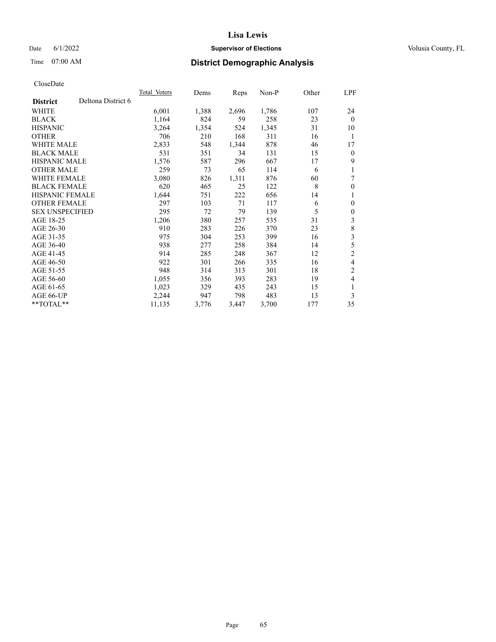## Date 6/1/2022 **Supervisor of Elections Supervisor of Elections** Volusia County, FL

# Time 07:00 AM **District Demographic Analysis**

|                        |                    | Total Voters | Dems  | Reps  | $Non-P$ | Other | LPF            |
|------------------------|--------------------|--------------|-------|-------|---------|-------|----------------|
| <b>District</b>        | Deltona District 6 |              |       |       |         |       |                |
| WHITE                  |                    | 6,001        | 1,388 | 2,696 | 1,786   | 107   | 24             |
| <b>BLACK</b>           |                    | 1,164        | 824   | 59    | 258     | 23    | $\theta$       |
| <b>HISPANIC</b>        |                    | 3,264        | 1,354 | 524   | 1,345   | 31    | 10             |
| <b>OTHER</b>           |                    | 706          | 210   | 168   | 311     | 16    | 1              |
| <b>WHITE MALE</b>      |                    | 2,833        | 548   | 1,344 | 878     | 46    | 17             |
| <b>BLACK MALE</b>      |                    | 531          | 351   | 34    | 131     | 15    | $\mathbf{0}$   |
| <b>HISPANIC MALE</b>   |                    | 1,576        | 587   | 296   | 667     | 17    | 9              |
| <b>OTHER MALE</b>      |                    | 259          | 73    | 65    | 114     | 6     | 1              |
| <b>WHITE FEMALE</b>    |                    | 3,080        | 826   | 1,311 | 876     | 60    | 7              |
| <b>BLACK FEMALE</b>    |                    | 620          | 465   | 25    | 122     | 8     | $\mathbf{0}$   |
| <b>HISPANIC FEMALE</b> |                    | 1,644        | 751   | 222   | 656     | 14    | 1              |
| <b>OTHER FEMALE</b>    |                    | 297          | 103   | 71    | 117     | 6     | $\mathbf{0}$   |
| <b>SEX UNSPECIFIED</b> |                    | 295          | 72    | 79    | 139     | 5     | $\mathbf{0}$   |
| AGE 18-25              |                    | 1,206        | 380   | 257   | 535     | 31    | 3              |
| AGE 26-30              |                    | 910          | 283   | 226   | 370     | 23    | 8              |
| AGE 31-35              |                    | 975          | 304   | 253   | 399     | 16    | 3              |
| AGE 36-40              |                    | 938          | 277   | 258   | 384     | 14    | 5              |
| AGE 41-45              |                    | 914          | 285   | 248   | 367     | 12    | $\overline{c}$ |
| AGE 46-50              |                    | 922          | 301   | 266   | 335     | 16    | 4              |
| AGE 51-55              |                    | 948          | 314   | 313   | 301     | 18    | $\overline{2}$ |
| AGE 56-60              |                    | 1,055        | 356   | 393   | 283     | 19    | 4              |
| AGE 61-65              |                    | 1,023        | 329   | 435   | 243     | 15    | 1              |
| AGE 66-UP              |                    | 2,244        | 947   | 798   | 483     | 13    | 3              |
| $*$ $TOTAL**$          |                    | 11,135       | 3,776 | 3,447 | 3,700   | 177   | 35             |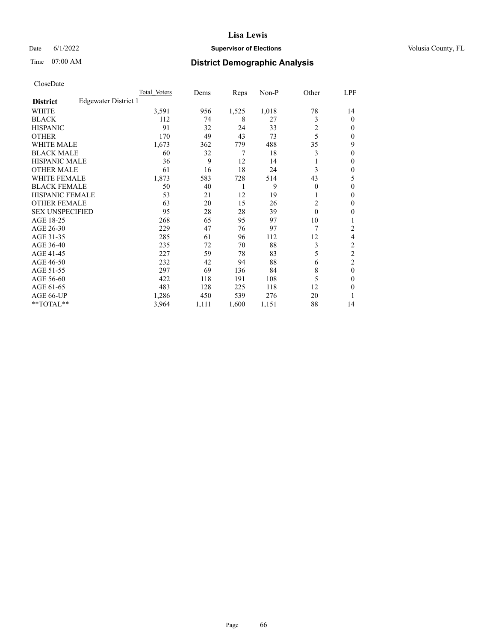## Date 6/1/2022 **Supervisor of Elections Supervisor of Elections** Volusia County, FL

# Time 07:00 AM **District Demographic Analysis**

|                        |                      | Total Voters | Dems  | Reps  | Non-P | Other    | LPF      |
|------------------------|----------------------|--------------|-------|-------|-------|----------|----------|
| <b>District</b>        | Edgewater District 1 |              |       |       |       |          |          |
| WHITE                  |                      | 3,591        | 956   | 1,525 | 1,018 | 78       | 14       |
| <b>BLACK</b>           |                      | 112          | 74    | 8     | 27    | 3        | $\theta$ |
| <b>HISPANIC</b>        |                      | 91           | 32    | 24    | 33    | 2        | 0        |
| <b>OTHER</b>           |                      | 170          | 49    | 43    | 73    | 5        | 0        |
| <b>WHITE MALE</b>      |                      | 1,673        | 362   | 779   | 488   | 35       | 9        |
| <b>BLACK MALE</b>      |                      | 60           | 32    | 7     | 18    | 3        | 0        |
| <b>HISPANIC MALE</b>   |                      | 36           | 9     | 12    | 14    | 1        | 0        |
| <b>OTHER MALE</b>      |                      | 61           | 16    | 18    | 24    | 3        | 0        |
| <b>WHITE FEMALE</b>    |                      | 1,873        | 583   | 728   | 514   | 43       | 5        |
| <b>BLACK FEMALE</b>    |                      | 50           | 40    | 1     | 9     | $\Omega$ | 0        |
| <b>HISPANIC FEMALE</b> |                      | 53           | 21    | 12    | 19    |          | 0        |
| <b>OTHER FEMALE</b>    |                      | 63           | 20    | 15    | 26    | 2        | 0        |
| <b>SEX UNSPECIFIED</b> |                      | 95           | 28    | 28    | 39    | $\theta$ | 0        |
| AGE 18-25              |                      | 268          | 65    | 95    | 97    | 10       |          |
| AGE 26-30              |                      | 229          | 47    | 76    | 97    | 7        | 2        |
| AGE 31-35              |                      | 285          | 61    | 96    | 112   | 12       | 4        |
| AGE 36-40              |                      | 235          | 72    | 70    | 88    | 3        | 2        |
| AGE 41-45              |                      | 227          | 59    | 78    | 83    | 5        | 2        |
| AGE 46-50              |                      | 232          | 42    | 94    | 88    | 6        | 2        |
| AGE 51-55              |                      | 297          | 69    | 136   | 84    | 8        | $\theta$ |
| AGE 56-60              |                      | 422          | 118   | 191   | 108   | 5        | 0        |
| AGE 61-65              |                      | 483          | 128   | 225   | 118   | 12       | 0        |
| AGE 66-UP              |                      | 1,286        | 450   | 539   | 276   | 20       |          |
| **TOTAL**              |                      | 3,964        | 1,111 | 1,600 | 1,151 | 88       | 14       |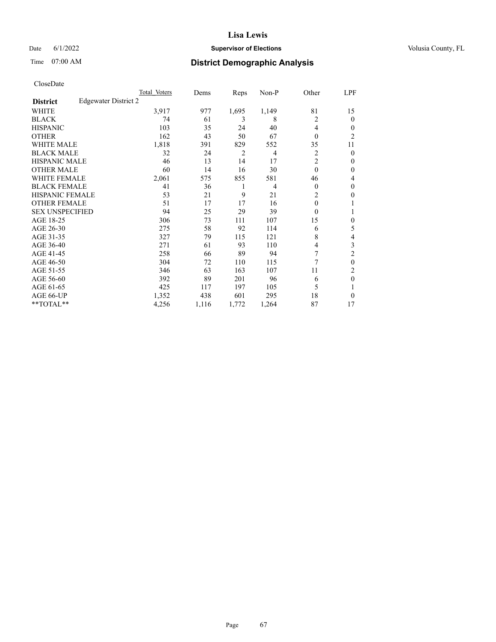## Date 6/1/2022 **Supervisor of Elections Supervisor of Elections** Volusia County, FL

# Time 07:00 AM **District Demographic Analysis**

|                        |                      | Total Voters | Dems  | Reps  | Non-P          | Other          | LPF            |
|------------------------|----------------------|--------------|-------|-------|----------------|----------------|----------------|
| <b>District</b>        | Edgewater District 2 |              |       |       |                |                |                |
| WHITE                  |                      | 3,917        | 977   | 1,695 | 1,149          | 81             | 15             |
| <b>BLACK</b>           |                      | 74           | 61    | 3     | 8              | $\overline{c}$ | $\mathbf{0}$   |
| <b>HISPANIC</b>        |                      | 103          | 35    | 24    | 40             | 4              | $\Omega$       |
| <b>OTHER</b>           |                      | 162          | 43    | 50    | 67             | $\theta$       | $\overline{2}$ |
| <b>WHITE MALE</b>      |                      | 1,818        | 391   | 829   | 552            | 35             | 11             |
| <b>BLACK MALE</b>      |                      | 32           | 24    | 2     | 4              | 2              | $\theta$       |
| <b>HISPANIC MALE</b>   |                      | 46           | 13    | 14    | 17             | $\overline{c}$ | $\mathbf{0}$   |
| <b>OTHER MALE</b>      |                      | 60           | 14    | 16    | 30             | $\theta$       | $\mathbf{0}$   |
| WHITE FEMALE           |                      | 2,061        | 575   | 855   | 581            | 46             | 4              |
| <b>BLACK FEMALE</b>    |                      | 41           | 36    | 1     | $\overline{4}$ | $\theta$       | $\mathbf{0}$   |
| <b>HISPANIC FEMALE</b> |                      | 53           | 21    | 9     | 21             | $\overline{2}$ | 0              |
| <b>OTHER FEMALE</b>    |                      | 51           | 17    | 17    | 16             | $\theta$       |                |
| <b>SEX UNSPECIFIED</b> |                      | 94           | 25    | 29    | 39             | $\theta$       |                |
| AGE 18-25              |                      | 306          | 73    | 111   | 107            | 15             | $\theta$       |
| AGE 26-30              |                      | 275          | 58    | 92    | 114            | 6              | 5              |
| AGE 31-35              |                      | 327          | 79    | 115   | 121            | 8              | 4              |
| AGE 36-40              |                      | 271          | 61    | 93    | 110            | $\overline{4}$ | 3              |
| AGE 41-45              |                      | 258          | 66    | 89    | 94             | 7              | $\overline{2}$ |
| AGE 46-50              |                      | 304          | 72    | 110   | 115            | 7              | $\theta$       |
| AGE 51-55              |                      | 346          | 63    | 163   | 107            | 11             | 2              |
| AGE 56-60              |                      | 392          | 89    | 201   | 96             | 6              | $\theta$       |
| AGE 61-65              |                      | 425          | 117   | 197   | 105            | 5              |                |
| AGE 66-UP              |                      | 1,352        | 438   | 601   | 295            | 18             | $\Omega$       |
| **TOTAL**              |                      | 4,256        | 1,116 | 1,772 | 1,264          | 87             | 17             |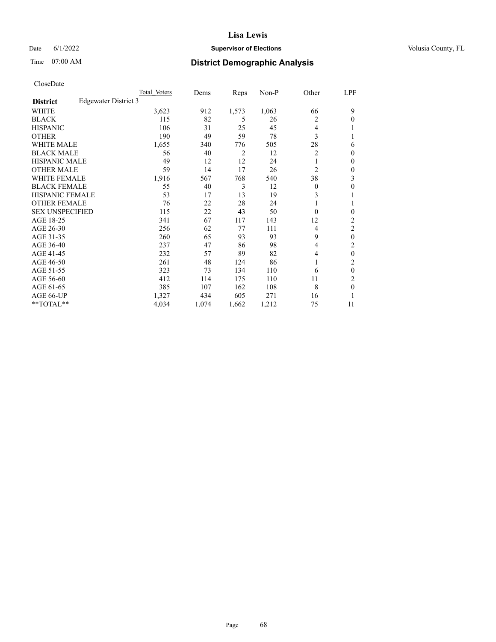## Date 6/1/2022 **Supervisor of Elections Supervisor of Elections** Volusia County, FL

# Time 07:00 AM **District Demographic Analysis**

|                        |                      | Total Voters | Dems  | Reps           | Non-P | Other          | LPF              |
|------------------------|----------------------|--------------|-------|----------------|-------|----------------|------------------|
| <b>District</b>        | Edgewater District 3 |              |       |                |       |                |                  |
| WHITE                  |                      | 3,623        | 912   | 1,573          | 1,063 | 66             | 9                |
| <b>BLACK</b>           |                      | 115          | 82    | 5              | 26    | 2              | 0                |
| <b>HISPANIC</b>        |                      | 106          | 31    | 25             | 45    | 4              |                  |
| <b>OTHER</b>           |                      | 190          | 49    | 59             | 78    | 3              |                  |
| WHITE MALE             |                      | 1,655        | 340   | 776            | 505   | 28             | 6                |
| <b>BLACK MALE</b>      |                      | 56           | 40    | $\overline{2}$ | 12    | 2              | 0                |
| <b>HISPANIC MALE</b>   |                      | 49           | 12    | 12             | 24    | 1              | 0                |
| <b>OTHER MALE</b>      |                      | 59           | 14    | 17             | 26    | $\overline{2}$ | 0                |
| WHITE FEMALE           |                      | 1,916        | 567   | 768            | 540   | 38             | 3                |
| <b>BLACK FEMALE</b>    |                      | 55           | 40    | 3              | 12    | $\Omega$       | 0                |
| <b>HISPANIC FEMALE</b> |                      | 53           | 17    | 13             | 19    | 3              |                  |
| <b>OTHER FEMALE</b>    |                      | 76           | 22    | 28             | 24    | 1              |                  |
| <b>SEX UNSPECIFIED</b> |                      | 115          | 22    | 43             | 50    | $\Omega$       | 0                |
| AGE 18-25              |                      | 341          | 67    | 117            | 143   | 12             | $\overline{c}$   |
| AGE 26-30              |                      | 256          | 62    | 77             | 111   | 4              | 2                |
| AGE 31-35              |                      | 260          | 65    | 93             | 93    | 9              | $\boldsymbol{0}$ |
| AGE 36-40              |                      | 237          | 47    | 86             | 98    | 4              | 2                |
| AGE 41-45              |                      | 232          | 57    | 89             | 82    | 4              | 0                |
| AGE 46-50              |                      | 261          | 48    | 124            | 86    | 1              | 2                |
| AGE 51-55              |                      | 323          | 73    | 134            | 110   | 6              | 0                |
| AGE 56-60              |                      | 412          | 114   | 175            | 110   | 11             | 2                |
| AGE 61-65              |                      | 385          | 107   | 162            | 108   | 8              | $\boldsymbol{0}$ |
| AGE 66-UP              |                      | 1,327        | 434   | 605            | 271   | 16             |                  |
| **TOTAL**              |                      | 4,034        | 1,074 | 1,662          | 1,212 | 75             | 11               |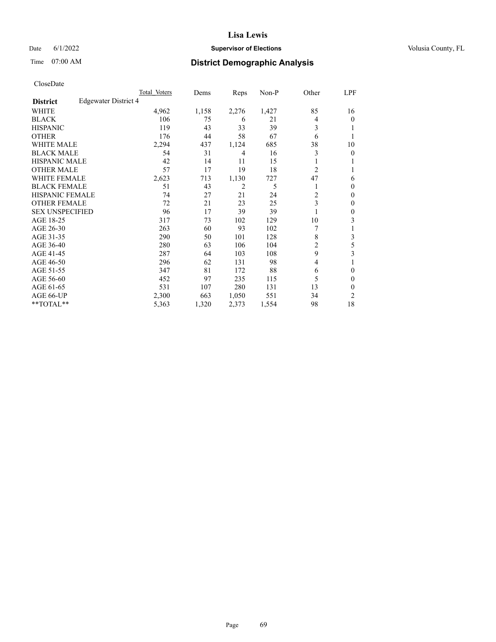## Date 6/1/2022 **Supervisor of Elections Supervisor of Elections** Volusia County, FL

# Time 07:00 AM **District Demographic Analysis**

|                        |                      | Total Voters | Dems  | Reps  | Non-P | Other          | LPF |
|------------------------|----------------------|--------------|-------|-------|-------|----------------|-----|
| <b>District</b>        | Edgewater District 4 |              |       |       |       |                |     |
| WHITE                  |                      | 4,962        | 1,158 | 2,276 | 1,427 | 85             | 16  |
| <b>BLACK</b>           |                      | 106          | 75    | 6     | 21    | 4              | 0   |
| <b>HISPANIC</b>        |                      | 119          | 43    | 33    | 39    | 3              |     |
| <b>OTHER</b>           |                      | 176          | 44    | 58    | 67    | 6              |     |
| WHITE MALE             |                      | 2,294        | 437   | 1,124 | 685   | 38             | 10  |
| <b>BLACK MALE</b>      |                      | 54           | 31    | 4     | 16    | 3              | 0   |
| <b>HISPANIC MALE</b>   |                      | 42           | 14    | 11    | 15    |                |     |
| <b>OTHER MALE</b>      |                      | 57           | 17    | 19    | 18    | $\overline{2}$ | 1   |
| <b>WHITE FEMALE</b>    |                      | 2,623        | 713   | 1,130 | 727   | 47             | 6   |
| <b>BLACK FEMALE</b>    |                      | 51           | 43    | 2     | 5     |                | 0   |
| <b>HISPANIC FEMALE</b> |                      | 74           | 27    | 21    | 24    | 2              | 0   |
| <b>OTHER FEMALE</b>    |                      | 72           | 21    | 23    | 25    | 3              | 0   |
| <b>SEX UNSPECIFIED</b> |                      | 96           | 17    | 39    | 39    |                | 0   |
| AGE 18-25              |                      | 317          | 73    | 102   | 129   | 10             | 3   |
| AGE 26-30              |                      | 263          | 60    | 93    | 102   | 7              | 1   |
| AGE 31-35              |                      | 290          | 50    | 101   | 128   | 8              | 3   |
| AGE 36-40              |                      | 280          | 63    | 106   | 104   | 2              | 5   |
| AGE 41-45              |                      | 287          | 64    | 103   | 108   | 9              | 3   |
| AGE 46-50              |                      | 296          | 62    | 131   | 98    | $\overline{4}$ |     |
| AGE 51-55              |                      | 347          | 81    | 172   | 88    | 6              | 0   |
| AGE 56-60              |                      | 452          | 97    | 235   | 115   | 5              | 0   |
| AGE 61-65              |                      | 531          | 107   | 280   | 131   | 13             | 0   |
| AGE 66-UP              |                      | 2,300        | 663   | 1,050 | 551   | 34             | 2   |
| **TOTAL**              |                      | 5,363        | 1,320 | 2,373 | 1,554 | 98             | 18  |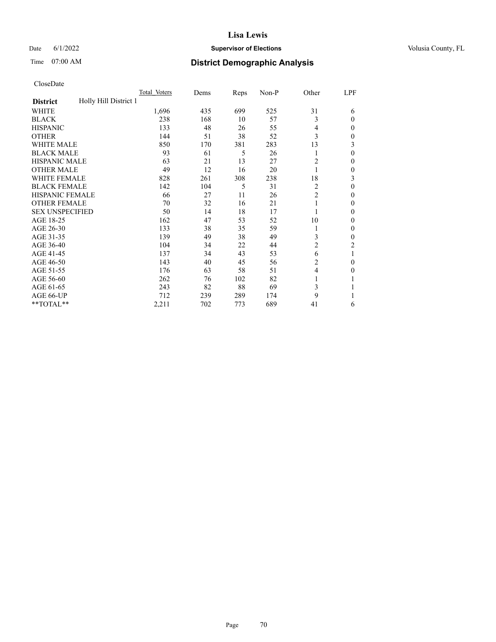## Date 6/1/2022 **Supervisor of Elections Supervisor of Elections** Volusia County, FL

# Time 07:00 AM **District Demographic Analysis**

|                                          | Total Voters | Dems | Reps | Non-P | Other          | LPF          |
|------------------------------------------|--------------|------|------|-------|----------------|--------------|
| Holly Hill District 1<br><b>District</b> |              |      |      |       |                |              |
| WHITE                                    | 1,696        | 435  | 699  | 525   | 31             | 6            |
| <b>BLACK</b>                             | 238          | 168  | 10   | 57    | 3              | $\Omega$     |
| <b>HISPANIC</b>                          | 133          | 48   | 26   | 55    | $\overline{4}$ | $\Omega$     |
| <b>OTHER</b>                             | 144          | 51   | 38   | 52    | 3              | 0            |
| WHITE MALE                               | 850          | 170  | 381  | 283   | 13             | 3            |
| <b>BLACK MALE</b>                        | 93           | 61   | 5    | 26    | 1              | $\theta$     |
| <b>HISPANIC MALE</b>                     | 63           | 21   | 13   | 27    | 2              | $\mathbf{0}$ |
| <b>OTHER MALE</b>                        | 49           | 12   | 16   | 20    | 1              | 0            |
| <b>WHITE FEMALE</b>                      | 828          | 261  | 308  | 238   | 18             | 3            |
| <b>BLACK FEMALE</b>                      | 142          | 104  | 5    | 31    | 2              | $\theta$     |
| <b>HISPANIC FEMALE</b>                   | 66           | 27   | 11   | 26    | $\overline{c}$ | 0            |
| <b>OTHER FEMALE</b>                      | 70           | 32   | 16   | 21    | 1              | 0            |
| <b>SEX UNSPECIFIED</b>                   | 50           | 14   | 18   | 17    |                | 0            |
| AGE 18-25                                | 162          | 47   | 53   | 52    | 10             | $\Omega$     |
| AGE 26-30                                | 133          | 38   | 35   | 59    | 1              | $\mathbf{0}$ |
| AGE 31-35                                | 139          | 49   | 38   | 49    | 3              | 0            |
| AGE 36-40                                | 104          | 34   | 22   | 44    | $\overline{c}$ | 2            |
| AGE 41-45                                | 137          | 34   | 43   | 53    | 6              |              |
| AGE 46-50                                | 143          | 40   | 45   | 56    | 2              | $\theta$     |
| AGE 51-55                                | 176          | 63   | 58   | 51    | $\overline{4}$ | 0            |
| AGE 56-60                                | 262          | 76   | 102  | 82    | 1              |              |
| AGE 61-65                                | 243          | 82   | 88   | 69    | 3              |              |
| AGE 66-UP                                | 712          | 239  | 289  | 174   | 9              |              |
| **TOTAL**                                | 2,211        | 702  | 773  | 689   | 41             | 6            |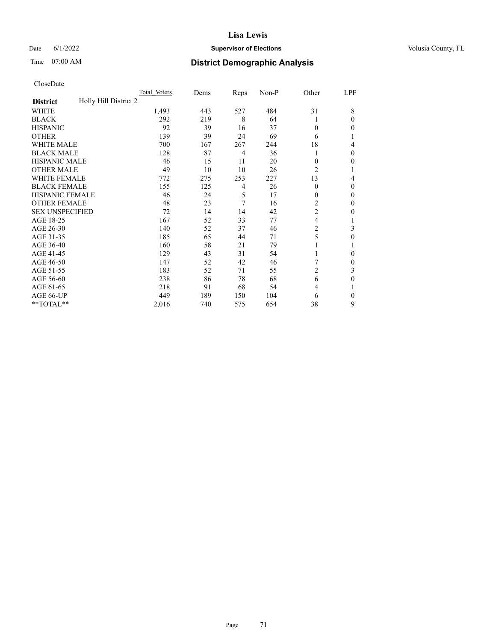# **Lisa Lewis** Date 6/1/2022 **Supervisor of Elections Supervisor of Elections** Volusia County, FL

# Time 07:00 AM **District Demographic Analysis**

|                                          | Total Voters | Dems | Reps           | Non-P | Other          | LPF      |
|------------------------------------------|--------------|------|----------------|-------|----------------|----------|
| Holly Hill District 2<br><b>District</b> |              |      |                |       |                |          |
| WHITE                                    | 1,493        | 443  | 527            | 484   | 31             | 8        |
| <b>BLACK</b>                             | 292          | 219  | 8              | 64    | 1              | $\Omega$ |
| <b>HISPANIC</b>                          | 92           | 39   | 16             | 37    | $\theta$       | 0        |
| <b>OTHER</b>                             | 139          | 39   | 24             | 69    | 6              |          |
| WHITE MALE                               | 700          | 167  | 267            | 244   | 18             | 4        |
| <b>BLACK MALE</b>                        | 128          | 87   | 4              | 36    | 1              | $\Omega$ |
| HISPANIC MALE                            | 46           | 15   | 11             | 20    | $\theta$       | 0        |
| <b>OTHER MALE</b>                        | 49           | 10   | 10             | 26    | $\overline{2}$ | 1        |
| WHITE FEMALE                             | 772          | 275  | 253            | 227   | 13             | 4        |
| <b>BLACK FEMALE</b>                      | 155          | 125  | $\overline{4}$ | 26    | $\Omega$       | $\Omega$ |
| <b>HISPANIC FEMALE</b>                   | 46           | 24   | 5              | 17    | $\Omega$       | 0        |
| <b>OTHER FEMALE</b>                      | 48           | 23   | 7              | 16    | 2              | 0        |
| <b>SEX UNSPECIFIED</b>                   | 72           | 14   | 14             | 42    | $\overline{2}$ | 0        |
| AGE 18-25                                | 167          | 52   | 33             | 77    | 4              |          |
| AGE 26-30                                | 140          | 52   | 37             | 46    | $\overline{c}$ | 3        |
| AGE 31-35                                | 185          | 65   | 44             | 71    | 5              | 0        |
| AGE 36-40                                | 160          | 58   | 21             | 79    | 1              |          |
| AGE 41-45                                | 129          | 43   | 31             | 54    |                | 0        |
| AGE 46-50                                | 147          | 52   | 42             | 46    |                | 0        |
| AGE 51-55                                | 183          | 52   | 71             | 55    | $\overline{2}$ | 3        |
| AGE 56-60                                | 238          | 86   | 78             | 68    | 6              | 0        |
| AGE 61-65                                | 218          | 91   | 68             | 54    | 4              |          |
| AGE 66-UP                                | 449          | 189  | 150            | 104   | 6              | $\Omega$ |
| **TOTAL**                                | 2,016        | 740  | 575            | 654   | 38             | 9        |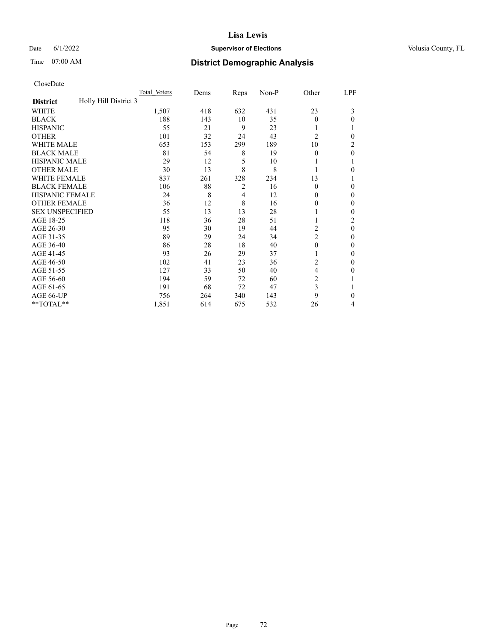## Date 6/1/2022 **Supervisor of Elections Supervisor of Elections** Volusia County, FL

# Time 07:00 AM **District Demographic Analysis**

|                                          | Total Voters | Dems | Reps           | Non-P | Other          | LPF      |
|------------------------------------------|--------------|------|----------------|-------|----------------|----------|
| Holly Hill District 3<br><b>District</b> |              |      |                |       |                |          |
| WHITE                                    | 1,507        | 418  | 632            | 431   | 23             | 3        |
| <b>BLACK</b>                             | 188          | 143  | 10             | 35    | $\Omega$       | 0        |
| <b>HISPANIC</b>                          | 55           | 21   | 9              | 23    | 1              |          |
| <b>OTHER</b>                             | 101          | 32   | 24             | 43    | $\overline{2}$ | 0        |
| <b>WHITE MALE</b>                        | 653          | 153  | 299            | 189   | 10             | 2        |
| <b>BLACK MALE</b>                        | 81           | 54   | 8              | 19    | $\theta$       | $\theta$ |
| <b>HISPANIC MALE</b>                     | 29           | 12   | 5              | 10    | 1              |          |
| <b>OTHER MALE</b>                        | 30           | 13   | 8              | 8     | 1              | 0        |
| <b>WHITE FEMALE</b>                      | 837          | 261  | 328            | 234   | 13             |          |
| <b>BLACK FEMALE</b>                      | 106          | 88   | $\overline{2}$ | 16    | $\theta$       | $\Omega$ |
| <b>HISPANIC FEMALE</b>                   | 24           | 8    | 4              | 12    | $\Omega$       | 0        |
| <b>OTHER FEMALE</b>                      | 36           | 12   | 8              | 16    | $\theta$       | 0        |
| <b>SEX UNSPECIFIED</b>                   | 55           | 13   | 13             | 28    |                | 0        |
| AGE 18-25                                | 118          | 36   | 28             | 51    |                | 2        |
| AGE 26-30                                | 95           | 30   | 19             | 44    | 2              | $\theta$ |
| AGE 31-35                                | 89           | 29   | 24             | 34    | $\overline{c}$ | 0        |
| AGE 36-40                                | 86           | 28   | 18             | 40    | $\theta$       | 0        |
| AGE 41-45                                | 93           | 26   | 29             | 37    | 1              | 0        |
| AGE 46-50                                | 102          | 41   | 23             | 36    | 2              | $\Omega$ |
| AGE 51-55                                | 127          | 33   | 50             | 40    | $\overline{4}$ | 0        |
| AGE 56-60                                | 194          | 59   | 72             | 60    | $\overline{c}$ |          |
| AGE 61-65                                | 191          | 68   | 72             | 47    | 3              |          |
| AGE 66-UP                                | 756          | 264  | 340            | 143   | 9              | 0        |
| **TOTAL**                                | 1,851        | 614  | 675            | 532   | 26             | 4        |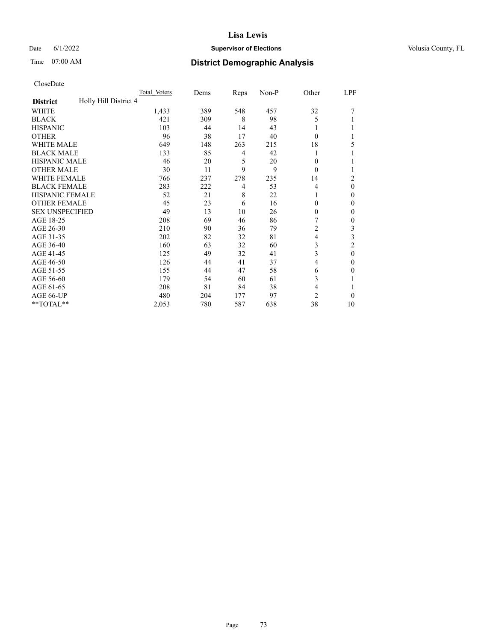# Time 07:00 AM **District Demographic Analysis**

|                                          | Total Voters | Dems | Reps | Non-P | Other          | LPF            |
|------------------------------------------|--------------|------|------|-------|----------------|----------------|
| Holly Hill District 4<br><b>District</b> |              |      |      |       |                |                |
| WHITE                                    | 1,433        | 389  | 548  | 457   | 32             |                |
| <b>BLACK</b>                             | 421          | 309  | 8    | 98    | 5              |                |
| <b>HISPANIC</b>                          | 103          | 44   | 14   | 43    |                |                |
| <b>OTHER</b>                             | 96           | 38   | 17   | 40    | $\theta$       |                |
| <b>WHITE MALE</b>                        | 649          | 148  | 263  | 215   | 18             | 5              |
| <b>BLACK MALE</b>                        | 133          | 85   | 4    | 42    |                |                |
| <b>HISPANIC MALE</b>                     | 46           | 20   | 5    | 20    | $\mathbf{0}$   |                |
| <b>OTHER MALE</b>                        | 30           | 11   | 9    | 9     | $\theta$       | 1              |
| <b>WHITE FEMALE</b>                      | 766          | 237  | 278  | 235   | 14             | $\overline{2}$ |
| <b>BLACK FEMALE</b>                      | 283          | 222  | 4    | 53    | 4              | $\theta$       |
| <b>HISPANIC FEMALE</b>                   | 52           | 21   | 8    | 22    | 1              | $\Omega$       |
| <b>OTHER FEMALE</b>                      | 45           | 23   | 6    | 16    | $\Omega$       | $\theta$       |
| <b>SEX UNSPECIFIED</b>                   | 49           | 13   | 10   | 26    | $\theta$       | $\theta$       |
| AGE 18-25                                | 208          | 69   | 46   | 86    | 7              | $\mathbf{0}$   |
| AGE 26-30                                | 210          | 90   | 36   | 79    | $\overline{c}$ | 3              |
| AGE 31-35                                | 202          | 82   | 32   | 81    | 4              | 3              |
| AGE 36-40                                | 160          | 63   | 32   | 60    | 3              | $\overline{c}$ |
| AGE 41-45                                | 125          | 49   | 32   | 41    | 3              | $\theta$       |
| AGE 46-50                                | 126          | 44   | 41   | 37    | 4              | $\Omega$       |
| AGE 51-55                                | 155          | 44   | 47   | 58    | 6              | $\theta$       |
| AGE 56-60                                | 179          | 54   | 60   | 61    | 3              |                |
| AGE 61-65                                | 208          | 81   | 84   | 38    | 4              |                |
| AGE 66-UP                                | 480          | 204  | 177  | 97    | $\overline{c}$ | $\Omega$       |
| **TOTAL**                                | 2,053        | 780  | 587  | 638   | 38             | 10             |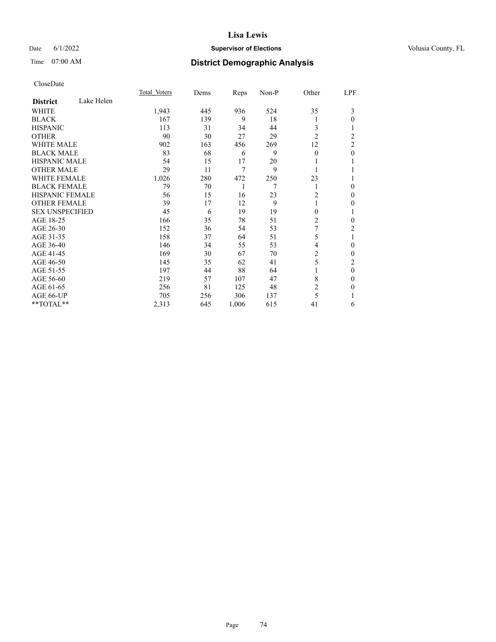# Date 6/1/2022 **Supervisor of Elections Supervisor of Elections** Volusia County, FL

# Time 07:00 AM **District Demographic Analysis**

|                        |            | Total Voters | Dems | Reps  | Non-P | Other          | LPF |
|------------------------|------------|--------------|------|-------|-------|----------------|-----|
| <b>District</b>        | Lake Helen |              |      |       |       |                |     |
| WHITE                  |            | 1,943        | 445  | 936   | 524   | 35             | 3   |
| <b>BLACK</b>           |            | 167          | 139  | 9     | 18    | l              | 0   |
| <b>HISPANIC</b>        |            | 113          | 31   | 34    | 44    | 3              |     |
| <b>OTHER</b>           |            | 90           | 30   | 27    | 29    | $\overline{2}$ | 2   |
| WHITE MALE             |            | 902          | 163  | 456   | 269   | 12             | 2   |
| <b>BLACK MALE</b>      |            | 83           | 68   | 6     | 9     | $\theta$       | 0   |
| <b>HISPANIC MALE</b>   |            | 54           | 15   | 17    | 20    |                |     |
| <b>OTHER MALE</b>      |            | 29           | 11   | 7     | 9     | 1              |     |
| <b>WHITE FEMALE</b>    |            | 1,026        | 280  | 472   | 250   | 23             |     |
| <b>BLACK FEMALE</b>    |            | 79           | 70   | 1     | 7     | 1              | 0   |
| <b>HISPANIC FEMALE</b> |            | 56           | 15   | 16    | 23    | 2              | 0   |
| <b>OTHER FEMALE</b>    |            | 39           | 17   | 12    | 9     | 1              | 0   |
| <b>SEX UNSPECIFIED</b> |            | 45           | 6    | 19    | 19    | 0              |     |
| AGE 18-25              |            | 166          | 35   | 78    | 51    | 2              | 0   |
| AGE 26-30              |            | 152          | 36   | 54    | 53    | 7              | 2   |
| AGE 31-35              |            | 158          | 37   | 64    | 51    | 5              | 1   |
| AGE 36-40              |            | 146          | 34   | 55    | 53    | 4              | 0   |
| AGE 41-45              |            | 169          | 30   | 67    | 70    | 2              | 0   |
| AGE 46-50              |            | 145          | 35   | 62    | 41    | 5              | 2   |
| AGE 51-55              |            | 197          | 44   | 88    | 64    |                | 0   |
| AGE 56-60              |            | 219          | 57   | 107   | 47    | 8              | 0   |
| AGE 61-65              |            | 256          | 81   | 125   | 48    | 2              | 0   |
| AGE 66-UP              |            | 705          | 256  | 306   | 137   | 5              |     |
| **TOTAL**              |            | 2,313        | 645  | 1,006 | 615   | 41             | 6   |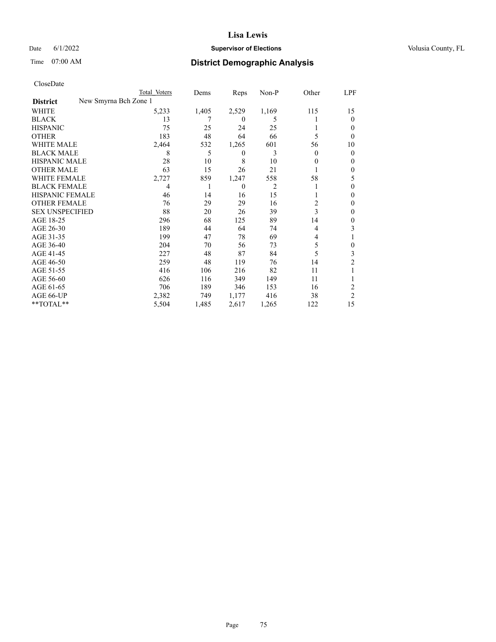# Date 6/1/2022 **Supervisor of Elections Supervisor of Elections** Volusia County, FL

|                        | Total Voters          | Dems  | Reps             | Non-P | Other  | LPF            |
|------------------------|-----------------------|-------|------------------|-------|--------|----------------|
| <b>District</b>        | New Smyrna Bch Zone 1 |       |                  |       |        |                |
| WHITE                  | 5,233                 | 1,405 | 2,529            | 1,169 | 115    | 15             |
| <b>BLACK</b>           | 13                    |       | $\theta$         | 5     |        | $\theta$       |
| <b>HISPANIC</b>        | 75                    | 25    | 24               | 25    |        | 0              |
| <b>OTHER</b>           | 183                   | 48    | 64               | 66    | 5      | $\Omega$       |
| <b>WHITE MALE</b>      | 2,464                 | 532   | 1,265            | 601   | 56     | 10             |
| <b>BLACK MALE</b>      | 8                     | 5     | $\boldsymbol{0}$ | 3     | $_{0}$ | $\mathbf{0}$   |
| <b>HISPANIC MALE</b>   | 28                    | 10    | 8                | 10    | 0      | $\Omega$       |
| <b>OTHER MALE</b>      | 63                    | 15    | 26               | 21    |        | $\Omega$       |
| <b>WHITE FEMALE</b>    | 2,727                 | 859   | 1,247            | 558   | 58     | 5              |
| <b>BLACK FEMALE</b>    | 4                     | 1     | $\mathbf{0}$     | 2     |        | $\Omega$       |
| <b>HISPANIC FEMALE</b> | 46                    | 14    | 16               | 15    |        | $\Omega$       |
| <b>OTHER FEMALE</b>    | 76                    | 29    | 29               | 16    | 2      | $\mathbf{0}$   |
| <b>SEX UNSPECIFIED</b> | 88                    | 20    | 26               | 39    | 3      | $\mathbf{0}$   |
| AGE 18-25              | 296                   | 68    | 125              | 89    | 14     | $\mathbf{0}$   |
| AGE 26-30              | 189                   | 44    | 64               | 74    | 4      | 3              |
| AGE 31-35              | 199                   | 47    | 78               | 69    | 4      |                |
| AGE 36-40              | 204                   | 70    | 56               | 73    | 5      | $\Omega$       |
| AGE 41-45              | 227                   | 48    | 87               | 84    | 5      | 3              |
| AGE 46-50              | 259                   | 48    | 119              | 76    | 14     | $\overline{c}$ |
| AGE 51-55              | 416                   | 106   | 216              | 82    | 11     |                |
| AGE 56-60              | 626                   | 116   | 349              | 149   | 11     |                |
| AGE 61-65              | 706                   | 189   | 346              | 153   | 16     | 2              |
| AGE 66-UP              | 2,382                 | 749   | 1,177            | 416   | 38     | $\overline{c}$ |
| **TOTAL**              | 5,504                 | 1,485 | 2,617            | 1,265 | 122    | 15             |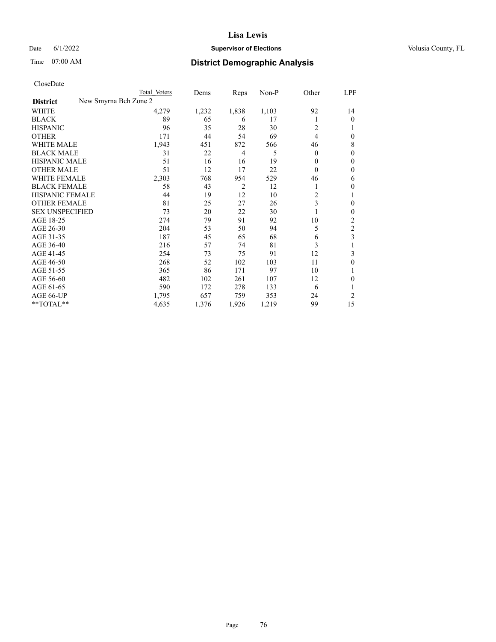# Date 6/1/2022 **Supervisor of Elections Supervisor of Elections** Volusia County, FL

| CloseDate |
|-----------|
|-----------|

|                        |                       | Total Voters | Dems  | Reps           | $Non-P$ | Other          | LPF      |
|------------------------|-----------------------|--------------|-------|----------------|---------|----------------|----------|
| <b>District</b>        | New Smyrna Bch Zone 2 |              |       |                |         |                |          |
| WHITE                  |                       | 4,279        | 1,232 | 1,838          | 1,103   | 92             | 14       |
| <b>BLACK</b>           |                       | 89           | 65    | 6              | 17      | 1              | $\Omega$ |
| <b>HISPANIC</b>        |                       | 96           | 35    | 28             | 30      | $\overline{c}$ |          |
| <b>OTHER</b>           |                       | 171          | 44    | 54             | 69      | $\overline{4}$ | 0        |
| <b>WHITE MALE</b>      |                       | 1,943        | 451   | 872            | 566     | 46             | 8        |
| <b>BLACK MALE</b>      |                       | 31           | 22    | 4              | 5       | $\mathbf{0}$   | 0        |
| <b>HISPANIC MALE</b>   |                       | 51           | 16    | 16             | 19      | $\Omega$       | 0        |
| <b>OTHER MALE</b>      |                       | 51           | 12    | 17             | 22      | $\theta$       | 0        |
| <b>WHITE FEMALE</b>    |                       | 2,303        | 768   | 954            | 529     | 46             | 6        |
| <b>BLACK FEMALE</b>    |                       | 58           | 43    | $\overline{2}$ | 12      | 1              | 0        |
| HISPANIC FEMALE        |                       | 44           | 19    | 12             | 10      | 2              | 1        |
| <b>OTHER FEMALE</b>    |                       | 81           | 25    | 27             | 26      | 3              | 0        |
| <b>SEX UNSPECIFIED</b> |                       | 73           | 20    | 22             | 30      | 1              | 0        |
| AGE 18-25              |                       | 274          | 79    | 91             | 92      | 10             | 2        |
| AGE 26-30              |                       | 204          | 53    | 50             | 94      | 5              | 2        |
| AGE 31-35              |                       | 187          | 45    | 65             | 68      | 6              | 3        |
| AGE 36-40              |                       | 216          | 57    | 74             | 81      | 3              |          |
| AGE 41-45              |                       | 254          | 73    | 75             | 91      | 12             | 3        |
| AGE 46-50              |                       | 268          | 52    | 102            | 103     | 11             | 0        |
| AGE 51-55              |                       | 365          | 86    | 171            | 97      | 10             |          |
| AGE 56-60              |                       | 482          | 102   | 261            | 107     | 12             | 0        |
| AGE 61-65              |                       | 590          | 172   | 278            | 133     | 6              |          |
| AGE 66-UP              |                       | 1,795        | 657   | 759            | 353     | 24             | 2        |
| **TOTAL**              |                       | 4,635        | 1,376 | 1,926          | 1,219   | 99             | 15       |
|                        |                       |              |       |                |         |                |          |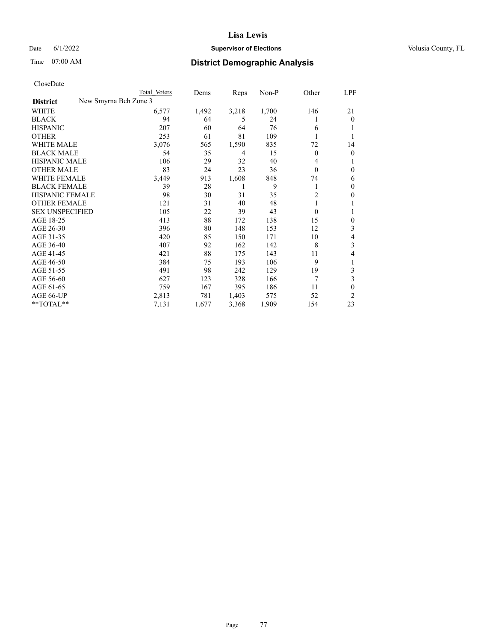# Date 6/1/2022 **Supervisor of Elections Supervisor of Elections** Volusia County, FL

| CloseDate |
|-----------|
|-----------|

|                                          | Total Voters | Dems  | Reps  | Non-P | Other          | LPF            |
|------------------------------------------|--------------|-------|-------|-------|----------------|----------------|
| New Smyrna Bch Zone 3<br><b>District</b> |              |       |       |       |                |                |
| WHITE                                    | 6,577        | 1,492 | 3,218 | 1,700 | 146            | 21             |
| <b>BLACK</b>                             | 94           | 64    | 5     | 24    |                | $\overline{0}$ |
| <b>HISPANIC</b>                          | 207          | 60    | 64    | 76    | 6              | 1              |
| <b>OTHER</b>                             | 253          | 61    | 81    | 109   |                |                |
| WHITE MALE                               | 3,076        | 565   | 1,590 | 835   | 72             | 14             |
| <b>BLACK MALE</b>                        | 54           | 35    | 4     | 15    | $\theta$       | 0              |
| <b>HISPANIC MALE</b>                     | 106          | 29    | 32    | 40    | 4              |                |
| <b>OTHER MALE</b>                        | 83           | 24    | 23    | 36    | $\theta$       | 0              |
| <b>WHITE FEMALE</b>                      | 3,449        | 913   | 1,608 | 848   | 74             | 6              |
| <b>BLACK FEMALE</b>                      | 39           | 28    | 1     | 9     | 1              | $\theta$       |
| <b>HISPANIC FEMALE</b>                   | 98           | 30    | 31    | 35    | $\overline{2}$ | 0              |
| <b>OTHER FEMALE</b>                      | 121          | 31    | 40    | 48    |                |                |
| <b>SEX UNSPECIFIED</b>                   | 105          | 22    | 39    | 43    | $\theta$       | 1              |
| AGE 18-25                                | 413          | 88    | 172   | 138   | 15             | 0              |
| AGE 26-30                                | 396          | 80    | 148   | 153   | 12             | 3              |
| AGE 31-35                                | 420          | 85    | 150   | 171   | 10             | 4              |
| AGE 36-40                                | 407          | 92    | 162   | 142   | 8              | 3              |
| AGE 41-45                                | 421          | 88    | 175   | 143   | 11             | 4              |
| AGE 46-50                                | 384          | 75    | 193   | 106   | 9              | 1              |
| AGE 51-55                                | 491          | 98    | 242   | 129   | 19             | 3              |
| AGE 56-60                                | 627          | 123   | 328   | 166   | 7              | 3              |
| AGE 61-65                                | 759          | 167   | 395   | 186   | 11             | 0              |
| AGE 66-UP                                | 2,813        | 781   | 1,403 | 575   | 52             | $\overline{c}$ |
| $**TOTAL**$                              | 7,131        | 1,677 | 3,368 | 1,909 | 154            | 23             |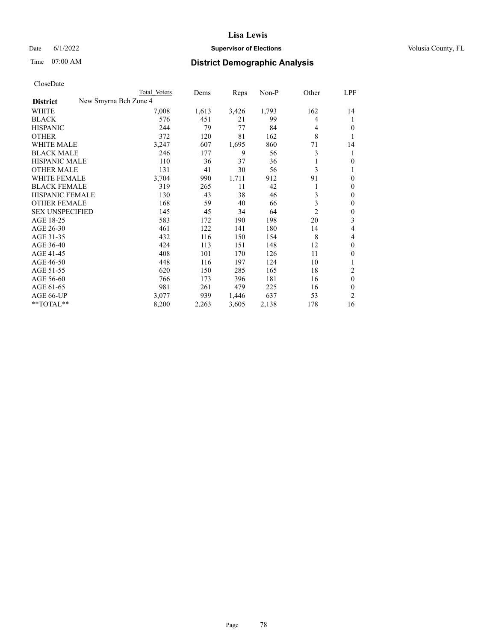# Date 6/1/2022 **Supervisor of Elections Supervisor of Elections** Volusia County, FL

|                                          | Total Voters | Dems  | Reps  | Non-P | Other | LPF            |
|------------------------------------------|--------------|-------|-------|-------|-------|----------------|
| New Smyrna Bch Zone 4<br><b>District</b> |              |       |       |       |       |                |
| WHITE                                    | 7,008        | 1,613 | 3,426 | 1,793 | 162   | 14             |
| <b>BLACK</b>                             | 576          | 451   | 21    | 99    | 4     | 1              |
| <b>HISPANIC</b>                          | 244          | 79    | 77    | 84    | 4     | $\theta$       |
| <b>OTHER</b>                             | 372          | 120   | 81    | 162   | 8     |                |
| <b>WHITE MALE</b>                        | 3,247        | 607   | 1,695 | 860   | 71    | 14             |
| <b>BLACK MALE</b>                        | 246          | 177   | 9     | 56    | 3     | 1              |
| <b>HISPANIC MALE</b>                     | 110          | 36    | 37    | 36    |       | 0              |
| <b>OTHER MALE</b>                        | 131          | 41    | 30    | 56    | 3     |                |
| WHITE FEMALE                             | 3,704        | 990   | 1,711 | 912   | 91    | $\theta$       |
| <b>BLACK FEMALE</b>                      | 319          | 265   | 11    | 42    | 1     | $\theta$       |
| HISPANIC FEMALE                          | 130          | 43    | 38    | 46    | 3     | $\theta$       |
| <b>OTHER FEMALE</b>                      | 168          | 59    | 40    | 66    | 3     | $\theta$       |
| <b>SEX UNSPECIFIED</b>                   | 145          | 45    | 34    | 64    | 2     | $\mathbf{0}$   |
| AGE 18-25                                | 583          | 172   | 190   | 198   | 20    | 3              |
| AGE 26-30                                | 461          | 122   | 141   | 180   | 14    | 4              |
| AGE 31-35                                | 432          | 116   | 150   | 154   | 8     | 4              |
| AGE 36-40                                | 424          | 113   | 151   | 148   | 12    | $\theta$       |
| AGE 41-45                                | 408          | 101   | 170   | 126   | 11    | $\theta$       |
| AGE 46-50                                | 448          | 116   | 197   | 124   | 10    |                |
| AGE 51-55                                | 620          | 150   | 285   | 165   | 18    | 2              |
| AGE 56-60                                | 766          | 173   | 396   | 181   | 16    | $\theta$       |
| AGE 61-65                                | 981          | 261   | 479   | 225   | 16    | $\theta$       |
| AGE 66-UP                                | 3,077        | 939   | 1,446 | 637   | 53    | $\overline{c}$ |
| **TOTAL**                                | 8,200        | 2,263 | 3,605 | 2,138 | 178   | 16             |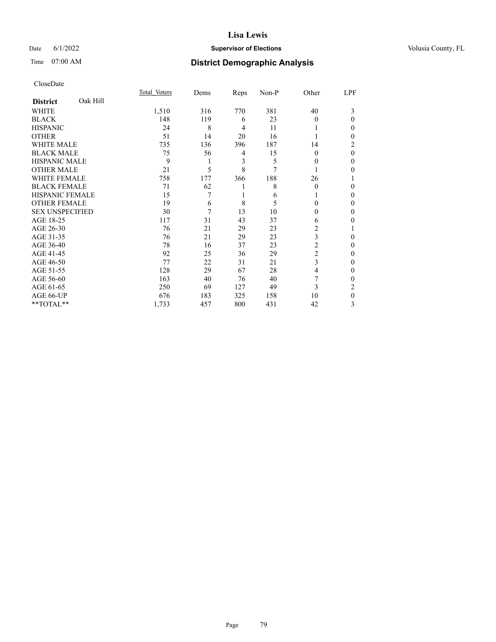# Date 6/1/2022 **Supervisor of Elections Supervisor of Elections** Volusia County, FL

# Time 07:00 AM **District Demographic Analysis**

|                        |          | Total Voters | Dems | Reps | Non-P | Other          | LPF          |
|------------------------|----------|--------------|------|------|-------|----------------|--------------|
| <b>District</b>        | Oak Hill |              |      |      |       |                |              |
| WHITE                  |          | 1,510        | 316  | 770  | 381   | 40             | 3            |
| <b>BLACK</b>           |          | 148          | 119  | 6    | 23    | 0              | 0            |
| <b>HISPANIC</b>        |          | 24           | 8    | 4    | 11    |                | 0            |
| <b>OTHER</b>           |          | 51           | 14   | 20   | 16    |                | 0            |
| WHITE MALE             |          | 735          | 136  | 396  | 187   | 14             | 2            |
| <b>BLACK MALE</b>      |          | 75           | 56   | 4    | 15    | 0              | 0            |
| <b>HISPANIC MALE</b>   |          | 9            | 1    | 3    | 5     | 0              | 0            |
| <b>OTHER MALE</b>      |          | 21           | 5    | 8    | 7     |                | 0            |
| <b>WHITE FEMALE</b>    |          | 758          | 177  | 366  | 188   | 26             |              |
| <b>BLACK FEMALE</b>    |          | 71           | 62   |      | 8     | $\theta$       | 0            |
| <b>HISPANIC FEMALE</b> |          | 15           | 7    |      | 6     |                | 0            |
| <b>OTHER FEMALE</b>    |          | 19           | 6    | 8    | 5     | 0              | 0            |
| <b>SEX UNSPECIFIED</b> |          | 30           | 7    | 13   | 10    | 0              | 0            |
| AGE 18-25              |          | 117          | 31   | 43   | 37    | 6              | 0            |
| AGE 26-30              |          | 76           | 21   | 29   | 23    | 2              |              |
| AGE 31-35              |          | 76           | 21   | 29   | 23    | 3              | 0            |
| AGE 36-40              |          | 78           | 16   | 37   | 23    | 2              | 0            |
| AGE 41-45              |          | 92           | 25   | 36   | 29    | $\overline{c}$ | 0            |
| AGE 46-50              |          | 77           | 22   | 31   | 21    | 3              | 0            |
| AGE 51-55              |          | 128          | 29   | 67   | 28    | 4              | 0            |
| AGE 56-60              |          | 163          | 40   | 76   | 40    | 7              | 0            |
| AGE 61-65              |          | 250          | 69   | 127  | 49    | 3              | 2            |
| AGE 66-UP              |          | 676          | 183  | 325  | 158   | 10             | $\mathbf{0}$ |
| **TOTAL**              |          | 1,733        | 457  | 800  | 431   | 42             | 3            |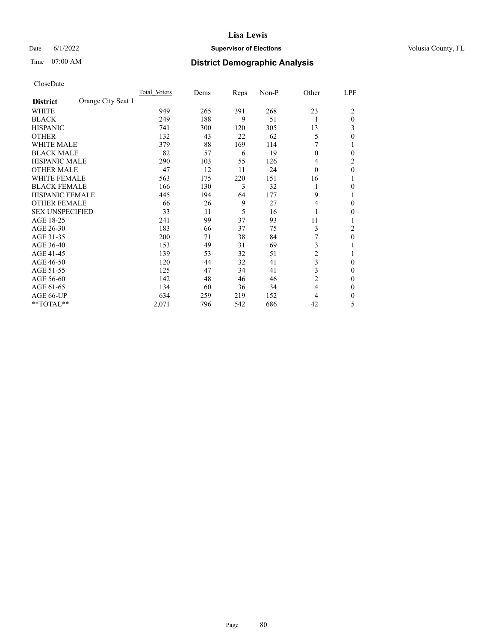# Date 6/1/2022 **Supervisor of Elections Supervisor of Elections** Volusia County, FL

# Time 07:00 AM **District Demographic Analysis**

|                        |                    | Total Voters | Dems | Reps | Non-P | Other          | LPF      |
|------------------------|--------------------|--------------|------|------|-------|----------------|----------|
| <b>District</b>        | Orange City Seat 1 |              |      |      |       |                |          |
| WHITE                  |                    | 949          | 265  | 391  | 268   | 23             | 2        |
| <b>BLACK</b>           |                    | 249          | 188  | 9    | 51    | 1              | $\theta$ |
| <b>HISPANIC</b>        |                    | 741          | 300  | 120  | 305   | 13             | 3        |
| <b>OTHER</b>           |                    | 132          | 43   | 22   | 62    | 5              | 0        |
| WHITE MALE             |                    | 379          | 88   | 169  | 114   |                |          |
| <b>BLACK MALE</b>      |                    | 82           | 57   | 6    | 19    | $\theta$       | 0        |
| <b>HISPANIC MALE</b>   |                    | 290          | 103  | 55   | 126   | 4              | 2        |
| <b>OTHER MALE</b>      |                    | 47           | 12   | 11   | 24    | $\theta$       | 0        |
| WHITE FEMALE           |                    | 563          | 175  | 220  | 151   | 16             |          |
| <b>BLACK FEMALE</b>    |                    | 166          | 130  | 3    | 32    | 1              | 0        |
| <b>HISPANIC FEMALE</b> |                    | 445          | 194  | 64   | 177   | 9              |          |
| <b>OTHER FEMALE</b>    |                    | 66           | 26   | 9    | 27    | 4              | 0        |
| <b>SEX UNSPECIFIED</b> |                    | 33           | 11   | 5    | 16    |                | 0        |
| AGE 18-25              |                    | 241          | 99   | 37   | 93    | 11             |          |
| AGE 26-30              |                    | 183          | 66   | 37   | 75    | 3              | 2        |
| AGE 31-35              |                    | 200          | 71   | 38   | 84    |                | 0        |
| AGE 36-40              |                    | 153          | 49   | 31   | 69    | 3              |          |
| AGE 41-45              |                    | 139          | 53   | 32   | 51    | $\overline{c}$ |          |
| AGE 46-50              |                    | 120          | 44   | 32   | 41    | 3              | $\Omega$ |
| AGE 51-55              |                    | 125          | 47   | 34   | 41    | 3              | 0        |
| AGE 56-60              |                    | 142          | 48   | 46   | 46    | $\overline{c}$ | 0        |
| AGE 61-65              |                    | 134          | 60   | 36   | 34    | 4              | 0        |
| AGE 66-UP              |                    | 634          | 259  | 219  | 152   | 4              | 0        |
| **TOTAL**              |                    | 2,071        | 796  | 542  | 686   | 42             | 5        |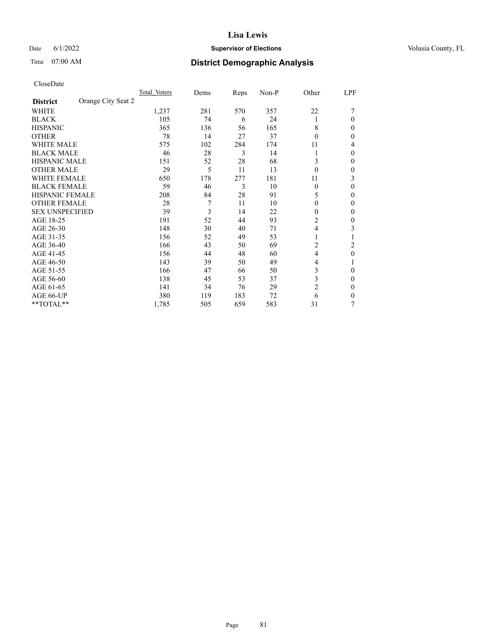# Date 6/1/2022 **Supervisor of Elections Supervisor of Elections** Volusia County, FL

# Time 07:00 AM **District Demographic Analysis**

|                        |                    | Total Voters | Dems | Reps | Non-P | Other          | LPF |
|------------------------|--------------------|--------------|------|------|-------|----------------|-----|
| <b>District</b>        | Orange City Seat 2 |              |      |      |       |                |     |
| WHITE                  |                    | 1,237        | 281  | 570  | 357   | 22             |     |
| <b>BLACK</b>           |                    | 105          | 74   | 6    | 24    | 1              | 0   |
| <b>HISPANIC</b>        |                    | 365          | 136  | 56   | 165   | 8              | 0   |
| <b>OTHER</b>           |                    | 78           | 14   | 27   | 37    | $\Omega$       | 0   |
| <b>WHITE MALE</b>      |                    | 575          | 102  | 284  | 174   | 11             | 4   |
| <b>BLACK MALE</b>      |                    | 46           | 28   | 3    | 14    |                | 0   |
| <b>HISPANIC MALE</b>   |                    | 151          | 52   | 28   | 68    | 3              | 0   |
| <b>OTHER MALE</b>      |                    | 29           | 5    | 11   | 13    | $\theta$       | 0   |
| WHITE FEMALE           |                    | 650          | 178  | 277  | 181   | 11             | 3   |
| <b>BLACK FEMALE</b>    |                    | 59           | 46   | 3    | 10    | $\Omega$       | 0   |
| <b>HISPANIC FEMALE</b> |                    | 208          | 84   | 28   | 91    | 5              | 0   |
| <b>OTHER FEMALE</b>    |                    | 28           | 7    | 11   | 10    | $\theta$       | 0   |
| <b>SEX UNSPECIFIED</b> |                    | 39           | 3    | 14   | 22    | $\theta$       | 0   |
| AGE 18-25              |                    | 191          | 52   | 44   | 93    | 2              | 0   |
| AGE 26-30              |                    | 148          | 30   | 40   | 71    | 4              | 3   |
| AGE 31-35              |                    | 156          | 52   | 49   | 53    |                |     |
| AGE 36-40              |                    | 166          | 43   | 50   | 69    | 2              | 2   |
| AGE 41-45              |                    | 156          | 44   | 48   | 60    | 4              | 0   |
| AGE 46-50              |                    | 143          | 39   | 50   | 49    | 4              |     |
| AGE 51-55              |                    | 166          | 47   | 66   | 50    | 3              | 0   |
| AGE 56-60              |                    | 138          | 45   | 53   | 37    | 3              | 0   |
| AGE 61-65              |                    | 141          | 34   | 76   | 29    | $\overline{2}$ | 0   |
| AGE 66-UP              |                    | 380          | 119  | 183  | 72    | 6              | 0   |
| **TOTAL**              |                    | 1,785        | 505  | 659  | 583   | 31             | 7   |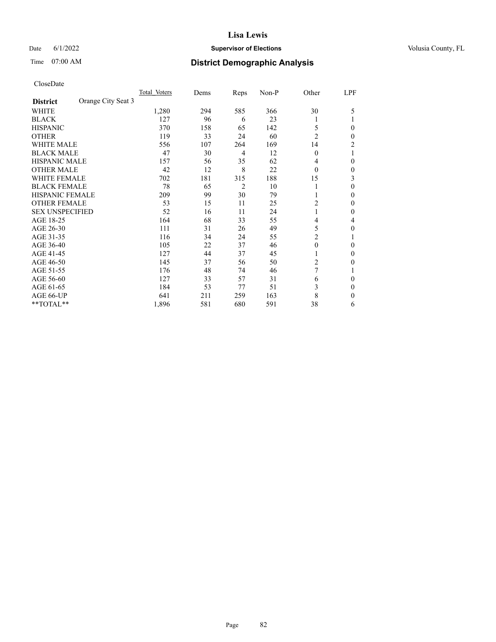# Date 6/1/2022 **Supervisor of Elections Supervisor of Elections** Volusia County, FL

# Time 07:00 AM **District Demographic Analysis**

|                        |                    | Total Voters | Dems | Reps           | Non-P | Other          | LPF            |
|------------------------|--------------------|--------------|------|----------------|-------|----------------|----------------|
| <b>District</b>        | Orange City Seat 3 |              |      |                |       |                |                |
| WHITE                  |                    | 1,280        | 294  | 585            | 366   | 30             | 5              |
| <b>BLACK</b>           |                    | 127          | 96   | 6              | 23    |                |                |
| <b>HISPANIC</b>        |                    | 370          | 158  | 65             | 142   | 5              | $\Omega$       |
| <b>OTHER</b>           |                    | 119          | 33   | 24             | 60    | $\overline{2}$ | $\Omega$       |
| <b>WHITE MALE</b>      |                    | 556          | 107  | 264            | 169   | 14             | $\overline{2}$ |
| <b>BLACK MALE</b>      |                    | 47           | 30   | 4              | 12    | $\mathbf{0}$   |                |
| <b>HISPANIC MALE</b>   |                    | 157          | 56   | 35             | 62    | 4              | $\theta$       |
| <b>OTHER MALE</b>      |                    | 42           | 12   | 8              | 22    | $\Omega$       | $\mathbf{0}$   |
| WHITE FEMALE           |                    | 702          | 181  | 315            | 188   | 15             | 3              |
| <b>BLACK FEMALE</b>    |                    | 78           | 65   | $\overline{2}$ | 10    |                | $\theta$       |
| <b>HISPANIC FEMALE</b> |                    | 209          | 99   | 30             | 79    |                | $\Omega$       |
| <b>OTHER FEMALE</b>    |                    | 53           | 15   | 11             | 25    | $\overline{2}$ | $\Omega$       |
| <b>SEX UNSPECIFIED</b> |                    | 52           | 16   | 11             | 24    | 1              | $\theta$       |
| AGE 18-25              |                    | 164          | 68   | 33             | 55    | $\overline{4}$ | 4              |
| AGE 26-30              |                    | 111          | 31   | 26             | 49    | 5              | $\theta$       |
| AGE 31-35              |                    | 116          | 34   | 24             | 55    | $\overline{c}$ |                |
| AGE 36-40              |                    | 105          | 22   | 37             | 46    | $\mathbf{0}$   | $\Omega$       |
| AGE 41-45              |                    | 127          | 44   | 37             | 45    | 1              | $\Omega$       |
| AGE 46-50              |                    | 145          | 37   | 56             | 50    | $\overline{2}$ | $\Omega$       |
| AGE 51-55              |                    | 176          | 48   | 74             | 46    | 7              |                |
| AGE 56-60              |                    | 127          | 33   | 57             | 31    | 6              | $\theta$       |
| AGE 61-65              |                    | 184          | 53   | 77             | 51    | 3              | $\theta$       |
| AGE 66-UP              |                    | 641          | 211  | 259            | 163   | 8              | $\Omega$       |
| **TOTAL**              |                    | 1,896        | 581  | 680            | 591   | 38             | 6              |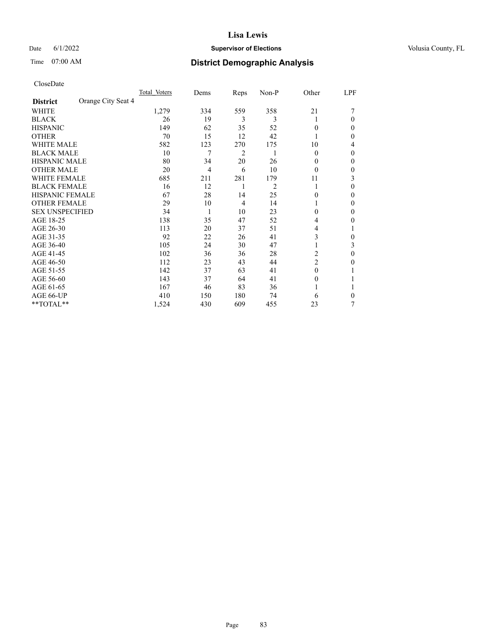# Date 6/1/2022 **Supervisor of Elections Supervisor of Elections** Volusia County, FL

# Time 07:00 AM **District Demographic Analysis**

|                        |                    | Total Voters | Dems           | Reps | Non-P | Other          | LPF    |
|------------------------|--------------------|--------------|----------------|------|-------|----------------|--------|
| <b>District</b>        | Orange City Seat 4 |              |                |      |       |                |        |
| WHITE                  |                    | 1,279        | 334            | 559  | 358   | 21             |        |
| <b>BLACK</b>           |                    | 26           | 19             | 3    | 3     | 1              | 0      |
| <b>HISPANIC</b>        |                    | 149          | 62             | 35   | 52    | 0              | $_{0}$ |
| <b>OTHER</b>           |                    | 70           | 15             | 12   | 42    |                | 0      |
| WHITE MALE             |                    | 582          | 123            | 270  | 175   | 10             | 4      |
| <b>BLACK MALE</b>      |                    | 10           | 7              | 2    | 1     | $\Omega$       | 0      |
| <b>HISPANIC MALE</b>   |                    | 80           | 34             | 20   | 26    | $_{0}$         | 0      |
| <b>OTHER MALE</b>      |                    | 20           | $\overline{4}$ | 6    | 10    | 0              | 0      |
| WHITE FEMALE           |                    | 685          | 211            | 281  | 179   | 11             | 3      |
| <b>BLACK FEMALE</b>    |                    | 16           | 12             | 1    | 2     | 1              | 0      |
| <b>HISPANIC FEMALE</b> |                    | 67           | 28             | 14   | 25    | 0              | 0      |
| <b>OTHER FEMALE</b>    |                    | 29           | 10             | 4    | 14    |                | 0      |
| <b>SEX UNSPECIFIED</b> |                    | 34           | 1              | 10   | 23    | 0              | 0      |
| AGE 18-25              |                    | 138          | 35             | 47   | 52    | 4              | 0      |
| AGE 26-30              |                    | 113          | 20             | 37   | 51    | 4              |        |
| AGE 31-35              |                    | 92           | 22             | 26   | 41    | 3              | 0      |
| AGE 36-40              |                    | 105          | 24             | 30   | 47    |                | 3      |
| AGE 41-45              |                    | 102          | 36             | 36   | 28    | 2              | 0      |
| AGE 46-50              |                    | 112          | 23             | 43   | 44    | $\overline{2}$ | 0      |
| AGE 51-55              |                    | 142          | 37             | 63   | 41    | $\Omega$       |        |
| AGE 56-60              |                    | 143          | 37             | 64   | 41    | 0              |        |
| AGE 61-65              |                    | 167          | 46             | 83   | 36    |                |        |
| AGE 66-UP              |                    | 410          | 150            | 180  | 74    | 6              | 0      |
| **TOTAL**              |                    | 1,524        | 430            | 609  | 455   | 23             | 7      |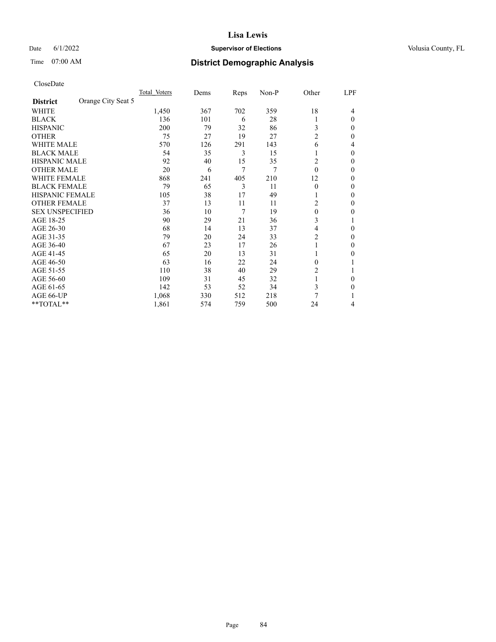# Date 6/1/2022 **Supervisor of Elections Supervisor of Elections** Volusia County, FL

# Time 07:00 AM **District Demographic Analysis**

|                        |                    | Total Voters | Dems | Reps | Non-P | Other          | LPF          |
|------------------------|--------------------|--------------|------|------|-------|----------------|--------------|
| <b>District</b>        | Orange City Seat 5 |              |      |      |       |                |              |
| WHITE                  |                    | 1,450        | 367  | 702  | 359   | 18             | 4            |
| <b>BLACK</b>           |                    | 136          | 101  | 6    | 28    | 1              | $\Omega$     |
| <b>HISPANIC</b>        |                    | 200          | 79   | 32   | 86    | 3              | 0            |
| <b>OTHER</b>           |                    | 75           | 27   | 19   | 27    | $\overline{c}$ | 0            |
| <b>WHITE MALE</b>      |                    | 570          | 126  | 291  | 143   | 6              | 4            |
| <b>BLACK MALE</b>      |                    | 54           | 35   | 3    | 15    |                | $\Omega$     |
| <b>HISPANIC MALE</b>   |                    | 92           | 40   | 15   | 35    | 2              | 0            |
| <b>OTHER MALE</b>      |                    | 20           | 6    | 7    | 7     | $\theta$       | 0            |
| WHITE FEMALE           |                    | 868          | 241  | 405  | 210   | 12             | 0            |
| <b>BLACK FEMALE</b>    |                    | 79           | 65   | 3    | 11    | $\theta$       | 0            |
| <b>HISPANIC FEMALE</b> |                    | 105          | 38   | 17   | 49    | 1              | 0            |
| <b>OTHER FEMALE</b>    |                    | 37           | 13   | 11   | 11    | 2              | 0            |
| <b>SEX UNSPECIFIED</b> |                    | 36           | 10   | 7    | 19    | $\theta$       | 0            |
| AGE 18-25              |                    | 90           | 29   | 21   | 36    | 3              |              |
| AGE 26-30              |                    | 68           | 14   | 13   | 37    | 4              | $\mathbf{0}$ |
| AGE 31-35              |                    | 79           | 20   | 24   | 33    | 2              | 0            |
| AGE 36-40              |                    | 67           | 23   | 17   | 26    | 1              | 0            |
| AGE 41-45              |                    | 65           | 20   | 13   | 31    |                | 0            |
| AGE 46-50              |                    | 63           | 16   | 22   | 24    | $\theta$       |              |
| AGE 51-55              |                    | 110          | 38   | 40   | 29    | 2              |              |
| AGE 56-60              |                    | 109          | 31   | 45   | 32    |                | 0            |
| AGE 61-65              |                    | 142          | 53   | 52   | 34    | 3              | 0            |
| AGE 66-UP              |                    | 1,068        | 330  | 512  | 218   | 7              |              |
| **TOTAL**              |                    | 1,861        | 574  | 759  | 500   | 24             | 4            |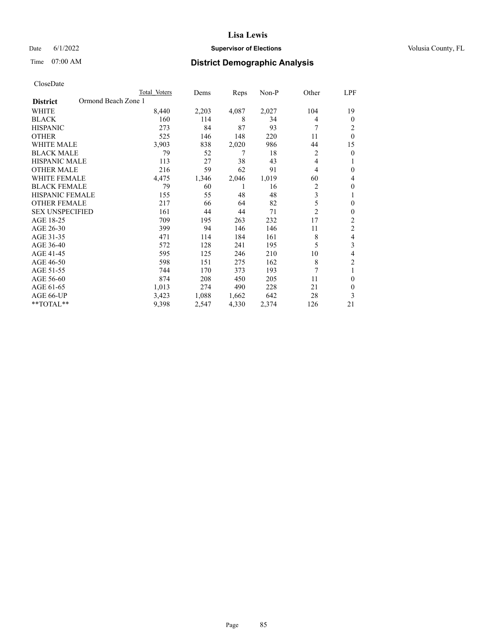# Date 6/1/2022 **Supervisor of Elections Supervisor of Elections** Volusia County, FL

# Time 07:00 AM **District Demographic Analysis**

|                                        | Total Voters | Dems  | Reps  | $Non-P$ | Other          | LPF            |
|----------------------------------------|--------------|-------|-------|---------|----------------|----------------|
| Ormond Beach Zone 1<br><b>District</b> |              |       |       |         |                |                |
| WHITE                                  | 8,440        | 2,203 | 4,087 | 2,027   | 104            | 19             |
| <b>BLACK</b>                           | 160          | 114   | 8     | 34      | 4              | $\theta$       |
| <b>HISPANIC</b>                        | 273          | 84    | 87    | 93      | 7              | 2              |
| <b>OTHER</b>                           | 525          | 146   | 148   | 220     | 11             | $\theta$       |
| <b>WHITE MALE</b>                      | 3,903        | 838   | 2,020 | 986     | 44             | 15             |
| <b>BLACK MALE</b>                      | 79           | 52    | 7     | 18      | $\overline{2}$ | $\theta$       |
| HISPANIC MALE                          | 113          | 27    | 38    | 43      | 4              | 1              |
| <b>OTHER MALE</b>                      | 216          | 59    | 62    | 91      | 4              | $\theta$       |
| <b>WHITE FEMALE</b>                    | 4,475        | 1,346 | 2,046 | 1,019   | 60             | 4              |
| <b>BLACK FEMALE</b>                    | 79           | 60    | 1     | 16      | $\overline{c}$ | $\theta$       |
| <b>HISPANIC FEMALE</b>                 | 155          | 55    | 48    | 48      | 3              | 1              |
| <b>OTHER FEMALE</b>                    | 217          | 66    | 64    | 82      | 5              | $\theta$       |
| <b>SEX UNSPECIFIED</b>                 | 161          | 44    | 44    | 71      | $\overline{2}$ | $\theta$       |
| AGE 18-25                              | 709          | 195   | 263   | 232     | 17             | 2              |
| AGE 26-30                              | 399          | 94    | 146   | 146     | 11             | $\overline{c}$ |
| AGE 31-35                              | 471          | 114   | 184   | 161     | 8              | 4              |
| AGE 36-40                              | 572          | 128   | 241   | 195     | 5              | 3              |
| AGE 41-45                              | 595          | 125   | 246   | 210     | 10             | 4              |
| AGE 46-50                              | 598          | 151   | 275   | 162     | 8              | $\overline{2}$ |
| AGE 51-55                              | 744          | 170   | 373   | 193     | 7              | 1              |
| AGE 56-60                              | 874          | 208   | 450   | 205     | 11             | $\theta$       |
| AGE 61-65                              | 1,013        | 274   | 490   | 228     | 21             | $\theta$       |
| AGE 66-UP                              | 3,423        | 1,088 | 1,662 | 642     | 28             | 3              |
| **TOTAL**                              | 9,398        | 2,547 | 4,330 | 2,374   | 126            | 21             |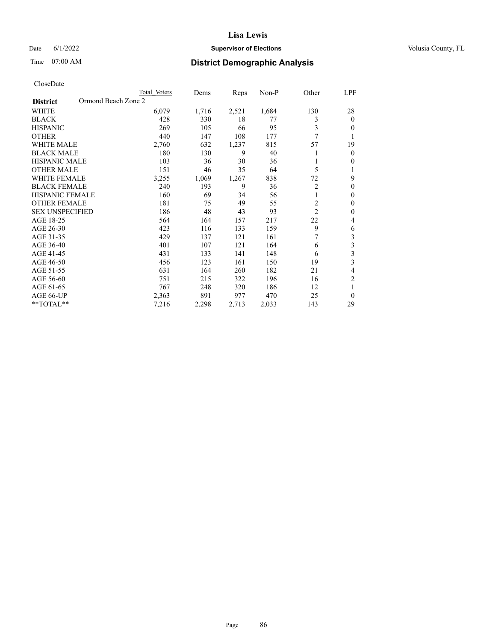# Date 6/1/2022 **Supervisor of Elections Supervisor of Elections** Volusia County, FL

# Time 07:00 AM **District Demographic Analysis**

|                        | Total Voters        | Dems  | Reps  | $Non-P$ | Other          | LPF                     |
|------------------------|---------------------|-------|-------|---------|----------------|-------------------------|
| <b>District</b>        | Ormond Beach Zone 2 |       |       |         |                |                         |
| WHITE                  | 6,079               | 1,716 | 2,521 | 1,684   | 130            | 28                      |
| <b>BLACK</b>           | 428                 | 330   | 18    | 77      | 3              | $\theta$                |
| <b>HISPANIC</b>        | 269                 | 105   | 66    | 95      | 3              | $\theta$                |
| <b>OTHER</b>           | 440                 | 147   | 108   | 177     | 7              | 1                       |
| <b>WHITE MALE</b>      | 2,760               | 632   | 1,237 | 815     | 57             | 19                      |
| <b>BLACK MALE</b>      | 180                 | 130   | 9     | 40      |                | $\mathbf{0}$            |
| HISPANIC MALE          | 103                 | 36    | 30    | 36      |                | $\mathbf{0}$            |
| <b>OTHER MALE</b>      | 151                 | 46    | 35    | 64      | 5              | 1                       |
| <b>WHITE FEMALE</b>    | 3,255               | 1,069 | 1,267 | 838     | 72             | 9                       |
| <b>BLACK FEMALE</b>    | 240                 | 193   | 9     | 36      | $\overline{2}$ | $\theta$                |
| <b>HISPANIC FEMALE</b> | 160                 | 69    | 34    | 56      | 1              | $\theta$                |
| <b>OTHER FEMALE</b>    | 181                 | 75    | 49    | 55      | $\overline{c}$ | $\mathbf{0}$            |
| <b>SEX UNSPECIFIED</b> | 186                 | 48    | 43    | 93      | $\overline{2}$ | $\theta$                |
| AGE 18-25              | 564                 | 164   | 157   | 217     | 22             | 4                       |
| AGE 26-30              | 423                 | 116   | 133   | 159     | 9              | 6                       |
| AGE 31-35              | 429                 | 137   | 121   | 161     | 7              | 3                       |
| AGE 36-40              | 401                 | 107   | 121   | 164     | 6              | $\overline{\mathbf{3}}$ |
| AGE 41-45              | 431                 | 133   | 141   | 148     | 6              | 3                       |
| AGE 46-50              | 456                 | 123   | 161   | 150     | 19             | 3                       |
| AGE 51-55              | 631                 | 164   | 260   | 182     | 21             | 4                       |
| AGE 56-60              | 751                 | 215   | 322   | 196     | 16             | $\overline{c}$          |
| AGE 61-65              | 767                 | 248   | 320   | 186     | 12             | 1                       |
| AGE 66-UP              | 2,363               | 891   | 977   | 470     | 25             | $\theta$                |
| **TOTAL**              | 7,216               | 2,298 | 2,713 | 2,033   | 143            | 29                      |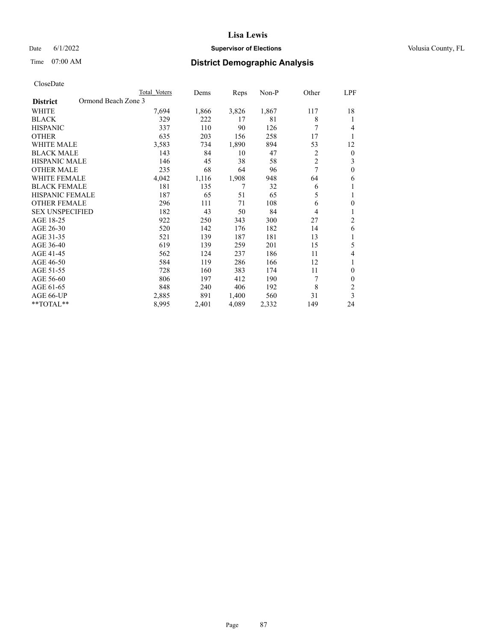# Date 6/1/2022 **Supervisor of Elections Supervisor of Elections** Volusia County, FL

# Time 07:00 AM **District Demographic Analysis**

|                                        | Total Voters | Dems  | Reps  | $Non-P$ | Other          | LPF            |
|----------------------------------------|--------------|-------|-------|---------|----------------|----------------|
| Ormond Beach Zone 3<br><b>District</b> |              |       |       |         |                |                |
| WHITE                                  | 7,694        | 1,866 | 3,826 | 1,867   | 117            | 18             |
| <b>BLACK</b>                           | 329          | 222   | 17    | 81      | 8              | 1              |
| <b>HISPANIC</b>                        | 337          | 110   | 90    | 126     | 7              | 4              |
| <b>OTHER</b>                           | 635          | 203   | 156   | 258     | 17             | 1              |
| <b>WHITE MALE</b>                      | 3,583        | 734   | 1,890 | 894     | 53             | 12             |
| <b>BLACK MALE</b>                      | 143          | 84    | 10    | 47      | 2              | $\mathbf{0}$   |
| <b>HISPANIC MALE</b>                   | 146          | 45    | 38    | 58      | $\overline{c}$ | 3              |
| <b>OTHER MALE</b>                      | 235          | 68    | 64    | 96      | 7              | $\theta$       |
| <b>WHITE FEMALE</b>                    | 4,042        | 1,116 | 1,908 | 948     | 64             | 6              |
| <b>BLACK FEMALE</b>                    | 181          | 135   | 7     | 32      | 6              | 1              |
| <b>HISPANIC FEMALE</b>                 | 187          | 65    | 51    | 65      | 5              | 1              |
| <b>OTHER FEMALE</b>                    | 296          | 111   | 71    | 108     | 6              | $\theta$       |
| <b>SEX UNSPECIFIED</b>                 | 182          | 43    | 50    | 84      | 4              | 1              |
| AGE 18-25                              | 922          | 250   | 343   | 300     | 27             | $\overline{c}$ |
| AGE 26-30                              | 520          | 142   | 176   | 182     | 14             | 6              |
| AGE 31-35                              | 521          | 139   | 187   | 181     | 13             | 1              |
| AGE 36-40                              | 619          | 139   | 259   | 201     | 15             | 5              |
| AGE 41-45                              | 562          | 124   | 237   | 186     | 11             | 4              |
| AGE 46-50                              | 584          | 119   | 286   | 166     | 12             | 1              |
| AGE 51-55                              | 728          | 160   | 383   | 174     | 11             | $\theta$       |
| AGE 56-60                              | 806          | 197   | 412   | 190     | 7              | $\theta$       |
| AGE 61-65                              | 848          | 240   | 406   | 192     | 8              | $\overline{2}$ |
| AGE 66-UP                              | 2,885        | 891   | 1,400 | 560     | 31             | 3              |
| **TOTAL**                              | 8,995        | 2,401 | 4,089 | 2,332   | 149            | 24             |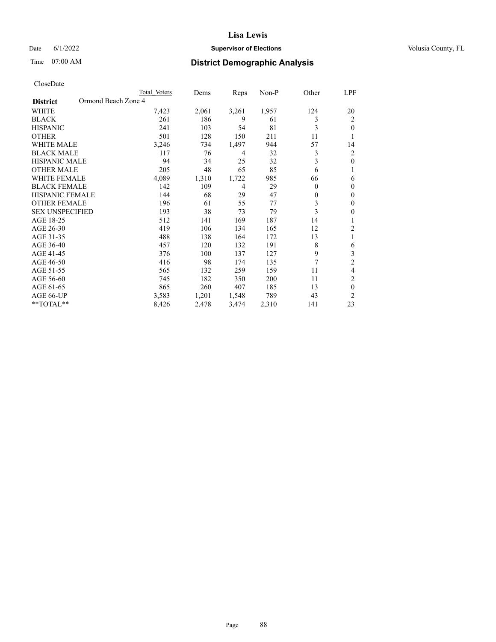# Date 6/1/2022 **Supervisor of Elections Supervisor of Elections** Volusia County, FL

# Time 07:00 AM **District Demographic Analysis**

|                                        | Total Voters | Dems  | Reps  | Non-P | Other    | LPF            |
|----------------------------------------|--------------|-------|-------|-------|----------|----------------|
| Ormond Beach Zone 4<br><b>District</b> |              |       |       |       |          |                |
| WHITE                                  | 7,423        | 2,061 | 3,261 | 1,957 | 124      | 20             |
| <b>BLACK</b>                           | 261          | 186   | 9     | 61    | 3        | 2              |
| <b>HISPANIC</b>                        | 241          | 103   | 54    | 81    | 3        | 0              |
| <b>OTHER</b>                           | 501          | 128   | 150   | 211   | 11       |                |
| WHITE MALE                             | 3,246        | 734   | 1,497 | 944   | 57       | 14             |
| <b>BLACK MALE</b>                      | 117          | 76    | 4     | 32    | 3        | 2              |
| <b>HISPANIC MALE</b>                   | 94           | 34    | 25    | 32    | 3        | 0              |
| <b>OTHER MALE</b>                      | 205          | 48    | 65    | 85    | 6        | 1              |
| <b>WHITE FEMALE</b>                    | 4,089        | 1,310 | 1,722 | 985   | 66       | 6              |
| <b>BLACK FEMALE</b>                    | 142          | 109   | 4     | 29    | $\Omega$ | 0              |
| <b>HISPANIC FEMALE</b>                 | 144          | 68    | 29    | 47    | $\theta$ | 0              |
| <b>OTHER FEMALE</b>                    | 196          | 61    | 55    | 77    | 3        | 0              |
| <b>SEX UNSPECIFIED</b>                 | 193          | 38    | 73    | 79    | 3        | 0              |
| AGE 18-25                              | 512          | 141   | 169   | 187   | 14       |                |
| AGE 26-30                              | 419          | 106   | 134   | 165   | 12       | 2              |
| AGE 31-35                              | 488          | 138   | 164   | 172   | 13       | 1              |
| AGE 36-40                              | 457          | 120   | 132   | 191   | 8        | 6              |
| AGE 41-45                              | 376          | 100   | 137   | 127   | 9        | 3              |
| AGE 46-50                              | 416          | 98    | 174   | 135   | 7        | 2              |
| AGE 51-55                              | 565          | 132   | 259   | 159   | 11       | 4              |
| AGE 56-60                              | 745          | 182   | 350   | 200   | 11       | 2              |
| AGE 61-65                              | 865          | 260   | 407   | 185   | 13       | $\theta$       |
| AGE 66-UP                              | 3,583        | 1,201 | 1,548 | 789   | 43       | $\overline{2}$ |
| **TOTAL**                              | 8,426        | 2,478 | 3,474 | 2,310 | 141      | 23             |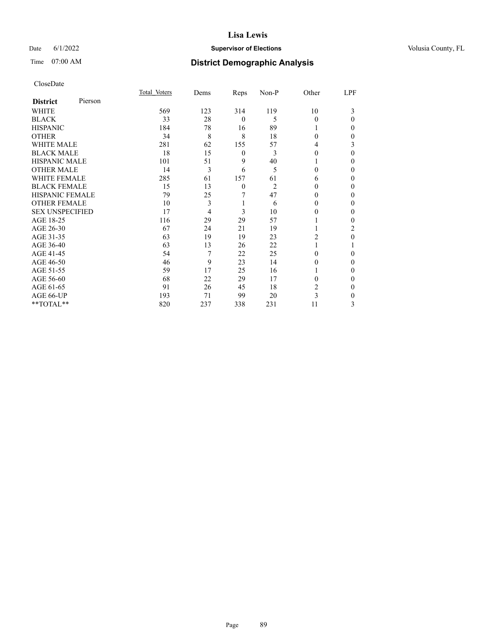# Date 6/1/2022 **Supervisor of Elections Supervisor of Elections** Volusia County, FL

| CloseDate |
|-----------|
|-----------|

|                        |         | Total Voters | Dems | Reps         | Non-P          | Other    | LPF      |
|------------------------|---------|--------------|------|--------------|----------------|----------|----------|
| <b>District</b>        | Pierson |              |      |              |                |          |          |
| WHITE                  |         | 569          | 123  | 314          | 119            | 10       | 3        |
| <b>BLACK</b>           |         | 33           | 28   | $\mathbf{0}$ | 5              | $\Omega$ | $\Omega$ |
| <b>HISPANIC</b>        |         | 184          | 78   | 16           | 89             |          | 0        |
| <b>OTHER</b>           |         | 34           | 8    | 8            | 18             | 0        | 0        |
| <b>WHITE MALE</b>      |         | 281          | 62   | 155          | 57             | 4        | 3        |
| <b>BLACK MALE</b>      |         | 18           | 15   | 0            | 3              | 0        | $\Omega$ |
| <b>HISPANIC MALE</b>   |         | 101          | 51   | 9            | 40             |          | 0        |
| <b>OTHER MALE</b>      |         | 14           | 3    | 6            | 5              | 0        | 0        |
| <b>WHITE FEMALE</b>    |         | 285          | 61   | 157          | 61             | 6        | 0        |
| <b>BLACK FEMALE</b>    |         | 15           | 13   | $\theta$     | $\overline{2}$ | 0        | 0        |
| <b>HISPANIC FEMALE</b> |         | 79           | 25   | 7            | 47             | 0        | 0        |
| <b>OTHER FEMALE</b>    |         | 10           | 3    | 1            | 6              | 0        | 0        |
| <b>SEX UNSPECIFIED</b> |         | 17           | 4    | 3            | 10             | 0        | 0        |
| AGE 18-25              |         | 116          | 29   | 29           | 57             |          | 0        |
| AGE 26-30              |         | 67           | 24   | 21           | 19             |          | 2        |
| AGE 31-35              |         | 63           | 19   | 19           | 23             | 2        | 0        |
| AGE 36-40              |         | 63           | 13   | 26           | 22             |          |          |
| AGE 41-45              |         | 54           | 7    | 22           | 25             | 0        | 0        |
| AGE 46-50              |         | 46           | 9    | 23           | 14             | 0        | $\Omega$ |
| AGE 51-55              |         | 59           | 17   | 25           | 16             |          | 0        |
| AGE 56-60              |         | 68           | 22   | 29           | 17             | 0        | 0        |
| AGE 61-65              |         | 91           | 26   | 45           | 18             | 2        | 0        |
| AGE 66-UP              |         | 193          | 71   | 99           | 20             | 3        | 0        |
| **TOTAL**              |         | 820          | 237  | 338          | 231            | 11       | 3        |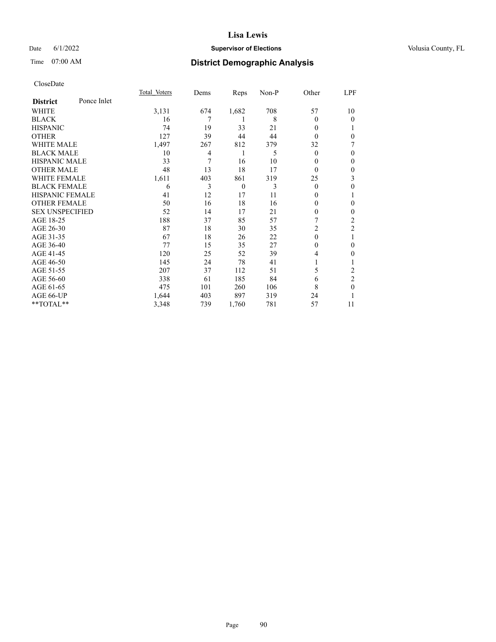# Date 6/1/2022 **Supervisor of Elections Supervisor of Elections** Volusia County, FL

# Time 07:00 AM **District Demographic Analysis**

|                        |             | Total Voters | Dems | Reps     | Non-P | Other    | LPF            |
|------------------------|-------------|--------------|------|----------|-------|----------|----------------|
| <b>District</b>        | Ponce Inlet |              |      |          |       |          |                |
| WHITE                  |             | 3,131        | 674  | 1,682    | 708   | 57       | 10             |
| <b>BLACK</b>           |             | 16           | 7    | 1        | 8     | 0        | $\overline{0}$ |
| <b>HISPANIC</b>        |             | 74           | 19   | 33       | 21    | 0        |                |
| <b>OTHER</b>           |             | 127          | 39   | 44       | 44    | 0        | $\theta$       |
| WHITE MALE             |             | 1,497        | 267  | 812      | 379   | 32       |                |
| <b>BLACK MALE</b>      |             | 10           | 4    | 1        | 5     | $\Omega$ | $\Omega$       |
| <b>HISPANIC MALE</b>   |             | 33           | 7    | 16       | 10    | 0        | $\theta$       |
| <b>OTHER MALE</b>      |             | 48           | 13   | 18       | 17    | $\theta$ | $\theta$       |
| WHITE FEMALE           |             | 1,611        | 403  | 861      | 319   | 25       | 3              |
| <b>BLACK FEMALE</b>    |             | 6            | 3    | $\theta$ | 3     | $\Omega$ | 0              |
| <b>HISPANIC FEMALE</b> |             | 41           | 12   | 17       | 11    | 0        | 1              |
| <b>OTHER FEMALE</b>    |             | 50           | 16   | 18       | 16    | 0        | 0              |
| <b>SEX UNSPECIFIED</b> |             | 52           | 14   | 17       | 21    | 0        | $\theta$       |
| AGE 18-25              |             | 188          | 37   | 85       | 57    | 7        | $\overline{2}$ |
| AGE 26-30              |             | 87           | 18   | 30       | 35    | 2        | $\mathfrak{2}$ |
| AGE 31-35              |             | 67           | 18   | 26       | 22    | $\theta$ |                |
| AGE 36-40              |             | 77           | 15   | 35       | 27    | 0        | $\theta$       |
| AGE 41-45              |             | 120          | 25   | 52       | 39    | 4        | 0              |
| AGE 46-50              |             | 145          | 24   | 78       | 41    |          |                |
| AGE 51-55              |             | 207          | 37   | 112      | 51    | 5        | $\overline{c}$ |
| AGE 56-60              |             | 338          | 61   | 185      | 84    | 6        | $\overline{2}$ |
| AGE 61-65              |             | 475          | 101  | 260      | 106   | 8        | $\theta$       |
| AGE 66-UP              |             | 1,644        | 403  | 897      | 319   | 24       |                |
| $*$ $TOTAL**$          |             | 3,348        | 739  | 1,760    | 781   | 57       | 11             |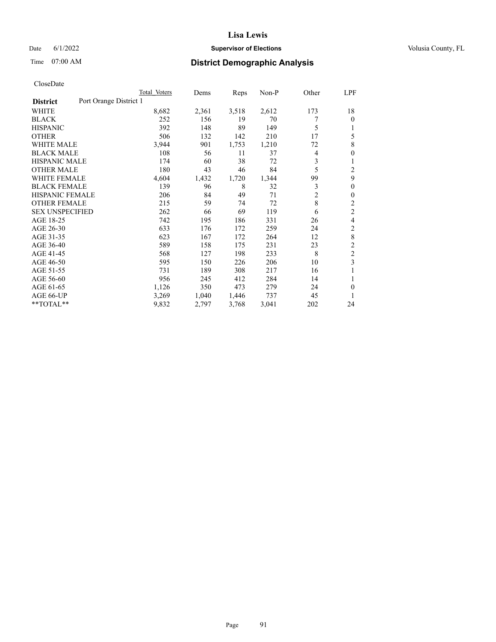# Date 6/1/2022 **Supervisor of Elections Supervisor of Elections** Volusia County, FL

# Time 07:00 AM **District Demographic Analysis**

|                        | Total Voters           | Dems  | Reps  | Non-P | Other          | LPF            |
|------------------------|------------------------|-------|-------|-------|----------------|----------------|
| <b>District</b>        | Port Orange District 1 |       |       |       |                |                |
| WHITE                  | 8,682                  | 2,361 | 3,518 | 2,612 | 173            | 18             |
| <b>BLACK</b>           | 252                    | 156   | 19    | 70    | 7              | 0              |
| <b>HISPANIC</b>        | 392                    | 148   | 89    | 149   | 5              |                |
| <b>OTHER</b>           | 506                    | 132   | 142   | 210   | 17             | 5              |
| WHITE MALE             | 3,944                  | 901   | 1,753 | 1,210 | 72             | 8              |
| <b>BLACK MALE</b>      | 108                    | 56    | 11    | 37    | 4              | 0              |
| <b>HISPANIC MALE</b>   | 174                    | 60    | 38    | 72    | 3              | 1              |
| <b>OTHER MALE</b>      | 180                    | 43    | 46    | 84    | 5              | 2              |
| <b>WHITE FEMALE</b>    | 4,604                  | 1,432 | 1,720 | 1,344 | 99             | 9              |
| <b>BLACK FEMALE</b>    | 139                    | 96    | 8     | 32    | 3              | 0              |
| <b>HISPANIC FEMALE</b> | 206                    | 84    | 49    | 71    | $\overline{2}$ | 0              |
| <b>OTHER FEMALE</b>    | 215                    | 59    | 74    | 72    | 8              | 2              |
| <b>SEX UNSPECIFIED</b> | 262                    | 66    | 69    | 119   | 6              | $\overline{c}$ |
| AGE 18-25              | 742                    | 195   | 186   | 331   | 26             | 4              |
| AGE 26-30              | 633                    | 176   | 172   | 259   | 24             | 2              |
| AGE 31-35              | 623                    | 167   | 172   | 264   | 12             | 8              |
| AGE 36-40              | 589                    | 158   | 175   | 231   | 23             | 2              |
| AGE 41-45              | 568                    | 127   | 198   | 233   | 8              | $\overline{c}$ |
| AGE 46-50              | 595                    | 150   | 226   | 206   | 10             | 3              |
| AGE 51-55              | 731                    | 189   | 308   | 217   | 16             | 1              |
| AGE 56-60              | 956                    | 245   | 412   | 284   | 14             |                |
| AGE 61-65              | 1,126                  | 350   | 473   | 279   | 24             | 0              |
| AGE 66-UP              | 3,269                  | 1,040 | 1,446 | 737   | 45             |                |
| **TOTAL**              | 9,832                  | 2,797 | 3,768 | 3,041 | 202            | 24             |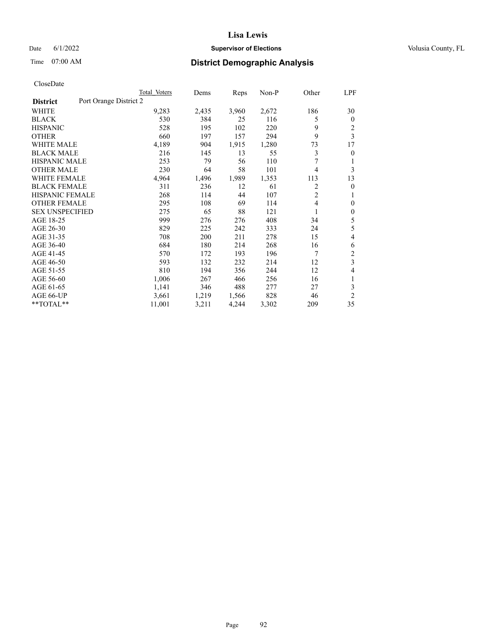# Date 6/1/2022 **Supervisor of Elections Supervisor of Elections** Volusia County, FL

# Time 07:00 AM **District Demographic Analysis**

|                                           | Total Voters | Dems  | Reps  | $Non-P$ | Other          | LPF            |
|-------------------------------------------|--------------|-------|-------|---------|----------------|----------------|
| Port Orange District 2<br><b>District</b> |              |       |       |         |                |                |
| WHITE                                     | 9,283        | 2,435 | 3,960 | 2,672   | 186            | 30             |
| <b>BLACK</b>                              | 530          | 384   | 25    | 116     | 5              | $\mathbf{0}$   |
| <b>HISPANIC</b>                           | 528          | 195   | 102   | 220     | 9              | 2              |
| <b>OTHER</b>                              | 660          | 197   | 157   | 294     | 9              | 3              |
| WHITE MALE                                | 4,189        | 904   | 1,915 | 1,280   | 73             | 17             |
| <b>BLACK MALE</b>                         | 216          | 145   | 13    | 55      | 3              | $\mathbf{0}$   |
| <b>HISPANIC MALE</b>                      | 253          | 79    | 56    | 110     | 7              | 1              |
| <b>OTHER MALE</b>                         | 230          | 64    | 58    | 101     | $\overline{4}$ | 3              |
| WHITE FEMALE                              | 4,964        | 1,496 | 1,989 | 1,353   | 113            | 13             |
| <b>BLACK FEMALE</b>                       | 311          | 236   | 12    | 61      | 2              | $\mathbf{0}$   |
| <b>HISPANIC FEMALE</b>                    | 268          | 114   | 44    | 107     | $\overline{2}$ | 1              |
| <b>OTHER FEMALE</b>                       | 295          | 108   | 69    | 114     | $\overline{4}$ | $\theta$       |
| <b>SEX UNSPECIFIED</b>                    | 275          | 65    | 88    | 121     | 1              | $\mathbf{0}$   |
| AGE 18-25                                 | 999          | 276   | 276   | 408     | 34             | 5              |
| AGE 26-30                                 | 829          | 225   | 242   | 333     | 24             | 5              |
| AGE 31-35                                 | 708          | 200   | 211   | 278     | 15             | $\overline{4}$ |
| AGE 36-40                                 | 684          | 180   | 214   | 268     | 16             | 6              |
| AGE 41-45                                 | 570          | 172   | 193   | 196     | 7              | $\overline{c}$ |
| AGE 46-50                                 | 593          | 132   | 232   | 214     | 12             | 3              |
| AGE 51-55                                 | 810          | 194   | 356   | 244     | 12             | $\overline{4}$ |
| AGE 56-60                                 | 1,006        | 267   | 466   | 256     | 16             | 1              |
| AGE 61-65                                 | 1,141        | 346   | 488   | 277     | 27             | 3              |
| AGE 66-UP                                 | 3,661        | 1,219 | 1,566 | 828     | 46             | $\overline{2}$ |
| **TOTAL**                                 | 11,001       | 3,211 | 4,244 | 3,302   | 209            | 35             |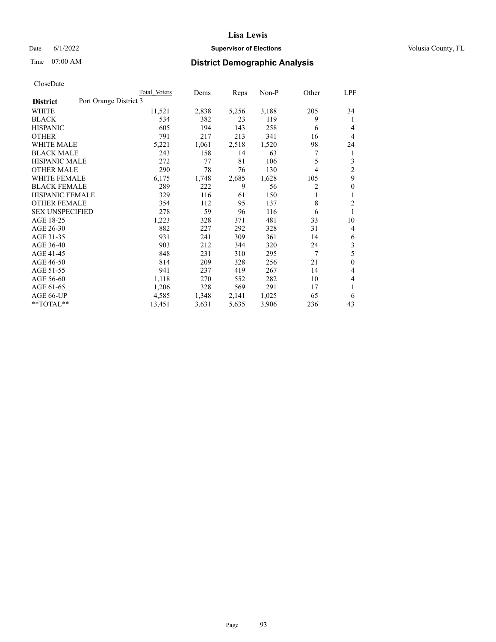# Date 6/1/2022 **Supervisor of Elections Supervisor of Elections** Volusia County, FL

# Time 07:00 AM **District Demographic Analysis**

|                                           | Total Voters | Dems  | Reps  | $Non-P$ | Other          | LPF            |
|-------------------------------------------|--------------|-------|-------|---------|----------------|----------------|
| Port Orange District 3<br><b>District</b> |              |       |       |         |                |                |
| <b>WHITE</b>                              | 11,521       | 2,838 | 5,256 | 3,188   | 205            | 34             |
| <b>BLACK</b>                              | 534          | 382   | 23    | 119     | 9              | 1              |
| <b>HISPANIC</b>                           | 605          | 194   | 143   | 258     | 6              | $\overline{4}$ |
| <b>OTHER</b>                              | 791          | 217   | 213   | 341     | 16             | $\overline{4}$ |
| <b>WHITE MALE</b>                         | 5,221        | 1,061 | 2,518 | 1,520   | 98             | 24             |
| <b>BLACK MALE</b>                         | 243          | 158   | 14    | 63      | 7              | 1              |
| <b>HISPANIC MALE</b>                      | 272          | 77    | 81    | 106     | 5              | 3              |
| <b>OTHER MALE</b>                         | 290          | 78    | 76    | 130     | $\overline{4}$ | $\overline{2}$ |
| WHITE FEMALE                              | 6,175        | 1,748 | 2,685 | 1,628   | 105            | 9              |
| <b>BLACK FEMALE</b>                       | 289          | 222   | 9     | 56      | 2              | $\mathbf{0}$   |
| <b>HISPANIC FEMALE</b>                    | 329          | 116   | 61    | 150     | 1              | 1              |
| <b>OTHER FEMALE</b>                       | 354          | 112   | 95    | 137     | 8              | $\overline{2}$ |
| <b>SEX UNSPECIFIED</b>                    | 278          | 59    | 96    | 116     | 6              | 1              |
| AGE 18-25                                 | 1,223        | 328   | 371   | 481     | 33             | 10             |
| AGE 26-30                                 | 882          | 227   | 292   | 328     | 31             | $\overline{4}$ |
| AGE 31-35                                 | 931          | 241   | 309   | 361     | 14             | 6              |
| AGE 36-40                                 | 903          | 212   | 344   | 320     | 24             | 3              |
| AGE 41-45                                 | 848          | 231   | 310   | 295     | 7              | 5              |
| AGE 46-50                                 | 814          | 209   | 328   | 256     | 21             | $\mathbf{0}$   |
| AGE 51-55                                 | 941          | 237   | 419   | 267     | 14             | $\overline{4}$ |
| AGE 56-60                                 | 1,118        | 270   | 552   | 282     | 10             | $\overline{4}$ |
| AGE 61-65                                 | 1,206        | 328   | 569   | 291     | 17             | 1              |
| AGE 66-UP                                 | 4,585        | 1,348 | 2,141 | 1,025   | 65             | 6              |
| **TOTAL**                                 | 13,451       | 3,631 | 5,635 | 3,906   | 236            | 43             |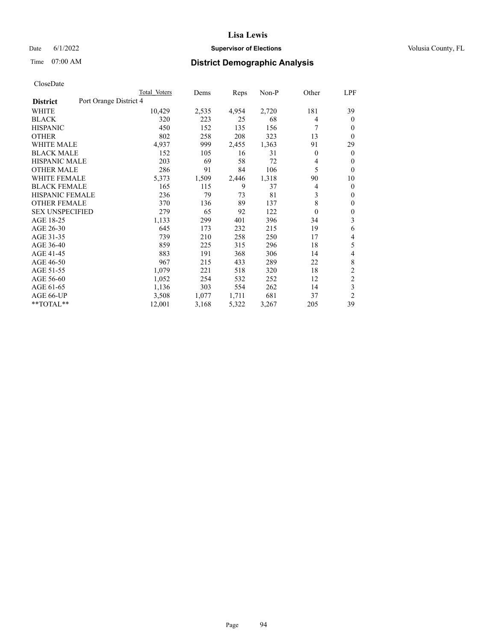# Date 6/1/2022 **Supervisor of Elections Supervisor of Elections** Volusia County, FL

# Time 07:00 AM **District Demographic Analysis**

|                                           | Total Voters | Dems  | Reps  | Non-P | Other            | <u>LPF</u>     |
|-------------------------------------------|--------------|-------|-------|-------|------------------|----------------|
| Port Orange District 4<br><b>District</b> |              |       |       |       |                  |                |
| WHITE                                     | 10,429       | 2,535 | 4,954 | 2,720 | 181              | 39             |
| <b>BLACK</b>                              | 320          | 223   | 25    | 68    | 4                | $\theta$       |
| <b>HISPANIC</b>                           | 450          | 152   | 135   | 156   | 7                | $\theta$       |
| <b>OTHER</b>                              | 802          | 258   | 208   | 323   | 13               | $\theta$       |
| <b>WHITE MALE</b>                         | 4,937        | 999   | 2,455 | 1,363 | 91               | 29             |
| <b>BLACK MALE</b>                         | 152          | 105   | 16    | 31    | $\theta$         | $\theta$       |
| <b>HISPANIC MALE</b>                      | 203          | 69    | 58    | 72    | 4                | $\theta$       |
| <b>OTHER MALE</b>                         | 286          | 91    | 84    | 106   | 5                | $\theta$       |
| <b>WHITE FEMALE</b>                       | 5,373        | 1,509 | 2,446 | 1,318 | 90               | 10             |
| <b>BLACK FEMALE</b>                       | 165          | 115   | 9     | 37    | 4                | $\mathbf{0}$   |
| <b>HISPANIC FEMALE</b>                    | 236          | 79    | 73    | 81    | 3                | $\mathbf{0}$   |
| <b>OTHER FEMALE</b>                       | 370          | 136   | 89    | 137   | 8                | $\mathbf{0}$   |
| <b>SEX UNSPECIFIED</b>                    | 279          | 65    | 92    | 122   | $\boldsymbol{0}$ | $\mathbf{0}$   |
| AGE 18-25                                 | 1,133        | 299   | 401   | 396   | 34               | 3              |
| AGE 26-30                                 | 645          | 173   | 232   | 215   | 19               | 6              |
| AGE 31-35                                 | 739          | 210   | 258   | 250   | 17               | 4              |
| AGE 36-40                                 | 859          | 225   | 315   | 296   | 18               | 5              |
| AGE 41-45                                 | 883          | 191   | 368   | 306   | 14               | 4              |
| AGE 46-50                                 | 967          | 215   | 433   | 289   | 22               | 8              |
| AGE 51-55                                 | 1,079        | 221   | 518   | 320   | 18               | $\overline{2}$ |
| AGE 56-60                                 | 1,052        | 254   | 532   | 252   | 12               | $\overline{c}$ |
| AGE 61-65                                 | 1,136        | 303   | 554   | 262   | 14               | 3              |
| AGE 66-UP                                 | 3,508        | 1,077 | 1,711 | 681   | 37               | $\overline{2}$ |
| **TOTAL**                                 | 12,001       | 3,168 | 5,322 | 3,267 | 205              | 39             |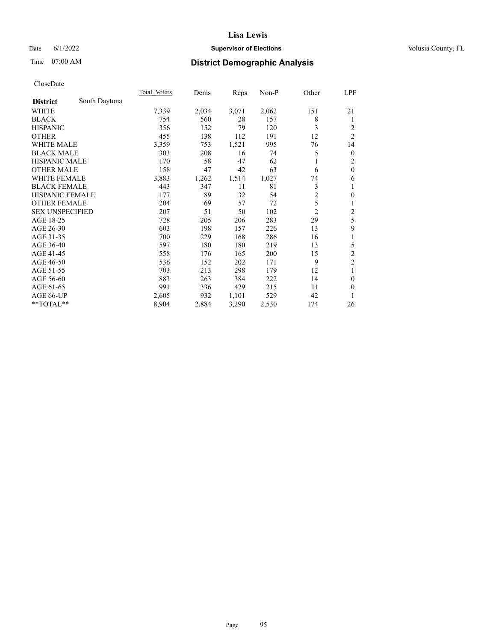# Date 6/1/2022 **Supervisor of Elections Supervisor of Elections** Volusia County, FL

# Time 07:00 AM **District Demographic Analysis**

|                        |               | Total Voters | Dems  | Reps  | Non-P | Other          | <u>LPF</u>     |
|------------------------|---------------|--------------|-------|-------|-------|----------------|----------------|
| <b>District</b>        | South Daytona |              |       |       |       |                |                |
| WHITE                  |               | 7,339        | 2,034 | 3,071 | 2,062 | 151            | 21             |
| <b>BLACK</b>           |               | 754          | 560   | 28    | 157   | 8              | 1              |
| <b>HISPANIC</b>        |               | 356          | 152   | 79    | 120   | 3              | 2              |
| <b>OTHER</b>           |               | 455          | 138   | 112   | 191   | 12             | $\overline{2}$ |
| <b>WHITE MALE</b>      |               | 3,359        | 753   | 1,521 | 995   | 76             | 14             |
| <b>BLACK MALE</b>      |               | 303          | 208   | 16    | 74    | 5              | $\mathbf{0}$   |
| <b>HISPANIC MALE</b>   |               | 170          | 58    | 47    | 62    |                | 2              |
| <b>OTHER MALE</b>      |               | 158          | 47    | 42    | 63    | 6              | $\mathbf{0}$   |
| <b>WHITE FEMALE</b>    |               | 3,883        | 1,262 | 1,514 | 1,027 | 74             | 6              |
| <b>BLACK FEMALE</b>    |               | 443          | 347   | 11    | 81    | 3              | 1              |
| <b>HISPANIC FEMALE</b> |               | 177          | 89    | 32    | 54    | $\overline{2}$ | $\mathbf{0}$   |
| <b>OTHER FEMALE</b>    |               | 204          | 69    | 57    | 72    | 5              | 1              |
| <b>SEX UNSPECIFIED</b> |               | 207          | 51    | 50    | 102   | $\overline{c}$ | $\overline{c}$ |
| AGE 18-25              |               | 728          | 205   | 206   | 283   | 29             | 5              |
| AGE 26-30              |               | 603          | 198   | 157   | 226   | 13             | 9              |
| AGE 31-35              |               | 700          | 229   | 168   | 286   | 16             | 1              |
| AGE 36-40              |               | 597          | 180   | 180   | 219   | 13             | 5              |
| AGE 41-45              |               | 558          | 176   | 165   | 200   | 15             | $\overline{2}$ |
| AGE 46-50              |               | 536          | 152   | 202   | 171   | 9              | $\overline{c}$ |
| AGE 51-55              |               | 703          | 213   | 298   | 179   | 12             | 1              |
| AGE 56-60              |               | 883          | 263   | 384   | 222   | 14             | $\theta$       |
| AGE 61-65              |               | 991          | 336   | 429   | 215   | 11             | $\theta$       |
| AGE 66-UP              |               | 2,605        | 932   | 1,101 | 529   | 42             | 1              |
| **TOTAL**              |               | 8,904        | 2,884 | 3,290 | 2,530 | 174            | 26             |